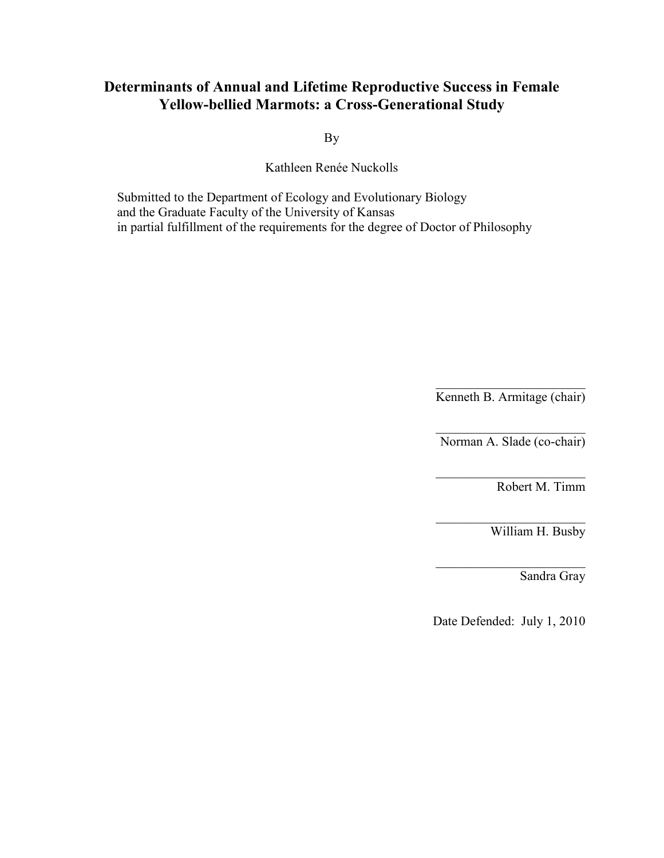# **Determinants of Annual and Lifetime Reproductive Success in Female Yellow-bellied Marmots: a Cross-Generational Study**

By

Kathleen Renée Nuckolls

Submitted to the Department of Ecology and Evolutionary Biology and the Graduate Faculty of the University of Kansas in partial fulfillment of the requirements for the degree of Doctor of Philosophy

> $\overline{\phantom{a}}$  , and the set of the set of the set of the set of the set of the set of the set of the set of the set of the set of the set of the set of the set of the set of the set of the set of the set of the set of the s Kenneth B. Armitage (chair)

 $\overline{\phantom{a}}$  , and the set of the set of the set of the set of the set of the set of the set of the set of the set of the set of the set of the set of the set of the set of the set of the set of the set of the set of the s Norman A. Slade (co-chair)

 $\overline{\phantom{a}}$  , and the set of the set of the set of the set of the set of the set of the set of the set of the set of the set of the set of the set of the set of the set of the set of the set of the set of the set of the s

 $\overline{\phantom{a}}$  , and the set of the set of the set of the set of the set of the set of the set of the set of the set of the set of the set of the set of the set of the set of the set of the set of the set of the set of the s

 $\overline{\phantom{a}}$  , and the set of the set of the set of the set of the set of the set of the set of the set of the set of the set of the set of the set of the set of the set of the set of the set of the set of the set of the s

Robert M. Timm

William H. Busby

Sandra Gray

Date Defended: July 1, 2010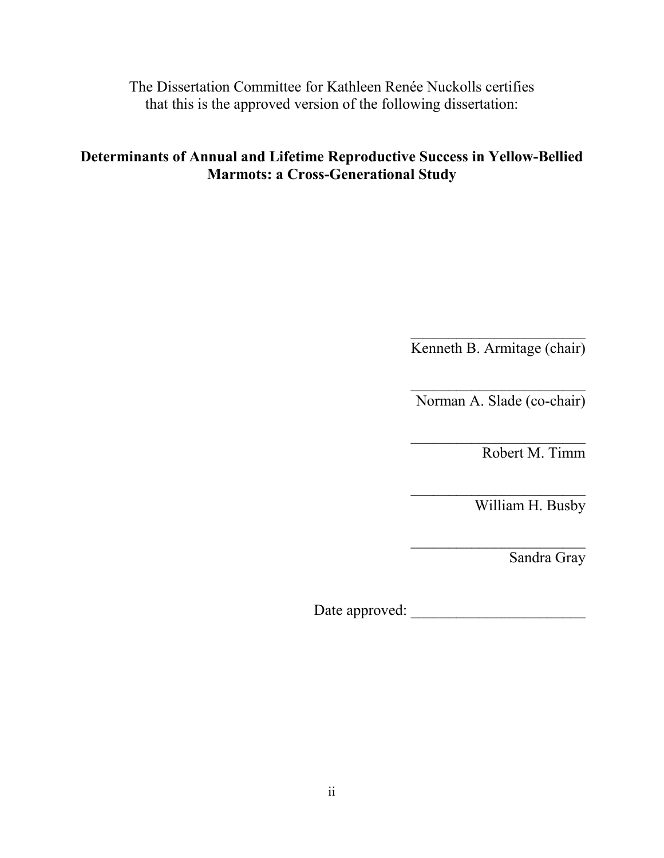The Dissertation Committee for Kathleen Renée Nuckolls certifies that this is the approved version of the following dissertation:

# **Determinants of Annual and Lifetime Reproductive Success in Yellow-Bellied Marmots: a Cross-Generational Study**

 $\overline{\phantom{a}}$  , where  $\overline{\phantom{a}}$ Kenneth B. Armitage (chair)

 $\overline{\phantom{a}}$  , where  $\overline{\phantom{a}}$ Norman A. Slade (co-chair)

 $\overline{\phantom{a}}$  , where  $\overline{\phantom{a}}$  , where  $\overline{\phantom{a}}$  , where  $\overline{\phantom{a}}$  , where  $\overline{\phantom{a}}$ 

 $\overline{\phantom{a}}$  , where  $\overline{\phantom{a}}$  , where  $\overline{\phantom{a}}$  , where  $\overline{\phantom{a}}$  , where  $\overline{\phantom{a}}$ 

 $\overline{\phantom{a}}$  , where  $\overline{\phantom{a}}$ 

Robert M. Timm

William H. Busby

Sandra Gray

Date approved: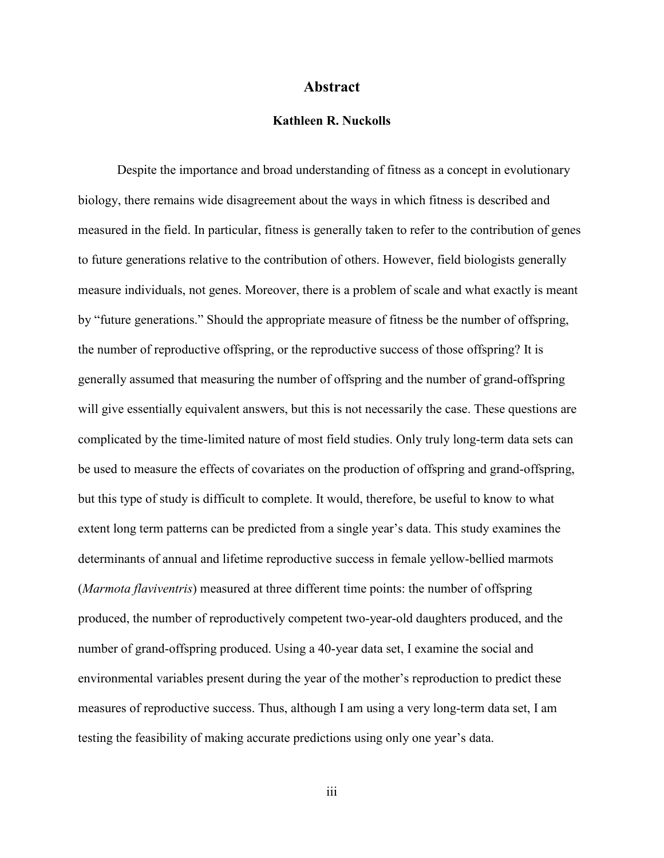#### **Abstract**

## **Kathleen R. Nuckolls**

<span id="page-2-0"></span> Despite the importance and broad understanding of fitness as a concept in evolutionary biology, there remains wide disagreement about the ways in which fitness is described and measured in the field. In particular, fitness is generally taken to refer to the contribution of genes to future generations relative to the contribution of others. However, field biologists generally measure individuals, not genes. Moreover, there is a problem of scale and what exactly is meant by "future generations." Should the appropriate measure of fitness be the number of offspring, the number of reproductive offspring, or the reproductive success of those offspring? It is generally assumed that measuring the number of offspring and the number of grand-offspring will give essentially equivalent answers, but this is not necessarily the case. These questions are complicated by the time-limited nature of most field studies. Only truly long-term data sets can be used to measure the effects of covariates on the production of offspring and grand-offspring, but this type of study is difficult to complete. It would, therefore, be useful to know to what extent long term patterns can be predicted from a single year's data. This study examines the determinants of annual and lifetime reproductive success in female yellow-bellied marmots (*Marmota flaviventris*) measured at three different time points: the number of offspring produced, the number of reproductively competent two-year-old daughters produced, and the number of grand-offspring produced. Using a 40-year data set, I examine the social and environmental variables present during the year of the mother's reproduction to predict these measures of reproductive success. Thus, although I am using a very long-term data set, I am testing the feasibility of making accurate predictions using only one year's data.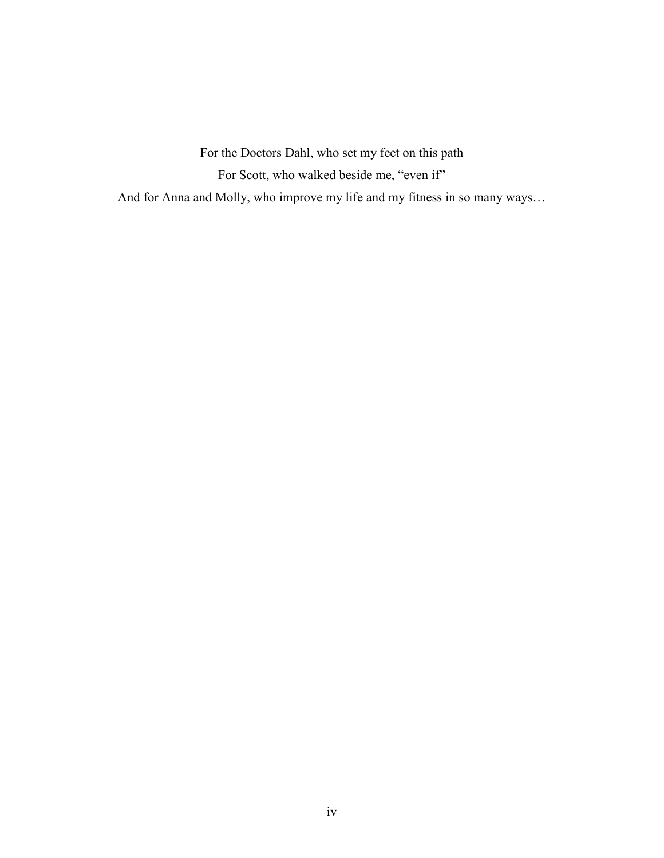For the Doctors Dahl, who set my feet on this path For Scott, who walked beside me, "even if" And for Anna and Molly, who improve my life and my fitness in so many ways…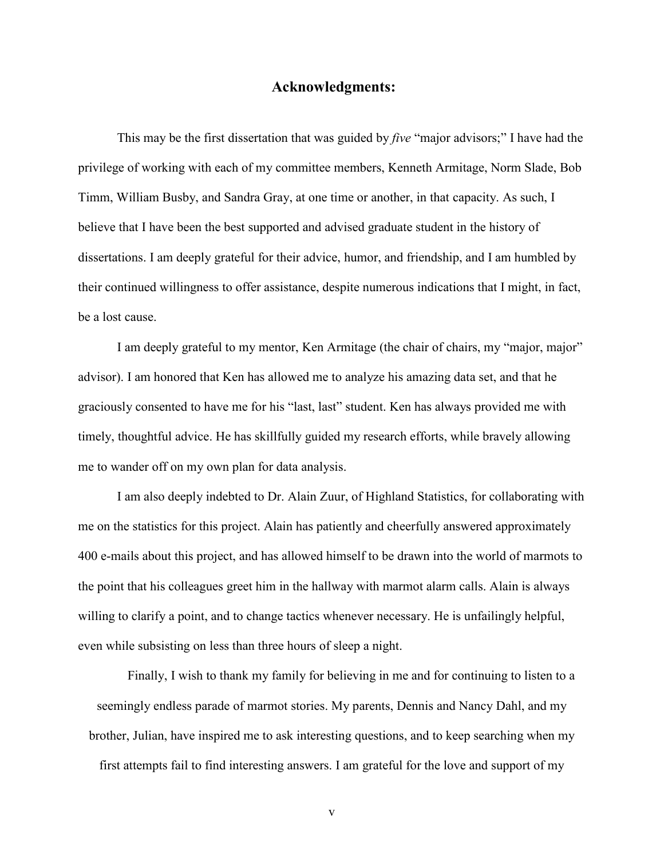## **Acknowledgments:**

<span id="page-4-0"></span>This may be the first dissertation that was guided by *five* "major advisors;" I have had the privilege of working with each of my committee members, Kenneth Armitage, Norm Slade, Bob Timm, William Busby, and Sandra Gray, at one time or another, in that capacity. As such, I believe that I have been the best supported and advised graduate student in the history of dissertations. I am deeply grateful for their advice, humor, and friendship, and I am humbled by their continued willingness to offer assistance, despite numerous indications that I might, in fact, be a lost cause.

 I am deeply grateful to my mentor, Ken Armitage (the chair of chairs, my "major, major" advisor). I am honored that Ken has allowed me to analyze his amazing data set, and that he graciously consented to have me for his "last, last" student. Ken has always provided me with timely, thoughtful advice. He has skillfully guided my research efforts, while bravely allowing me to wander off on my own plan for data analysis.

 I am also deeply indebted to Dr. Alain Zuur, of Highland Statistics, for collaborating with me on the statistics for this project. Alain has patiently and cheerfully answered approximately 400 e-mails about this project, and has allowed himself to be drawn into the world of marmots to the point that his colleagues greet him in the hallway with marmot alarm calls. Alain is always willing to clarify a point, and to change tactics whenever necessary. He is unfailingly helpful, even while subsisting on less than three hours of sleep a night.

Finally, I wish to thank my family for believing in me and for continuing to listen to a seemingly endless parade of marmot stories. My parents, Dennis and Nancy Dahl, and my brother, Julian, have inspired me to ask interesting questions, and to keep searching when my first attempts fail to find interesting answers. I am grateful for the love and support of my

v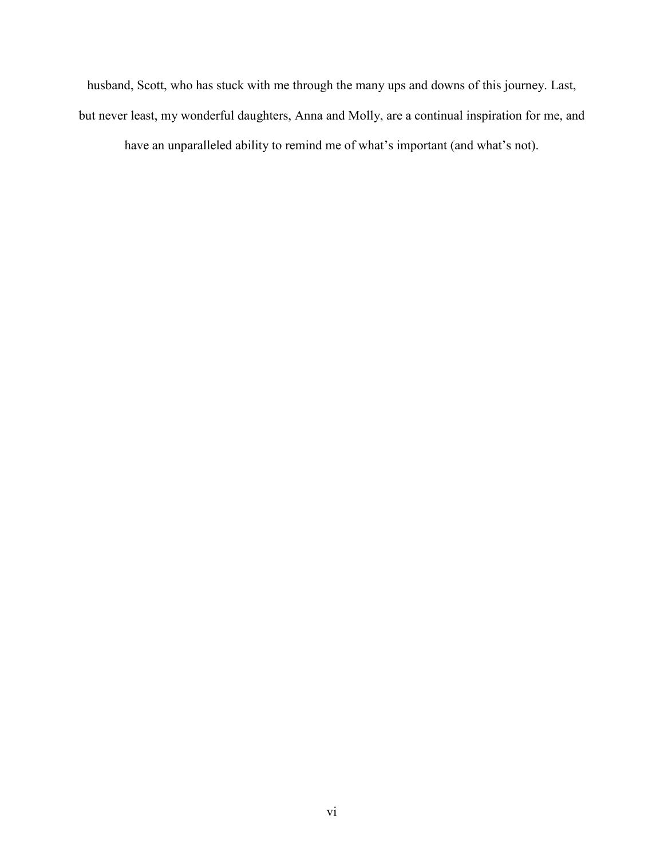husband, Scott, who has stuck with me through the many ups and downs of this journey. Last, but never least, my wonderful daughters, Anna and Molly, are a continual inspiration for me, and

have an unparalleled ability to remind me of what's important (and what's not).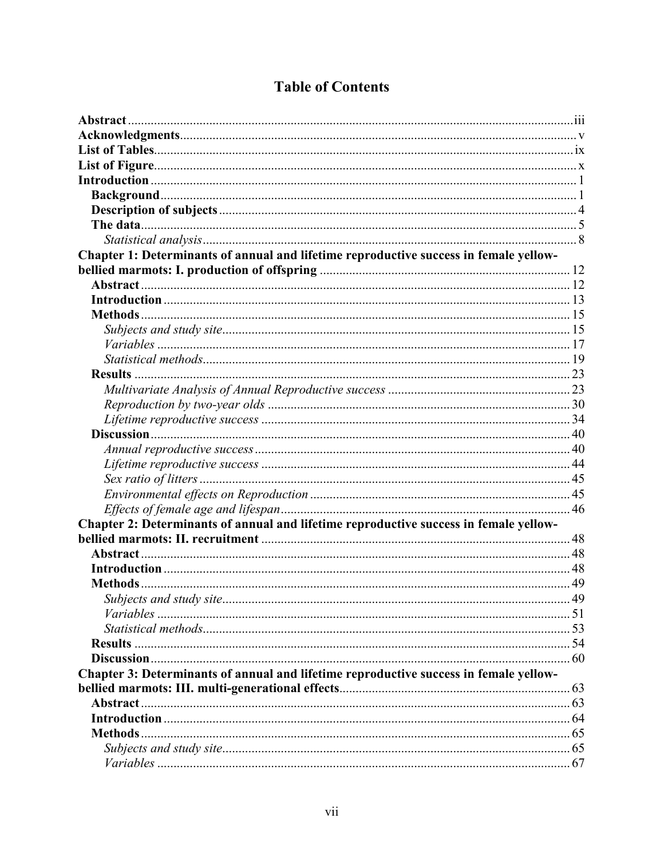| Chapter 1: Determinants of annual and lifetime reproductive success in female yellow- |  |
|---------------------------------------------------------------------------------------|--|
|                                                                                       |  |
|                                                                                       |  |
|                                                                                       |  |
|                                                                                       |  |
|                                                                                       |  |
|                                                                                       |  |
|                                                                                       |  |
|                                                                                       |  |
|                                                                                       |  |
|                                                                                       |  |
|                                                                                       |  |
|                                                                                       |  |
|                                                                                       |  |
|                                                                                       |  |
|                                                                                       |  |
|                                                                                       |  |
|                                                                                       |  |
| Chapter 2: Determinants of annual and lifetime reproductive success in female yellow- |  |
|                                                                                       |  |
|                                                                                       |  |
|                                                                                       |  |
|                                                                                       |  |
|                                                                                       |  |
|                                                                                       |  |
|                                                                                       |  |
|                                                                                       |  |
|                                                                                       |  |
| Chapter 3: Determinants of annual and lifetime reproductive success in female yellow- |  |
|                                                                                       |  |
|                                                                                       |  |
|                                                                                       |  |
|                                                                                       |  |
|                                                                                       |  |
|                                                                                       |  |
|                                                                                       |  |

# **Table of Contents**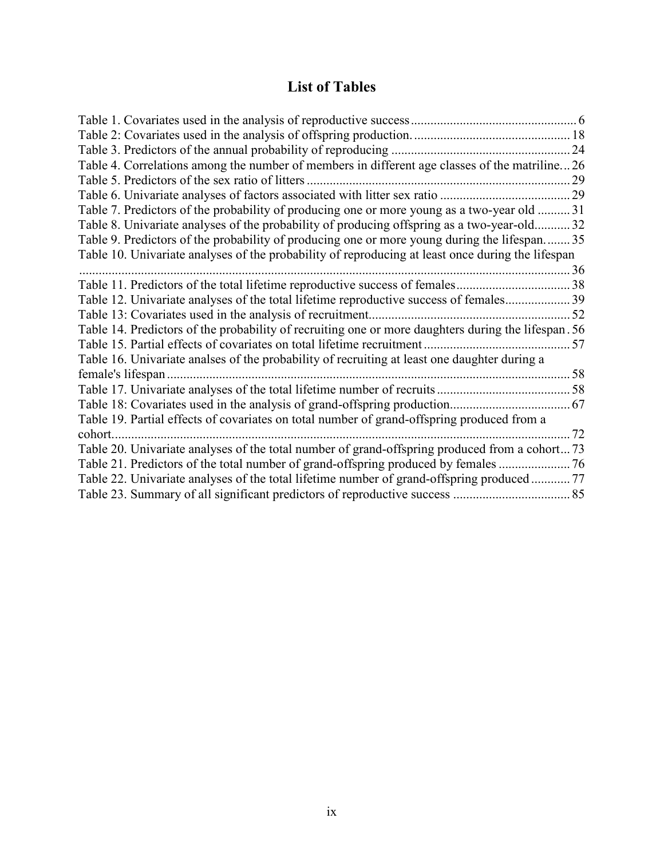# **List of Tables**

<span id="page-8-0"></span>

| Table 4. Correlations among the number of members in different age classes of the matriline26       |    |
|-----------------------------------------------------------------------------------------------------|----|
| Table 5. Predictors of the sex ratio of litters.                                                    | 29 |
|                                                                                                     |    |
| Table 7. Predictors of the probability of producing one or more young as a two-year old 31          |    |
| Table 8. Univariate analyses of the probability of producing offspring as a two-year-old 32         |    |
| Table 9. Predictors of the probability of producing one or more young during the lifespan 35        |    |
| Table 10. Univariate analyses of the probability of reproducing at least once during the lifespan   |    |
|                                                                                                     | 36 |
|                                                                                                     |    |
| Table 12. Univariate analyses of the total lifetime reproductive success of females39               |    |
|                                                                                                     | 52 |
| Table 14. Predictors of the probability of recruiting one or more daughters during the lifespan. 56 |    |
|                                                                                                     |    |
| Table 16. Univariate analses of the probability of recruiting at least one daughter during a        |    |
| female's lifespan                                                                                   |    |
|                                                                                                     |    |
|                                                                                                     |    |
| Table 19. Partial effects of covariates on total number of grand-offspring produced from a          |    |
| cohort.                                                                                             | 72 |
| Table 20. Univariate analyses of the total number of grand-offspring produced from a cohort 73      |    |
| Table 21. Predictors of the total number of grand-offspring produced by females                     |    |
| Table 22. Univariate analyses of the total lifetime number of grand-offspring produced 77           |    |
|                                                                                                     |    |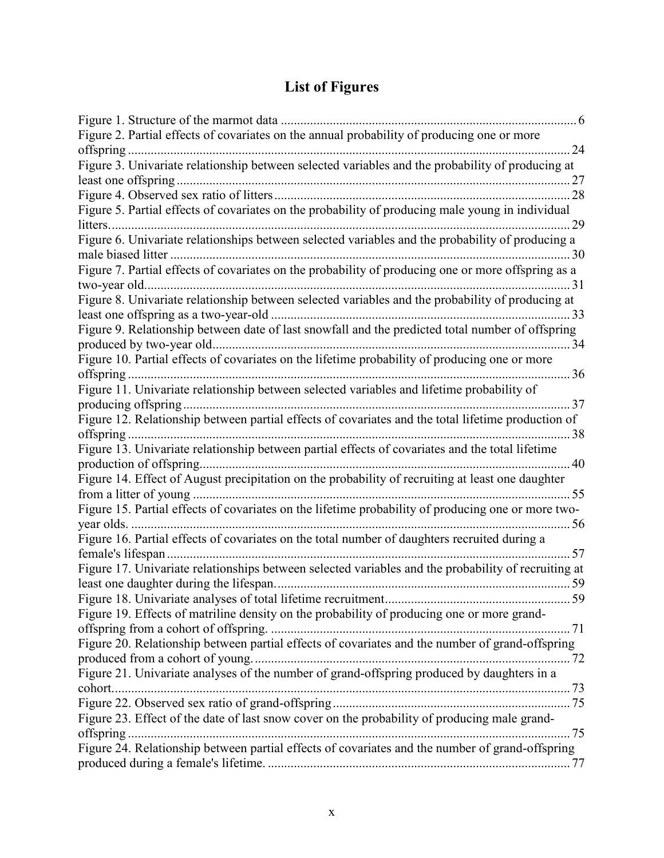# **List of Figures**

<span id="page-9-0"></span>

| Figure 2. Partial effects of covariates on the annual probability of producing one or more          |  |
|-----------------------------------------------------------------------------------------------------|--|
|                                                                                                     |  |
| Figure 3. Univariate relationship between selected variables and the probability of producing at    |  |
|                                                                                                     |  |
|                                                                                                     |  |
| Figure 5. Partial effects of covariates on the probability of producing male young in individual    |  |
| 29                                                                                                  |  |
| Figure 6. Univariate relationships between selected variables and the probability of producing a    |  |
|                                                                                                     |  |
| Figure 7. Partial effects of covariates on the probability of producing one or more offspring as a  |  |
|                                                                                                     |  |
| Figure 8. Univariate relationship between selected variables and the probability of producing at    |  |
| 33                                                                                                  |  |
| Figure 9. Relationship between date of last snowfall and the predicted total number of offspring    |  |
|                                                                                                     |  |
| Figure 10. Partial effects of covariates on the lifetime probability of producing one or more       |  |
|                                                                                                     |  |
| Figure 11. Univariate relationship between selected variables and lifetime probability of           |  |
| producing offspring<br>. 37                                                                         |  |
| Figure 12. Relationship between partial effects of covariates and the total lifetime production of  |  |
|                                                                                                     |  |
| Figure 13. Univariate relationship between partial effects of covariates and the total lifetime     |  |
| 40                                                                                                  |  |
| Figure 14. Effect of August precipitation on the probability of recruiting at least one daughter    |  |
|                                                                                                     |  |
| Figure 15. Partial effects of covariates on the lifetime probability of producing one or more two-  |  |
|                                                                                                     |  |
| Figure 16. Partial effects of covariates on the total number of daughters recruited during a        |  |
|                                                                                                     |  |
| Figure 17. Univariate relationships between selected variables and the probability of recruiting at |  |
|                                                                                                     |  |
| Figure 19. Effects of matriline density on the probability of producing one or more grand-          |  |
|                                                                                                     |  |
| Figure 20. Relationship between partial effects of covariates and the number of grand-offspring     |  |
|                                                                                                     |  |
| Figure 21. Univariate analyses of the number of grand-offspring produced by daughters in a          |  |
|                                                                                                     |  |
|                                                                                                     |  |
| Figure 23. Effect of the date of last snow cover on the probability of producing male grand-        |  |
|                                                                                                     |  |
| Figure 24. Relationship between partial effects of covariates and the number of grand-offspring     |  |
|                                                                                                     |  |
|                                                                                                     |  |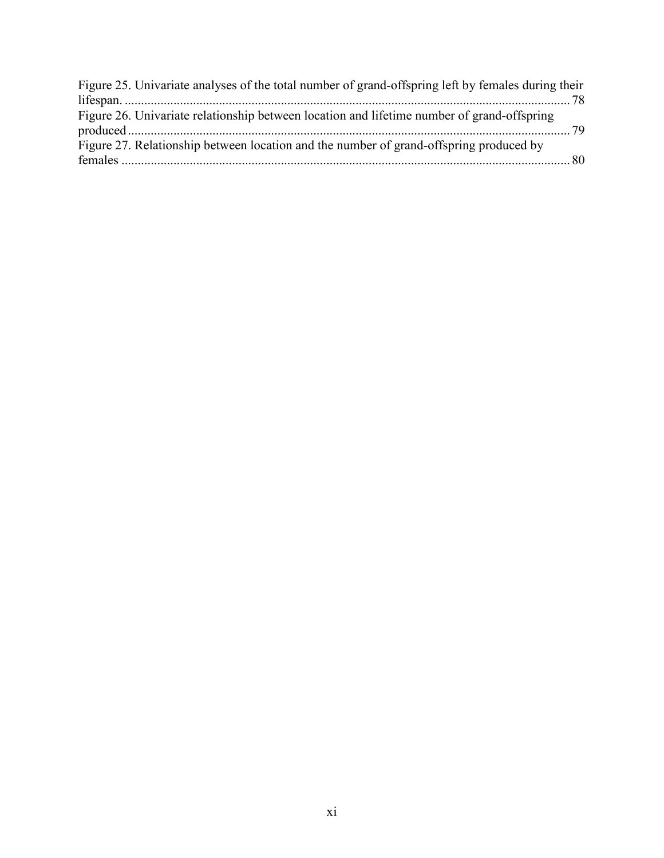| Figure 25. Univariate analyses of the total number of grand-offspring left by females during their |  |
|----------------------------------------------------------------------------------------------------|--|
|                                                                                                    |  |
| Figure 26. Univariate relationship between location and lifetime number of grand-offspring         |  |
| Figure 27. Relationship between location and the number of grand-offspring produced by             |  |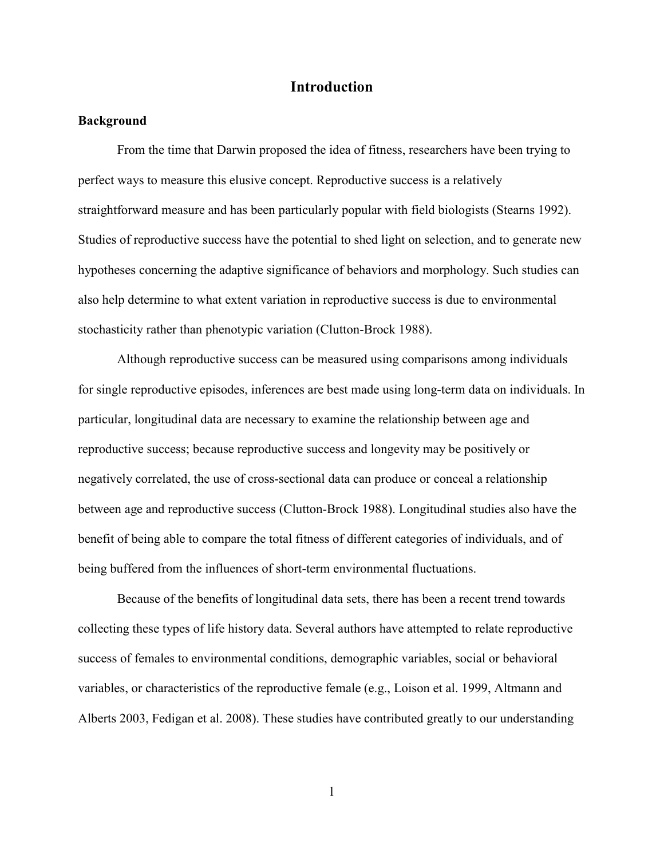# **Introduction**

## <span id="page-11-0"></span>**Background**

From the time that Darwin proposed the idea of fitness, researchers have been trying to perfect ways to measure this elusive concept. Reproductive success is a relatively straightforward measure and has been particularly popular with field biologists (Stearns 1992). Studies of reproductive success have the potential to shed light on selection, and to generate new hypotheses concerning the adaptive significance of behaviors and morphology. Such studies can also help determine to what extent variation in reproductive success is due to environmental stochasticity rather than phenotypic variation (Clutton-Brock 1988).

Although reproductive success can be measured using comparisons among individuals for single reproductive episodes, inferences are best made using long-term data on individuals. In particular, longitudinal data are necessary to examine the relationship between age and reproductive success; because reproductive success and longevity may be positively or negatively correlated, the use of cross-sectional data can produce or conceal a relationship between age and reproductive success (Clutton-Brock 1988). Longitudinal studies also have the benefit of being able to compare the total fitness of different categories of individuals, and of being buffered from the influences of short-term environmental fluctuations.

Because of the benefits of longitudinal data sets, there has been a recent trend towards collecting these types of life history data. Several authors have attempted to relate reproductive success of females to environmental conditions, demographic variables, social or behavioral variables, or characteristics of the reproductive female (e.g., Loison et al. 1999, Altmann and Alberts 2003, Fedigan et al. 2008). These studies have contributed greatly to our understanding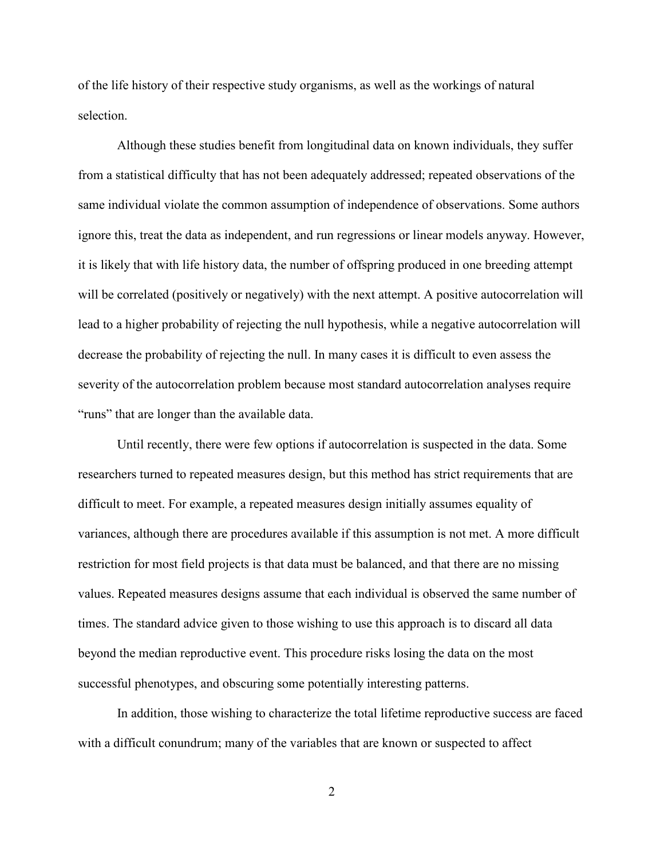of the life history of their respective study organisms, as well as the workings of natural selection.

Although these studies benefit from longitudinal data on known individuals, they suffer from a statistical difficulty that has not been adequately addressed; repeated observations of the same individual violate the common assumption of independence of observations. Some authors ignore this, treat the data as independent, and run regressions or linear models anyway. However, it is likely that with life history data, the number of offspring produced in one breeding attempt will be correlated (positively or negatively) with the next attempt. A positive autocorrelation will lead to a higher probability of rejecting the null hypothesis, while a negative autocorrelation will decrease the probability of rejecting the null. In many cases it is difficult to even assess the severity of the autocorrelation problem because most standard autocorrelation analyses require "runs" that are longer than the available data.

Until recently, there were few options if autocorrelation is suspected in the data. Some researchers turned to repeated measures design, but this method has strict requirements that are difficult to meet. For example, a repeated measures design initially assumes equality of variances, although there are procedures available if this assumption is not met. A more difficult restriction for most field projects is that data must be balanced, and that there are no missing values. Repeated measures designs assume that each individual is observed the same number of times. The standard advice given to those wishing to use this approach is to discard all data beyond the median reproductive event. This procedure risks losing the data on the most successful phenotypes, and obscuring some potentially interesting patterns.

In addition, those wishing to characterize the total lifetime reproductive success are faced with a difficult conundrum; many of the variables that are known or suspected to affect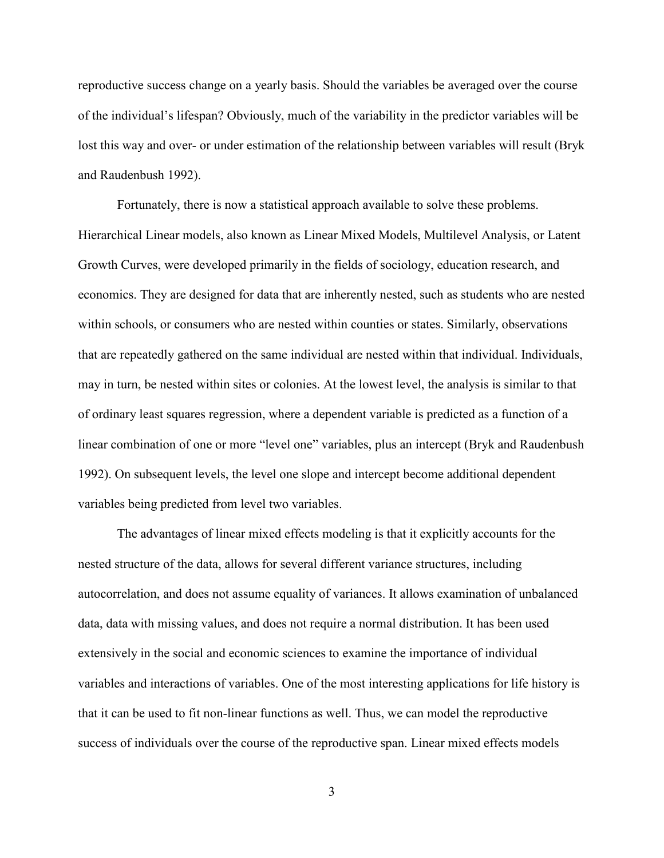reproductive success change on a yearly basis. Should the variables be averaged over the course of the individual's lifespan? Obviously, much of the variability in the predictor variables will be lost this way and over- or under estimation of the relationship between variables will result (Bryk and Raudenbush 1992).

Fortunately, there is now a statistical approach available to solve these problems. Hierarchical Linear models, also known as Linear Mixed Models, Multilevel Analysis, or Latent Growth Curves, were developed primarily in the fields of sociology, education research, and economics. They are designed for data that are inherently nested, such as students who are nested within schools, or consumers who are nested within counties or states. Similarly, observations that are repeatedly gathered on the same individual are nested within that individual. Individuals, may in turn, be nested within sites or colonies. At the lowest level, the analysis is similar to that of ordinary least squares regression, where a dependent variable is predicted as a function of a linear combination of one or more "level one" variables, plus an intercept (Bryk and Raudenbush 1992). On subsequent levels, the level one slope and intercept become additional dependent variables being predicted from level two variables.

The advantages of linear mixed effects modeling is that it explicitly accounts for the nested structure of the data, allows for several different variance structures, including autocorrelation, and does not assume equality of variances. It allows examination of unbalanced data, data with missing values, and does not require a normal distribution. It has been used extensively in the social and economic sciences to examine the importance of individual variables and interactions of variables. One of the most interesting applications for life history is that it can be used to fit non-linear functions as well. Thus, we can model the reproductive success of individuals over the course of the reproductive span. Linear mixed effects models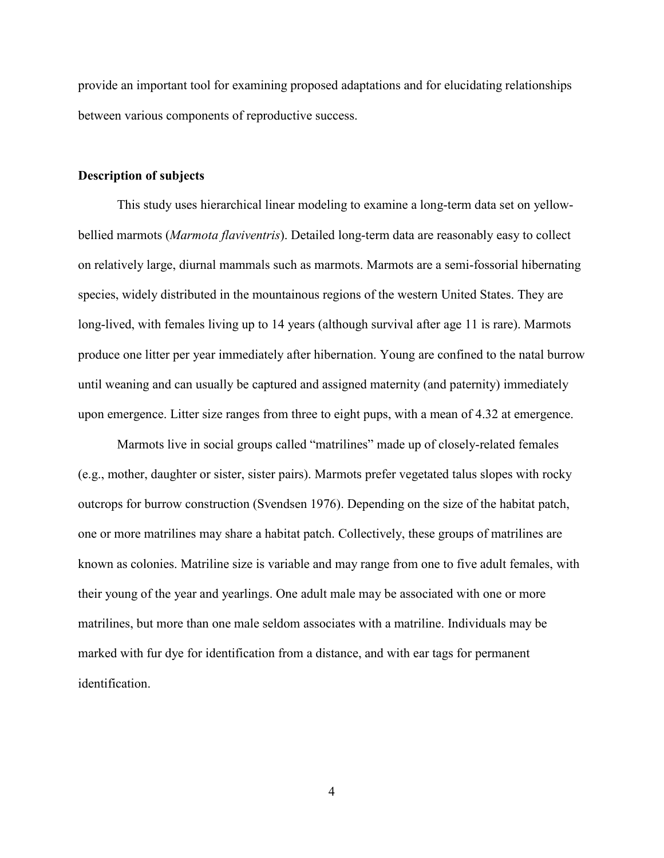<span id="page-14-0"></span>provide an important tool for examining proposed adaptations and for elucidating relationships between various components of reproductive success.

#### **Description of subjects**

This study uses hierarchical linear modeling to examine a long-term data set on yellowbellied marmots (*Marmota flaviventris*). Detailed long-term data are reasonably easy to collect on relatively large, diurnal mammals such as marmots. Marmots are a semi-fossorial hibernating species, widely distributed in the mountainous regions of the western United States. They are long-lived, with females living up to 14 years (although survival after age 11 is rare). Marmots produce one litter per year immediately after hibernation. Young are confined to the natal burrow until weaning and can usually be captured and assigned maternity (and paternity) immediately upon emergence. Litter size ranges from three to eight pups, with a mean of 4.32 at emergence.

Marmots live in social groups called "matrilines" made up of closely-related females (e.g., mother, daughter or sister, sister pairs). Marmots prefer vegetated talus slopes with rocky outcrops for burrow construction (Svendsen 1976). Depending on the size of the habitat patch, one or more matrilines may share a habitat patch. Collectively, these groups of matrilines are known as colonies. Matriline size is variable and may range from one to five adult females, with their young of the year and yearlings. One adult male may be associated with one or more matrilines, but more than one male seldom associates with a matriline. Individuals may be marked with fur dye for identification from a distance, and with ear tags for permanent identification.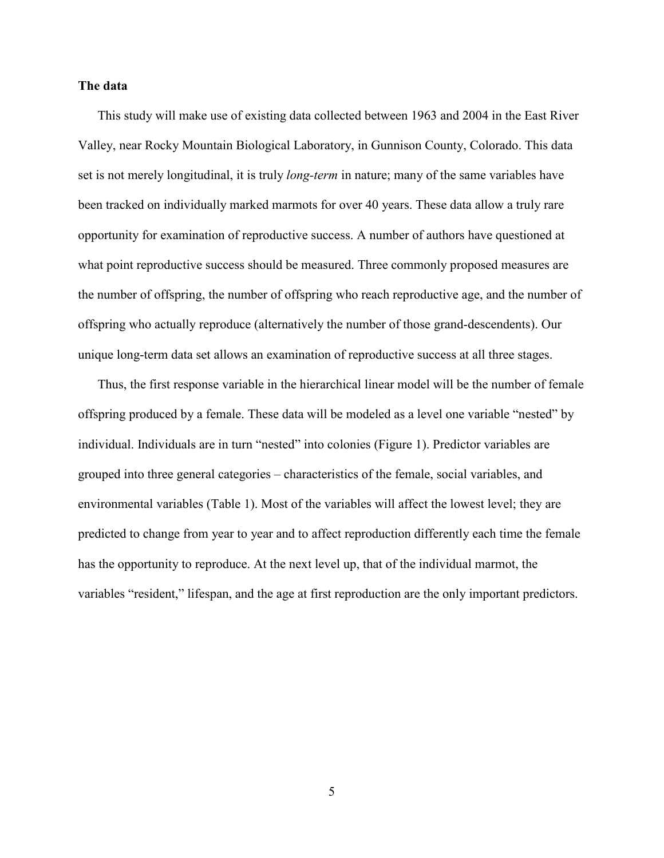#### <span id="page-15-0"></span>**The data**

This study will make use of existing data collected between 1963 and 2004 in the East River Valley, near Rocky Mountain Biological Laboratory, in Gunnison County, Colorado. This data set is not merely longitudinal, it is truly *long-term* in nature; many of the same variables have been tracked on individually marked marmots for over 40 years. These data allow a truly rare opportunity for examination of reproductive success. A number of authors have questioned at what point reproductive success should be measured. Three commonly proposed measures are the number of offspring, the number of offspring who reach reproductive age, and the number of offspring who actually reproduce (alternatively the number of those grand-descendents). Our unique long-term data set allows an examination of reproductive success at all three stages.

Thus, the first response variable in the hierarchical linear model will be the number of female offspring produced by a female. These data will be modeled as a level one variable "nested" by individual. Individuals are in turn "nested" into colonies (Figure 1). Predictor variables are grouped into three general categories – characteristics of the female, social variables, and environmental variables (Table 1). Most of the variables will affect the lowest level; they are predicted to change from year to year and to affect reproduction differently each time the female has the opportunity to reproduce. At the next level up, that of the individual marmot, the variables "resident," lifespan, and the age at first reproduction are the only important predictors.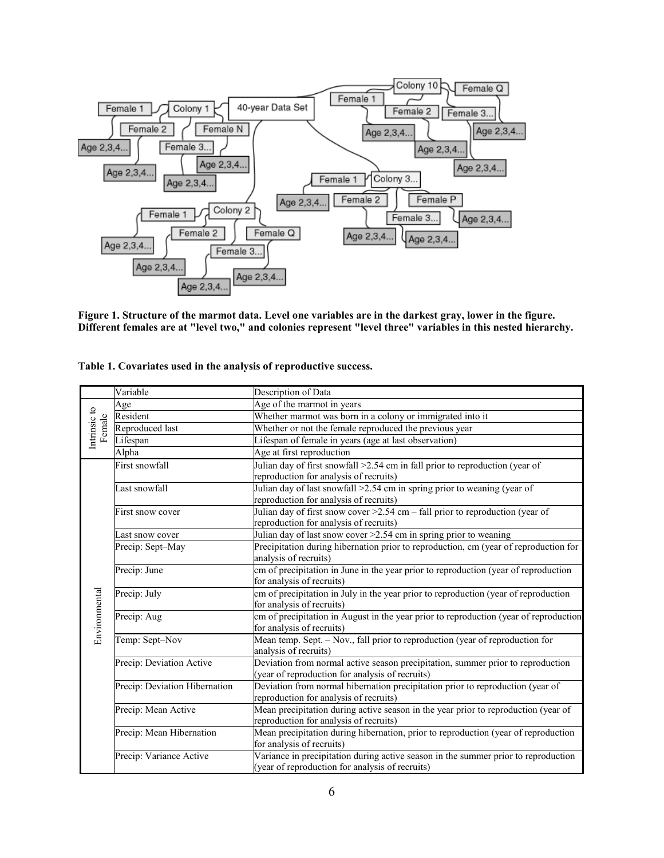<span id="page-16-0"></span>

**Figure 1. Structure of the marmot data. Level one variables are in the darkest gray, lower in the figure. Different females are at "level two," and colonies represent "level three" variables in this nested hierarchy.** 

**Table 1. Covariates used in the analysis of reproductive success.** 

|                        | Variable                      | Description of Data                                                                                                                   |
|------------------------|-------------------------------|---------------------------------------------------------------------------------------------------------------------------------------|
| Intrinsic to<br>Female | Age                           | Age of the marmot in years                                                                                                            |
|                        | Resident                      | Whether marmot was born in a colony or immigrated into it                                                                             |
|                        | Reproduced last               | Whether or not the female reproduced the previous year                                                                                |
|                        | Lifespan                      | Lifespan of female in years (age at last observation)                                                                                 |
|                        | Alpha                         | Age at first reproduction                                                                                                             |
|                        | First snowfall                | Julian day of first snowfall >2.54 cm in fall prior to reproduction (year of<br>reproduction for analysis of recruits)                |
|                        | Last snowfall                 | Julian day of last snowfall $\geq$ 2.54 cm in spring prior to weaning (year of<br>reproduction for analysis of recruits)              |
|                        | First snow cover              | Julian day of first snow cover $>2.54$ cm - fall prior to reproduction (year of<br>reproduction for analysis of recruits)             |
|                        | Last snow cover               | Julian day of last snow cover $\geq 2.54$ cm in spring prior to weaning                                                               |
|                        | Precip: Sept-May              | Precipitation during hibernation prior to reproduction, cm (year of reproduction for<br>analysis of recruits)                         |
|                        | Precip: June                  | cm of precipitation in June in the year prior to reproduction (year of reproduction<br>for analysis of recruits)                      |
|                        | Precip: July                  | cm of precipitation in July in the year prior to reproduction (year of reproduction<br>for analysis of recruits)                      |
| Environmental          | Precip: Aug                   | em of precipitation in August in the year prior to reproduction (year of reproduction<br>for analysis of recruits)                    |
|                        | Temp: Sept-Nov                | Mean temp. Sept. - Nov., fall prior to reproduction (year of reproduction for<br>analysis of recruits)                                |
|                        | Precip: Deviation Active      | Deviation from normal active season precipitation, summer prior to reproduction<br>(year of reproduction for analysis of recruits)    |
|                        | Precip: Deviation Hibernation | Deviation from normal hibernation precipitation prior to reproduction (year of<br>reproduction for analysis of recruits)              |
|                        | Precip: Mean Active           | Mean precipitation during active season in the year prior to reproduction (year of<br>reproduction for analysis of recruits)          |
|                        | Precip: Mean Hibernation      | Mean precipitation during hibernation, prior to reproduction (year of reproduction<br>for analysis of recruits)                       |
|                        | Precip: Variance Active       | Variance in precipitation during active season in the summer prior to reproduction<br>(year of reproduction for analysis of recruits) |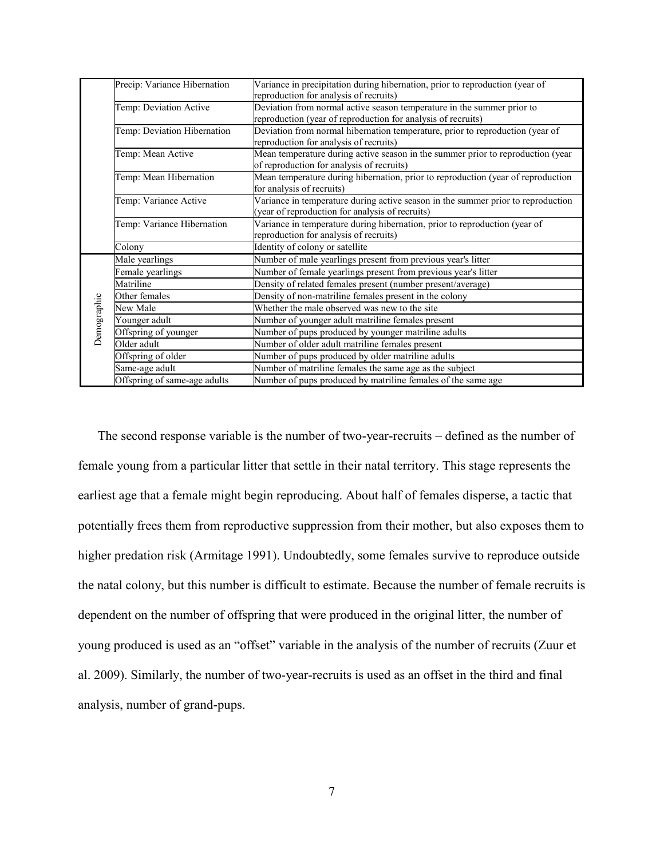|             | Precip: Variance Hibernation | Variance in precipitation during hibernation, prior to reproduction (year of<br>reproduction for analysis of recruits)                 |  |  |
|-------------|------------------------------|----------------------------------------------------------------------------------------------------------------------------------------|--|--|
|             | Temp: Deviation Active       | Deviation from normal active season temperature in the summer prior to<br>reproduction (year of reproduction for analysis of recruits) |  |  |
|             | Temp: Deviation Hibernation  | Deviation from normal hibernation temperature, prior to reproduction (year of<br>reproduction for analysis of recruits)                |  |  |
|             | Temp: Mean Active            | Mean temperature during active season in the summer prior to reproduction (year<br>of reproduction for analysis of recruits)           |  |  |
|             | Temp: Mean Hibernation       | Mean temperature during hibernation, prior to reproduction (year of reproduction<br>for analysis of recruits)                          |  |  |
|             | Temp: Variance Active        | Variance in temperature during active season in the summer prior to reproduction<br>(year of reproduction for analysis of recruits)    |  |  |
|             | Temp: Variance Hibernation   | Variance in temperature during hibernation, prior to reproduction (year of<br>reproduction for analysis of recruits)                   |  |  |
|             | Colony                       | Identity of colony or satellite                                                                                                        |  |  |
|             | Male yearlings               | Number of male yearlings present from previous year's litter                                                                           |  |  |
|             | Female yearlings             | Number of female yearlings present from previous year's litter                                                                         |  |  |
|             | Matriline                    | Density of related females present (number present/average)                                                                            |  |  |
|             | Other females                | Density of non-matriline females present in the colony                                                                                 |  |  |
|             | New Male                     | Whether the male observed was new to the site                                                                                          |  |  |
|             | Younger adult                | Number of younger adult matriline females present                                                                                      |  |  |
| Demographic | Offspring of younger         | Number of pups produced by younger matriline adults                                                                                    |  |  |
|             | Older adult                  | Number of older adult matriline females present                                                                                        |  |  |
|             | Offspring of older           | Number of pups produced by older matriline adults                                                                                      |  |  |
|             | Same-age adult               | Number of matriline females the same age as the subject                                                                                |  |  |
|             | Offspring of same-age adults | Number of pups produced by matriline females of the same age                                                                           |  |  |

The second response variable is the number of two-year-recruits – defined as the number of female young from a particular litter that settle in their natal territory. This stage represents the earliest age that a female might begin reproducing. About half of females disperse, a tactic that potentially frees them from reproductive suppression from their mother, but also exposes them to higher predation risk (Armitage 1991). Undoubtedly, some females survive to reproduce outside the natal colony, but this number is difficult to estimate. Because the number of female recruits is dependent on the number of offspring that were produced in the original litter, the number of young produced is used as an "offset" variable in the analysis of the number of recruits (Zuur et al. 2009). Similarly, the number of two-year-recruits is used as an offset in the third and final analysis, number of grand-pups.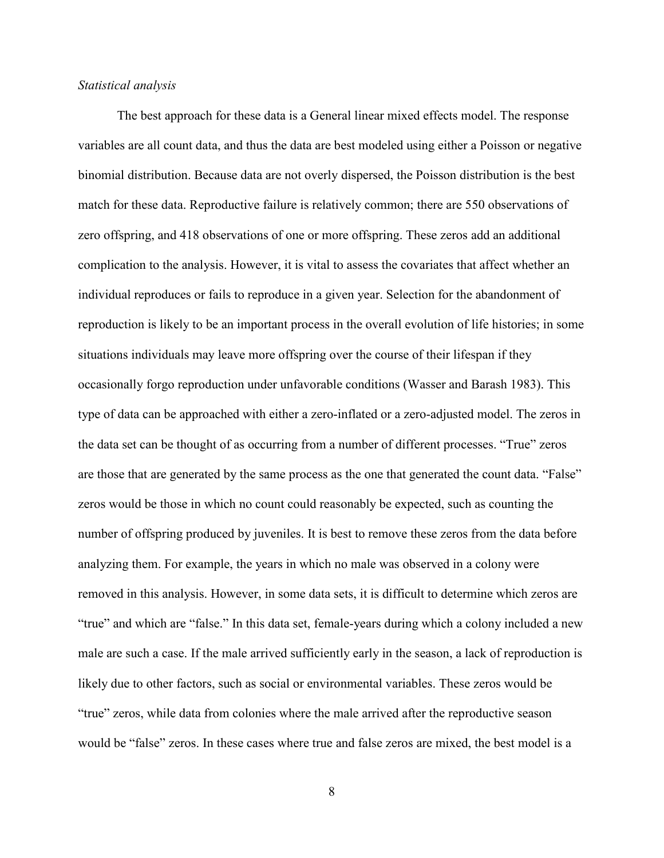#### <span id="page-18-0"></span>*Statistical analysis*

The best approach for these data is a General linear mixed effects model. The response variables are all count data, and thus the data are best modeled using either a Poisson or negative binomial distribution. Because data are not overly dispersed, the Poisson distribution is the best match for these data. Reproductive failure is relatively common; there are 550 observations of zero offspring, and 418 observations of one or more offspring. These zeros add an additional complication to the analysis. However, it is vital to assess the covariates that affect whether an individual reproduces or fails to reproduce in a given year. Selection for the abandonment of reproduction is likely to be an important process in the overall evolution of life histories; in some situations individuals may leave more offspring over the course of their lifespan if they occasionally forgo reproduction under unfavorable conditions (Wasser and Barash 1983). This type of data can be approached with either a zero-inflated or a zero-adjusted model. The zeros in the data set can be thought of as occurring from a number of different processes. "True" zeros are those that are generated by the same process as the one that generated the count data. "False" zeros would be those in which no count could reasonably be expected, such as counting the number of offspring produced by juveniles. It is best to remove these zeros from the data before analyzing them. For example, the years in which no male was observed in a colony were removed in this analysis. However, in some data sets, it is difficult to determine which zeros are "true" and which are "false." In this data set, female-years during which a colony included a new male are such a case. If the male arrived sufficiently early in the season, a lack of reproduction is likely due to other factors, such as social or environmental variables. These zeros would be "true" zeros, while data from colonies where the male arrived after the reproductive season would be "false" zeros. In these cases where true and false zeros are mixed, the best model is a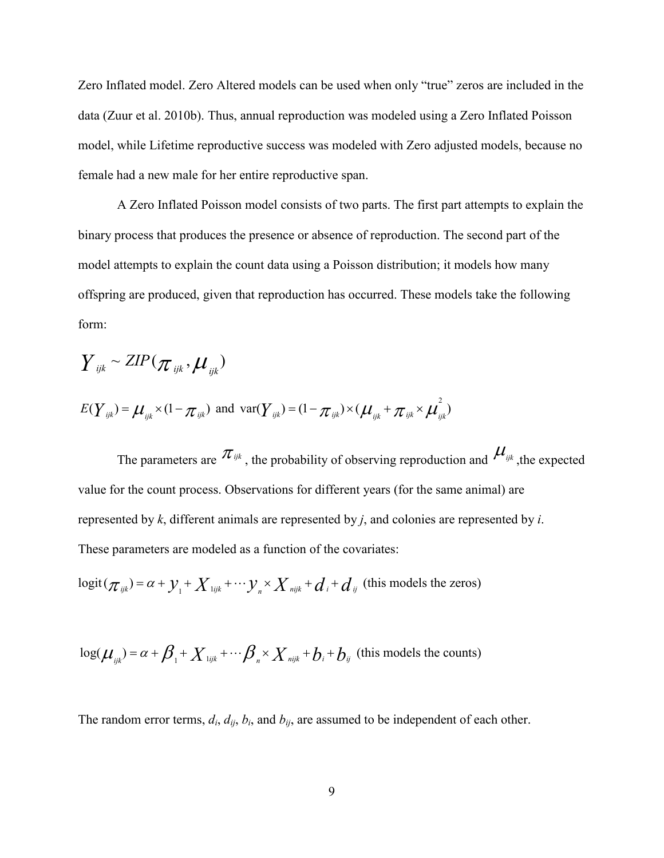Zero Inflated model. Zero Altered models can be used when only "true" zeros are included in the data (Zuur et al. 2010b). Thus, annual reproduction was modeled using a Zero Inflated Poisson model, while Lifetime reproductive success was modeled with Zero adjusted models, because no female had a new male for her entire reproductive span.

A Zero Inflated Poisson model consists of two parts. The first part attempts to explain the binary process that produces the presence or absence of reproduction. The second part of the model attempts to explain the count data using a Poisson distribution; it models how many offspring are produced, given that reproduction has occurred. These models take the following form:

$$
\boldsymbol{Y}_{ijk} \sim \textit{ZIP}(\boldsymbol{\pi}_{ijk}, \boldsymbol{\mu}_{ijk})
$$

$$
E(\boldsymbol{Y}_{ijk}) = \boldsymbol{\mu}_{ijk} \times (1 - \pi_{ijk}) \text{ and } \text{var}(\boldsymbol{Y}_{ijk}) = (1 - \pi_{ijk}) \times (\boldsymbol{\mu}_{ijk} + \pi_{ijk} \times \boldsymbol{\mu}_{ijk}^2)
$$

The parameters are  $\pi_{ijk}$ , the probability of observing reproduction and  $\mu_{ijk}$ , the expected value for the count process. Observations for different years (for the same animal) are represented by *k*, different animals are represented by *j*, and colonies are represented by *i*. These parameters are modeled as a function of the covariates:

$$
logit(\pi_{ijk}) = \alpha + y_1 + X_{ijk} + \cdots + Y_n \times X_{nijk} + d_i + d_{ij}
$$
 (this models the zeros)

$$
\log(\mu_{ijk}) = \alpha + \beta_{1} + X_{ijk} + \cdots + \beta_{n} \times X_{ijk} + b_{i} + b_{ij}
$$
 (this models the counts)

The random error terms,  $d_i$ ,  $d_{ij}$ ,  $b_i$ , and  $b_{ij}$ , are assumed to be independent of each other.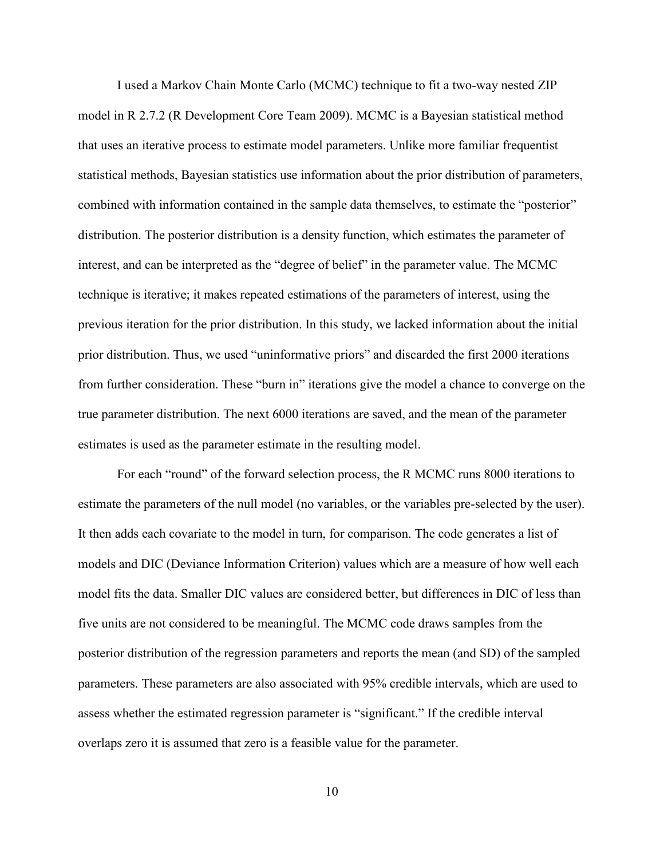I used a Markov Chain Monte Carlo (MCMC) technique to fit a two-way nested ZIP model in R 2.7.2 (R Development Core Team 2009). MCMC is a Bayesian statistical method that uses an iterative process to estimate model parameters. Unlike more familiar frequentist statistical methods, Bayesian statistics use information about the prior distribution of parameters, combined with information contained in the sample data themselves, to estimate the "posterior" distribution. The posterior distribution is a density function, which estimates the parameter of interest, and can be interpreted as the "degree of belief" in the parameter value. The MCMC technique is iterative; it makes repeated estimations of the parameters of interest, using the previous iteration for the prior distribution. In this study, we lacked information about the initial prior distribution. Thus, we used "uninformative priors" and discarded the first 2000 iterations from further consideration. These "burn in" iterations give the model a chance to converge on the true parameter distribution. The next 6000 iterations are saved, and the mean of the parameter estimates is used as the parameter estimate in the resulting model.

For each "round" of the forward selection process, the R MCMC runs 8000 iterations to estimate the parameters of the null model (no variables, or the variables pre-selected by the user). It then adds each covariate to the model in turn, for comparison. The code generates a list of models and DIC (Deviance Information Criterion) values which are a measure of how well each model fits the data. Smaller DIC values are considered better, but differences in DIC of less than five units are not considered to be meaningful. The MCMC code draws samples from the posterior distribution of the regression parameters and reports the mean (and SD) of the sampled parameters. These parameters are also associated with 95% credible intervals, which are used to assess whether the estimated regression parameter is "significant." If the credible interval overlaps zero it is assumed that zero is a feasible value for the parameter.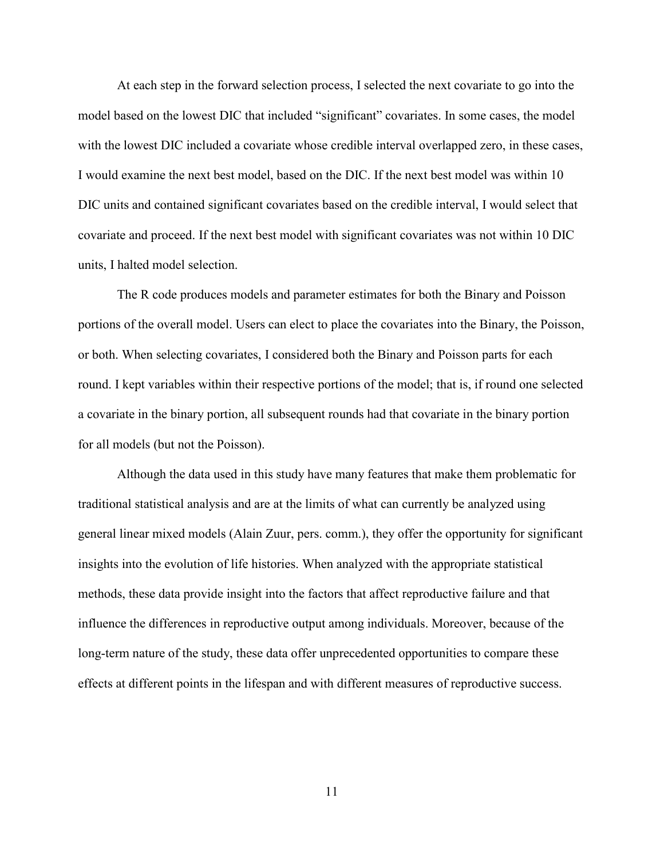At each step in the forward selection process, I selected the next covariate to go into the model based on the lowest DIC that included "significant" covariates. In some cases, the model with the lowest DIC included a covariate whose credible interval overlapped zero, in these cases, I would examine the next best model, based on the DIC. If the next best model was within 10 DIC units and contained significant covariates based on the credible interval, I would select that covariate and proceed. If the next best model with significant covariates was not within 10 DIC units, I halted model selection.

The R code produces models and parameter estimates for both the Binary and Poisson portions of the overall model. Users can elect to place the covariates into the Binary, the Poisson, or both. When selecting covariates, I considered both the Binary and Poisson parts for each round. I kept variables within their respective portions of the model; that is, if round one selected a covariate in the binary portion, all subsequent rounds had that covariate in the binary portion for all models (but not the Poisson).

 Although the data used in this study have many features that make them problematic for traditional statistical analysis and are at the limits of what can currently be analyzed using general linear mixed models (Alain Zuur, pers. comm.), they offer the opportunity for significant insights into the evolution of life histories. When analyzed with the appropriate statistical methods, these data provide insight into the factors that affect reproductive failure and that influence the differences in reproductive output among individuals. Moreover, because of the long-term nature of the study, these data offer unprecedented opportunities to compare these effects at different points in the lifespan and with different measures of reproductive success.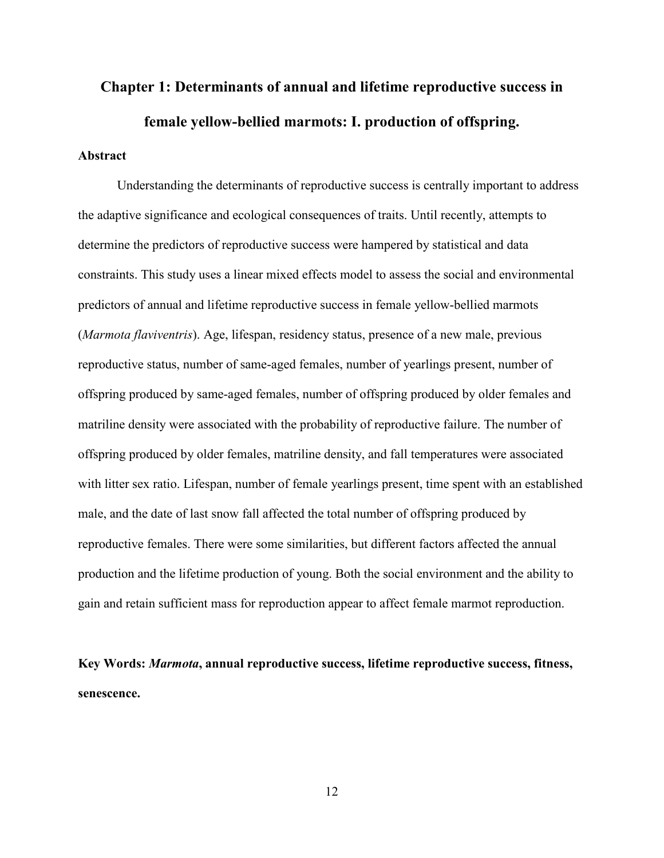# <span id="page-22-0"></span>**Chapter 1: Determinants of annual and lifetime reproductive success in female yellow-bellied marmots: I. production of offspring.**

# **Abstract**

 Understanding the determinants of reproductive success is centrally important to address the adaptive significance and ecological consequences of traits. Until recently, attempts to determine the predictors of reproductive success were hampered by statistical and data constraints. This study uses a linear mixed effects model to assess the social and environmental predictors of annual and lifetime reproductive success in female yellow-bellied marmots (*Marmota flaviventris*). Age, lifespan, residency status, presence of a new male, previous reproductive status, number of same-aged females, number of yearlings present, number of offspring produced by same-aged females, number of offspring produced by older females and matriline density were associated with the probability of reproductive failure. The number of offspring produced by older females, matriline density, and fall temperatures were associated with litter sex ratio. Lifespan, number of female yearlings present, time spent with an established male, and the date of last snow fall affected the total number of offspring produced by reproductive females. There were some similarities, but different factors affected the annual production and the lifetime production of young. Both the social environment and the ability to gain and retain sufficient mass for reproduction appear to affect female marmot reproduction.

**Key Words:** *Marmota***, annual reproductive success, lifetime reproductive success, fitness, senescence.**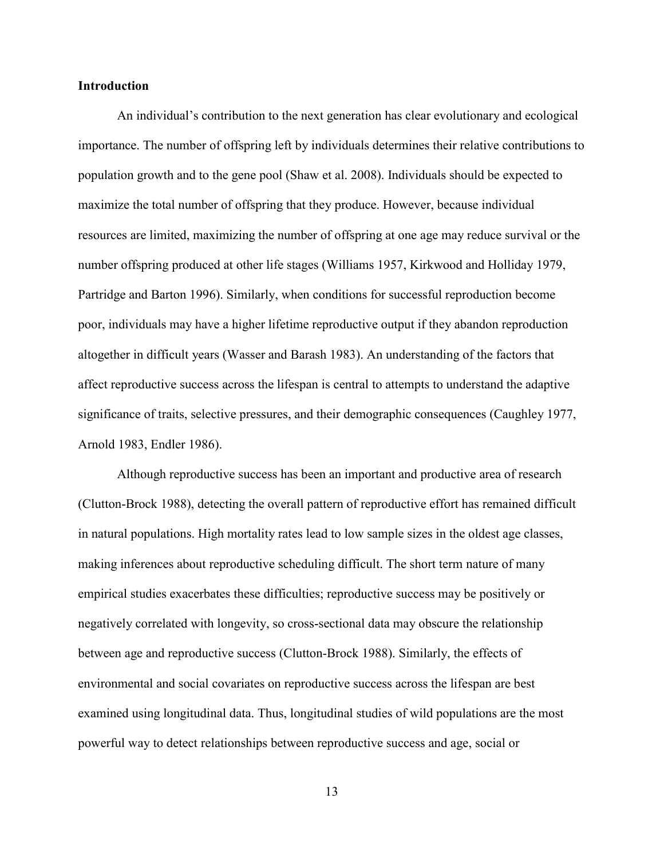#### <span id="page-23-0"></span>**Introduction**

An individual's contribution to the next generation has clear evolutionary and ecological importance. The number of offspring left by individuals determines their relative contributions to population growth and to the gene pool (Shaw et al. 2008). Individuals should be expected to maximize the total number of offspring that they produce. However, because individual resources are limited, maximizing the number of offspring at one age may reduce survival or the number offspring produced at other life stages (Williams 1957, Kirkwood and Holliday 1979, Partridge and Barton 1996). Similarly, when conditions for successful reproduction become poor, individuals may have a higher lifetime reproductive output if they abandon reproduction altogether in difficult years (Wasser and Barash 1983). An understanding of the factors that affect reproductive success across the lifespan is central to attempts to understand the adaptive significance of traits, selective pressures, and their demographic consequences (Caughley 1977, Arnold 1983, Endler 1986).

Although reproductive success has been an important and productive area of research (Clutton-Brock 1988), detecting the overall pattern of reproductive effort has remained difficult in natural populations. High mortality rates lead to low sample sizes in the oldest age classes, making inferences about reproductive scheduling difficult. The short term nature of many empirical studies exacerbates these difficulties; reproductive success may be positively or negatively correlated with longevity, so cross-sectional data may obscure the relationship between age and reproductive success (Clutton-Brock 1988). Similarly, the effects of environmental and social covariates on reproductive success across the lifespan are best examined using longitudinal data. Thus, longitudinal studies of wild populations are the most powerful way to detect relationships between reproductive success and age, social or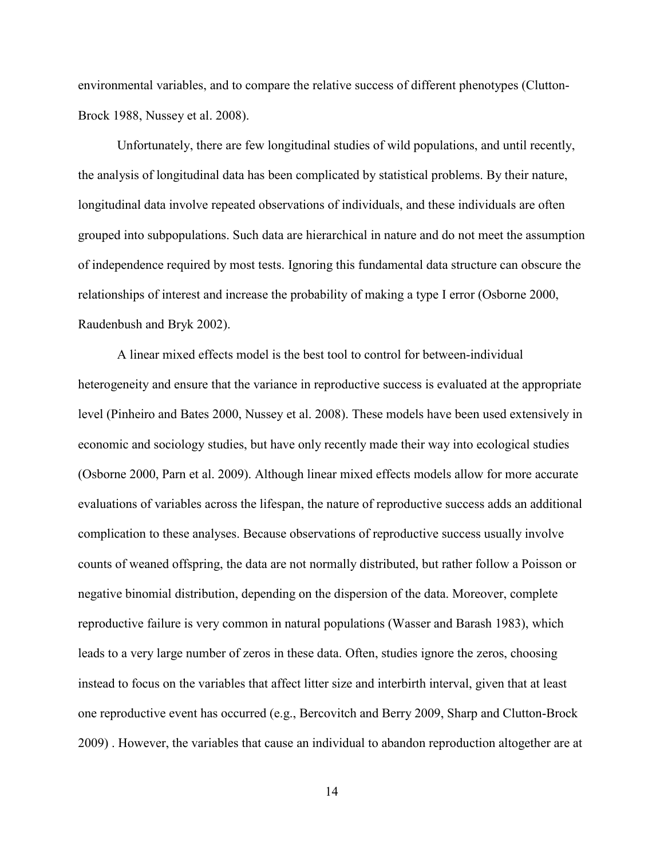environmental variables, and to compare the relative success of different phenotypes (Clutton-Brock 1988, Nussey et al. 2008).

Unfortunately, there are few longitudinal studies of wild populations, and until recently, the analysis of longitudinal data has been complicated by statistical problems. By their nature, longitudinal data involve repeated observations of individuals, and these individuals are often grouped into subpopulations. Such data are hierarchical in nature and do not meet the assumption of independence required by most tests. Ignoring this fundamental data structure can obscure the relationships of interest and increase the probability of making a type I error (Osborne 2000, Raudenbush and Bryk 2002).

A linear mixed effects model is the best tool to control for between-individual heterogeneity and ensure that the variance in reproductive success is evaluated at the appropriate level (Pinheiro and Bates 2000, Nussey et al. 2008). These models have been used extensively in economic and sociology studies, but have only recently made their way into ecological studies (Osborne 2000, Parn et al. 2009). Although linear mixed effects models allow for more accurate evaluations of variables across the lifespan, the nature of reproductive success adds an additional complication to these analyses. Because observations of reproductive success usually involve counts of weaned offspring, the data are not normally distributed, but rather follow a Poisson or negative binomial distribution, depending on the dispersion of the data. Moreover, complete reproductive failure is very common in natural populations (Wasser and Barash 1983), which leads to a very large number of zeros in these data. Often, studies ignore the zeros, choosing instead to focus on the variables that affect litter size and interbirth interval, given that at least one reproductive event has occurred (e.g., Bercovitch and Berry 2009, Sharp and Clutton-Brock 2009) . However, the variables that cause an individual to abandon reproduction altogether are at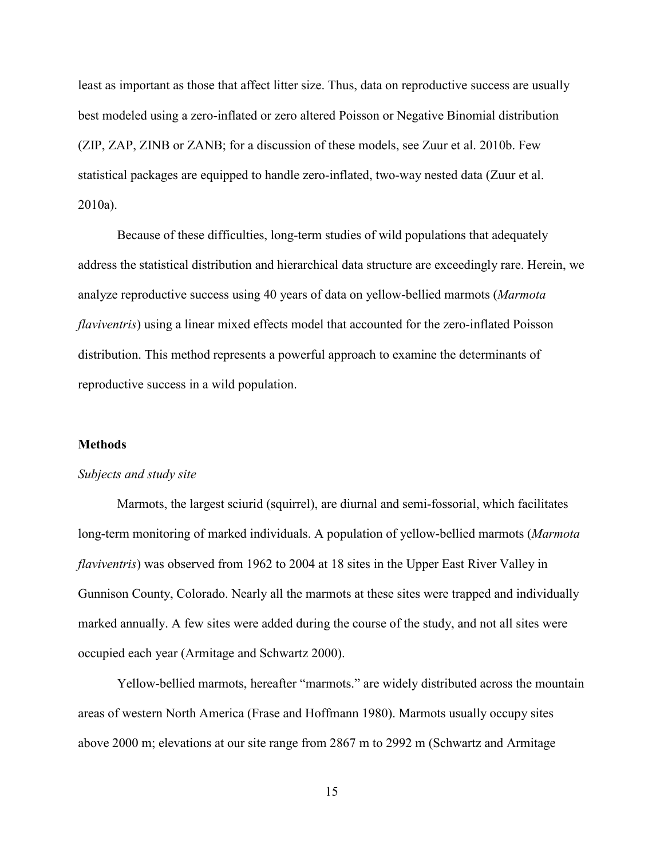<span id="page-25-0"></span>least as important as those that affect litter size. Thus, data on reproductive success are usually best modeled using a zero-inflated or zero altered Poisson or Negative Binomial distribution (ZIP, ZAP, ZINB or ZANB; for a discussion of these models, see Zuur et al. 2010b. Few statistical packages are equipped to handle zero-inflated, two-way nested data (Zuur et al. 2010a).

Because of these difficulties, long-term studies of wild populations that adequately address the statistical distribution and hierarchical data structure are exceedingly rare. Herein, we analyze reproductive success using 40 years of data on yellow-bellied marmots (*Marmota flaviventris*) using a linear mixed effects model that accounted for the zero-inflated Poisson distribution. This method represents a powerful approach to examine the determinants of reproductive success in a wild population.

#### **Methods**

#### *Subjects and study site*

Marmots, the largest sciurid (squirrel), are diurnal and semi-fossorial, which facilitates long-term monitoring of marked individuals. A population of yellow-bellied marmots (*Marmota flaviventris*) was observed from 1962 to 2004 at 18 sites in the Upper East River Valley in Gunnison County, Colorado. Nearly all the marmots at these sites were trapped and individually marked annually. A few sites were added during the course of the study, and not all sites were occupied each year (Armitage and Schwartz 2000).

Yellow-bellied marmots, hereafter "marmots." are widely distributed across the mountain areas of western North America (Frase and Hoffmann 1980). Marmots usually occupy sites above 2000 m; elevations at our site range from 2867 m to 2992 m (Schwartz and Armitage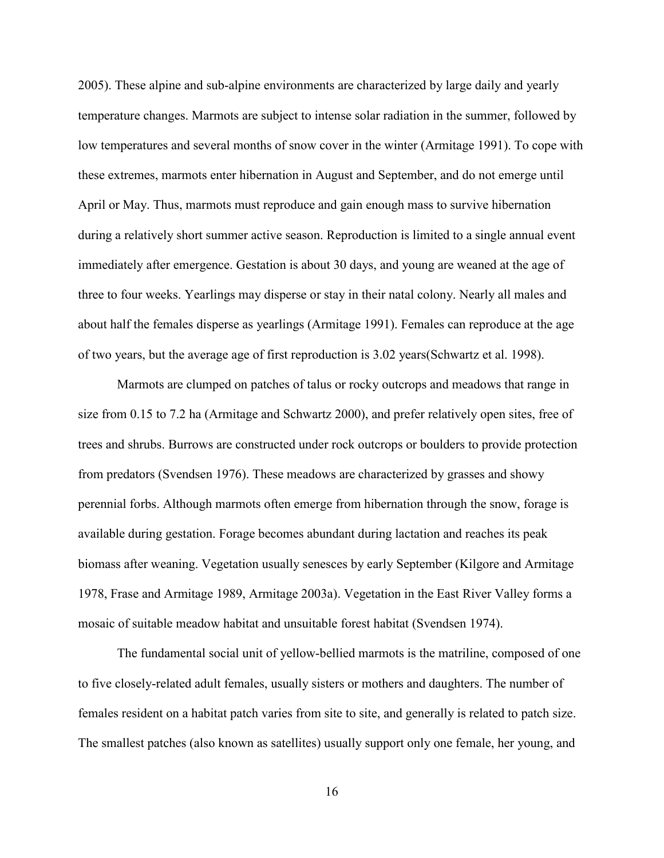2005). These alpine and sub-alpine environments are characterized by large daily and yearly temperature changes. Marmots are subject to intense solar radiation in the summer, followed by low temperatures and several months of snow cover in the winter (Armitage 1991). To cope with these extremes, marmots enter hibernation in August and September, and do not emerge until April or May. Thus, marmots must reproduce and gain enough mass to survive hibernation during a relatively short summer active season. Reproduction is limited to a single annual event immediately after emergence. Gestation is about 30 days, and young are weaned at the age of three to four weeks. Yearlings may disperse or stay in their natal colony. Nearly all males and about half the females disperse as yearlings (Armitage 1991). Females can reproduce at the age of two years, but the average age of first reproduction is 3.02 years(Schwartz et al. 1998).

Marmots are clumped on patches of talus or rocky outcrops and meadows that range in size from 0.15 to 7.2 ha (Armitage and Schwartz 2000), and prefer relatively open sites, free of trees and shrubs. Burrows are constructed under rock outcrops or boulders to provide protection from predators (Svendsen 1976). These meadows are characterized by grasses and showy perennial forbs. Although marmots often emerge from hibernation through the snow, forage is available during gestation. Forage becomes abundant during lactation and reaches its peak biomass after weaning. Vegetation usually senesces by early September (Kilgore and Armitage 1978, Frase and Armitage 1989, Armitage 2003a). Vegetation in the East River Valley forms a mosaic of suitable meadow habitat and unsuitable forest habitat (Svendsen 1974).

The fundamental social unit of yellow-bellied marmots is the matriline, composed of one to five closely-related adult females, usually sisters or mothers and daughters. The number of females resident on a habitat patch varies from site to site, and generally is related to patch size. The smallest patches (also known as satellites) usually support only one female, her young, and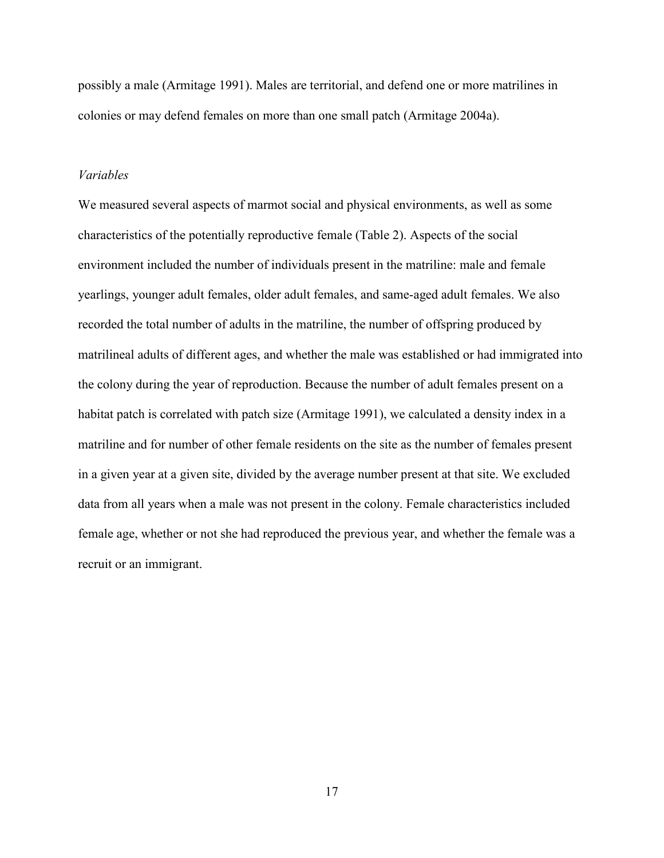<span id="page-27-0"></span>possibly a male (Armitage 1991). Males are territorial, and defend one or more matrilines in colonies or may defend females on more than one small patch (Armitage 2004a).

#### *Variables*

We measured several aspects of marmot social and physical environments, as well as some characteristics of the potentially reproductive female (Table 2). Aspects of the social environment included the number of individuals present in the matriline: male and female yearlings, younger adult females, older adult females, and same-aged adult females. We also recorded the total number of adults in the matriline, the number of offspring produced by matrilineal adults of different ages, and whether the male was established or had immigrated into the colony during the year of reproduction. Because the number of adult females present on a habitat patch is correlated with patch size (Armitage 1991), we calculated a density index in a matriline and for number of other female residents on the site as the number of females present in a given year at a given site, divided by the average number present at that site. We excluded data from all years when a male was not present in the colony. Female characteristics included female age, whether or not she had reproduced the previous year, and whether the female was a recruit or an immigrant.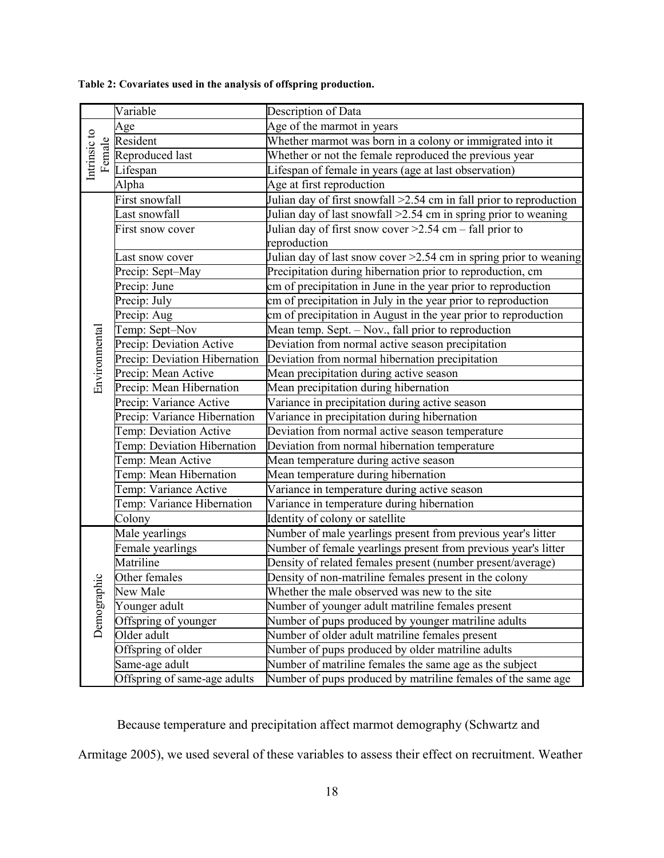|                        | Variable                      | Description of Data                                                  |  |  |
|------------------------|-------------------------------|----------------------------------------------------------------------|--|--|
|                        | Age                           | Age of the marmot in years                                           |  |  |
|                        | Resident                      | Whether marmot was born in a colony or immigrated into it            |  |  |
| Intrinsic to<br>Female | Reproduced last               | Whether or not the female reproduced the previous year               |  |  |
|                        | Lifespan                      | Lifespan of female in years (age at last observation)                |  |  |
|                        | Alpha                         | Age at first reproduction                                            |  |  |
|                        | First snowfall                | Julian day of first snowfall > 2.54 cm in fall prior to reproduction |  |  |
|                        | Last snowfall                 | Julian day of last snowfall >2.54 cm in spring prior to weaning      |  |  |
|                        | First snow cover              | Julian day of first snow cover $\geq$ 2.54 cm - fall prior to        |  |  |
|                        |                               | reproduction                                                         |  |  |
|                        | Last snow cover               | Julian day of last snow cover > 2.54 cm in spring prior to weaning   |  |  |
|                        | Precip: Sept-May              | Precipitation during hibernation prior to reproduction, cm           |  |  |
|                        | Precip: June                  | cm of precipitation in June in the year prior to reproduction        |  |  |
|                        | Precip: July                  | cm of precipitation in July in the year prior to reproduction        |  |  |
|                        | Precip: Aug                   | cm of precipitation in August in the year prior to reproduction      |  |  |
|                        | Temp: Sept-Nov                | Mean temp. Sept. - Nov., fall prior to reproduction                  |  |  |
|                        | Precip: Deviation Active      | Deviation from normal active season precipitation                    |  |  |
| Environmental          | Precip: Deviation Hibernation | Deviation from normal hibernation precipitation                      |  |  |
|                        | Precip: Mean Active           | Mean precipitation during active season                              |  |  |
|                        | Precip: Mean Hibernation      | Mean precipitation during hibernation                                |  |  |
|                        | Precip: Variance Active       | Variance in precipitation during active season                       |  |  |
|                        | Precip: Variance Hibernation  | Variance in precipitation during hibernation                         |  |  |
|                        | Temp: Deviation Active        | Deviation from normal active season temperature                      |  |  |
|                        | Temp: Deviation Hibernation   | Deviation from normal hibernation temperature                        |  |  |
|                        | Temp: Mean Active             | Mean temperature during active season                                |  |  |
|                        | Temp: Mean Hibernation        | Mean temperature during hibernation                                  |  |  |
|                        | Temp: Variance Active         | Variance in temperature during active season                         |  |  |
|                        | Temp: Variance Hibernation    | Variance in temperature during hibernation                           |  |  |
|                        | Colony                        | Identity of colony or satellite                                      |  |  |
|                        | Male yearlings                | Number of male yearlings present from previous year's litter         |  |  |
|                        | Female yearlings              | Number of female yearlings present from previous year's litter       |  |  |
|                        | Matriline                     | Density of related females present (number present/average)          |  |  |
| hic                    | Other females                 | Density of non-matriline females present in the colony               |  |  |
|                        | New Male                      | Whether the male observed was new to the site                        |  |  |
|                        | Younger adult                 | Number of younger adult matriline females present                    |  |  |
| Demograp               | Offspring of younger          | Number of pups produced by younger matriline adults                  |  |  |
|                        | Older adult                   | Number of older adult matriline females present                      |  |  |
|                        | Offspring of older            | Number of pups produced by older matriline adults                    |  |  |
|                        | Same-age adult                | Number of matriline females the same age as the subject              |  |  |
|                        | Offspring of same-age adults  | Number of pups produced by matriline females of the same age         |  |  |

<span id="page-28-0"></span>**Table 2: Covariates used in the analysis of offspring production.**

Because temperature and precipitation affect marmot demography (Schwartz and

Armitage 2005), we used several of these variables to assess their effect on recruitment. Weather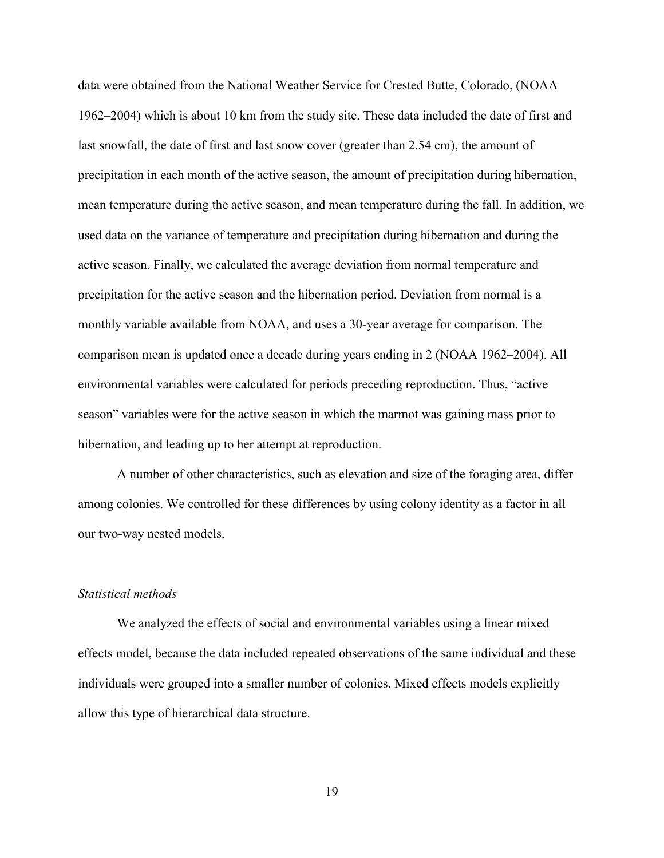<span id="page-29-0"></span>data were obtained from the National Weather Service for Crested Butte, Colorado, (NOAA 1962–2004) which is about 10 km from the study site. These data included the date of first and last snowfall, the date of first and last snow cover (greater than 2.54 cm), the amount of precipitation in each month of the active season, the amount of precipitation during hibernation, mean temperature during the active season, and mean temperature during the fall. In addition, we used data on the variance of temperature and precipitation during hibernation and during the active season. Finally, we calculated the average deviation from normal temperature and precipitation for the active season and the hibernation period. Deviation from normal is a monthly variable available from NOAA, and uses a 30-year average for comparison. The comparison mean is updated once a decade during years ending in 2 (NOAA 1962–2004). All environmental variables were calculated for periods preceding reproduction. Thus, "active season" variables were for the active season in which the marmot was gaining mass prior to hibernation, and leading up to her attempt at reproduction.

 A number of other characteristics, such as elevation and size of the foraging area, differ among colonies. We controlled for these differences by using colony identity as a factor in all our two-way nested models.

#### *Statistical methods*

We analyzed the effects of social and environmental variables using a linear mixed effects model, because the data included repeated observations of the same individual and these individuals were grouped into a smaller number of colonies. Mixed effects models explicitly allow this type of hierarchical data structure.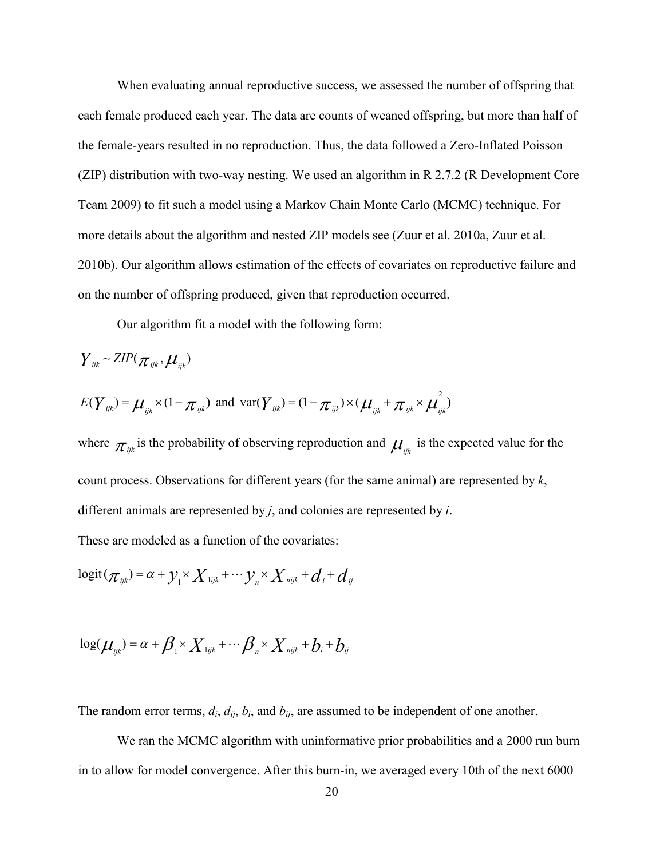When evaluating annual reproductive success, we assessed the number of offspring that each female produced each year. The data are counts of weaned offspring, but more than half of the female-years resulted in no reproduction. Thus, the data followed a Zero-Inflated Poisson (ZIP) distribution with two-way nesting. We used an algorithm in R 2.7.2 (R Development Core Team 2009) to fit such a model using a Markov Chain Monte Carlo (MCMC) technique. For more details about the algorithm and nested ZIP models see (Zuur et al. 2010a, Zuur et al. 2010b). Our algorithm allows estimation of the effects of covariates on reproductive failure and on the number of offspring produced, given that reproduction occurred.

Our algorithm fit a model with the following form:

$$
Y_{ijk} \sim ZIP(\pi_{ijk}, \mu_{ijk})
$$
  

$$
E(Y_{ijk}) = \mu_{ijk} \times (1 - \pi_{ijk}) \text{ and } \text{var}(Y_{ijk}) = (1 - \pi_{ijk}) \times (\mu_{ijk} + \pi_{ijk} \times \mu_{ijk}^2)
$$

where  $\pi_{ijk}$  is the probability of observing reproduction and  $\mu_{ijk}$  is the expected value for the count process. Observations for different years (for the same animal) are represented by *k*, different animals are represented by *j*, and colonies are represented by *i*. These are modeled as a function of the covariates:

$$
logit(\pi_{ijk}) = \alpha + y_i \times X_{ijk} + \cdots y_n \times X_{ijk} + d_i + d_{ij}
$$

$$
\log(\mu_{ijk}) = \alpha + \beta_{1} \times X_{ijk} + \cdots + \beta_{n} \times X_{ijk} + b_{i} + b_{ij}
$$

The random error terms,  $d_i$ ,  $d_{ij}$ ,  $b_i$ , and  $b_{ij}$ , are assumed to be independent of one another.

We ran the MCMC algorithm with uninformative prior probabilities and a 2000 run burn in to allow for model convergence. After this burn-in, we averaged every 10th of the next 6000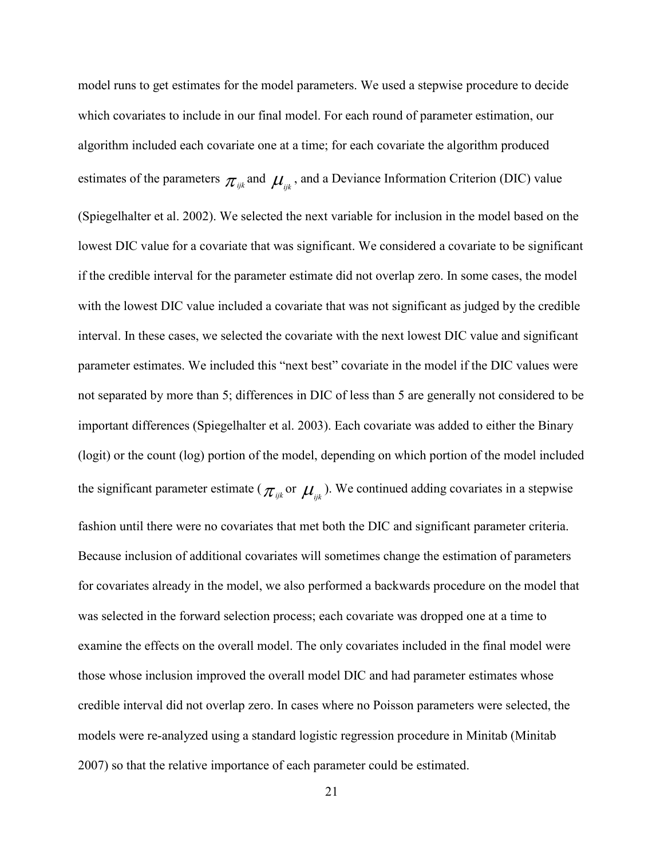model runs to get estimates for the model parameters. We used a stepwise procedure to decide which covariates to include in our final model. For each round of parameter estimation, our algorithm included each covariate one at a time; for each covariate the algorithm produced estimates of the parameters  $\pi_{ijk}$  and  $\mu_{ijk}$ , and a Deviance Information Criterion (DIC) value (Spiegelhalter et al. 2002). We selected the next variable for inclusion in the model based on the lowest DIC value for a covariate that was significant. We considered a covariate to be significant if the credible interval for the parameter estimate did not overlap zero. In some cases, the model with the lowest DIC value included a covariate that was not significant as judged by the credible interval. In these cases, we selected the covariate with the next lowest DIC value and significant parameter estimates. We included this "next best" covariate in the model if the DIC values were not separated by more than 5; differences in DIC of less than 5 are generally not considered to be important differences (Spiegelhalter et al. 2003). Each covariate was added to either the Binary (logit) or the count (log) portion of the model, depending on which portion of the model included the significant parameter estimate ( $\pi_{ijk}$  or  $\mu_{ijk}$ ). We continued adding covariates in a stepwise fashion until there were no covariates that met both the DIC and significant parameter criteria. Because inclusion of additional covariates will sometimes change the estimation of parameters for covariates already in the model, we also performed a backwards procedure on the model that was selected in the forward selection process; each covariate was dropped one at a time to examine the effects on the overall model. The only covariates included in the final model were those whose inclusion improved the overall model DIC and had parameter estimates whose credible interval did not overlap zero. In cases where no Poisson parameters were selected, the models were re-analyzed using a standard logistic regression procedure in Minitab (Minitab 2007) so that the relative importance of each parameter could be estimated.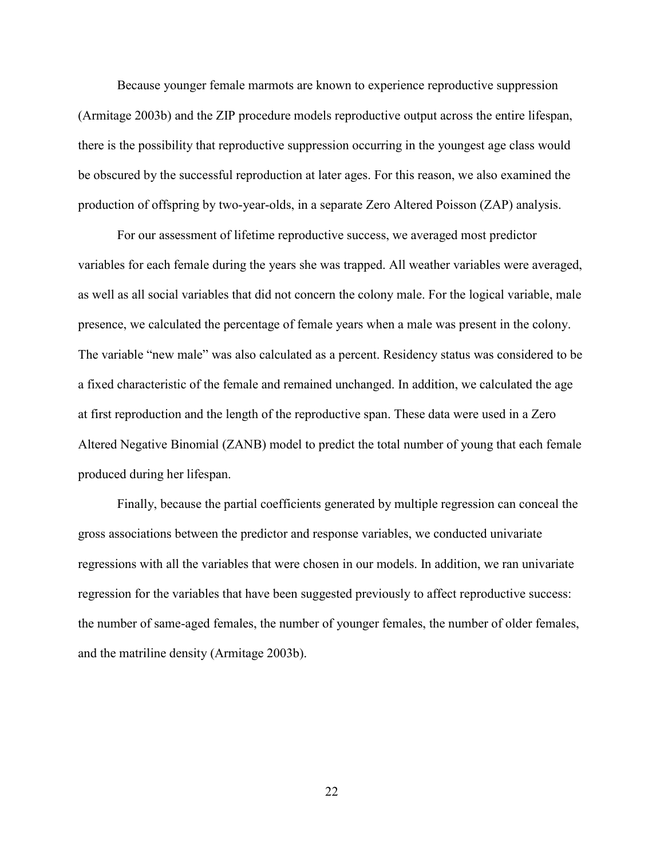Because younger female marmots are known to experience reproductive suppression (Armitage 2003b) and the ZIP procedure models reproductive output across the entire lifespan, there is the possibility that reproductive suppression occurring in the youngest age class would be obscured by the successful reproduction at later ages. For this reason, we also examined the production of offspring by two-year-olds, in a separate Zero Altered Poisson (ZAP) analysis.

For our assessment of lifetime reproductive success, we averaged most predictor variables for each female during the years she was trapped. All weather variables were averaged, as well as all social variables that did not concern the colony male. For the logical variable, male presence, we calculated the percentage of female years when a male was present in the colony. The variable "new male" was also calculated as a percent. Residency status was considered to be a fixed characteristic of the female and remained unchanged. In addition, we calculated the age at first reproduction and the length of the reproductive span. These data were used in a Zero Altered Negative Binomial (ZANB) model to predict the total number of young that each female produced during her lifespan.

Finally, because the partial coefficients generated by multiple regression can conceal the gross associations between the predictor and response variables, we conducted univariate regressions with all the variables that were chosen in our models. In addition, we ran univariate regression for the variables that have been suggested previously to affect reproductive success: the number of same-aged females, the number of younger females, the number of older females, and the matriline density (Armitage 2003b).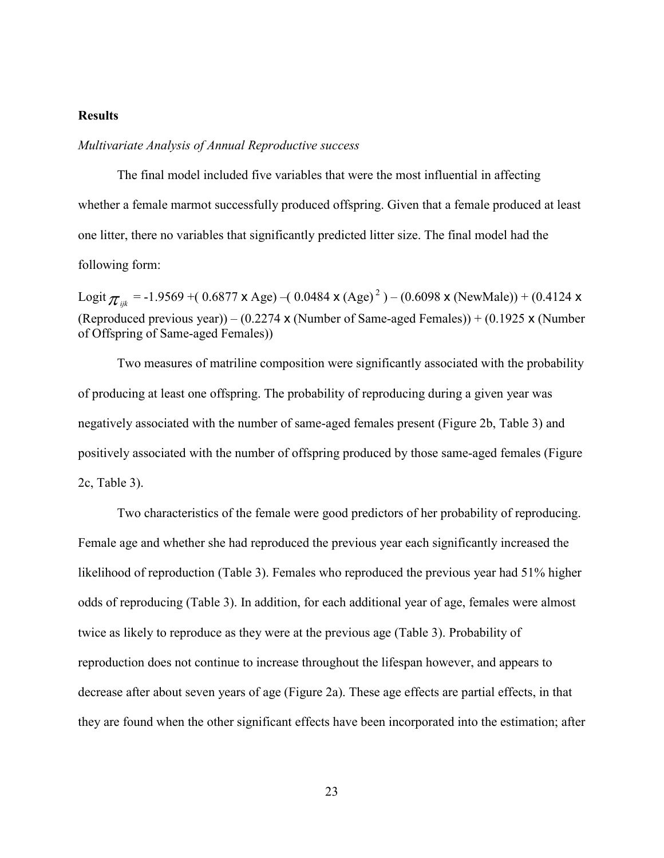## <span id="page-33-0"></span>**Results**

#### *Multivariate Analysis of Annual Reproductive success*

 The final model included five variables that were the most influential in affecting whether a female marmot successfully produced offspring. Given that a female produced at least one litter, there no variables that significantly predicted litter size. The final model had the following form:

Logit  $\pi_{ijk}$  = -1.9569 +( 0.6877 x Age) –( 0.0484 x (Age)<sup>2</sup>) – (0.6098 x (NewMale)) + (0.4124 x (Reproduced previous year)) – (0.2274 x (Number of Same-aged Females)) + (0.1925 x (Number of Offspring of Same-aged Females))

Two measures of matriline composition were significantly associated with the probability of producing at least one offspring. The probability of reproducing during a given year was negatively associated with the number of same-aged females present (Figure 2b, Table 3) and positively associated with the number of offspring produced by those same-aged females (Figure 2c, Table 3).

Two characteristics of the female were good predictors of her probability of reproducing. Female age and whether she had reproduced the previous year each significantly increased the likelihood of reproduction (Table 3). Females who reproduced the previous year had 51% higher odds of reproducing (Table 3). In addition, for each additional year of age, females were almost twice as likely to reproduce as they were at the previous age (Table 3). Probability of reproduction does not continue to increase throughout the lifespan however, and appears to decrease after about seven years of age (Figure 2a). These age effects are partial effects, in that they are found when the other significant effects have been incorporated into the estimation; after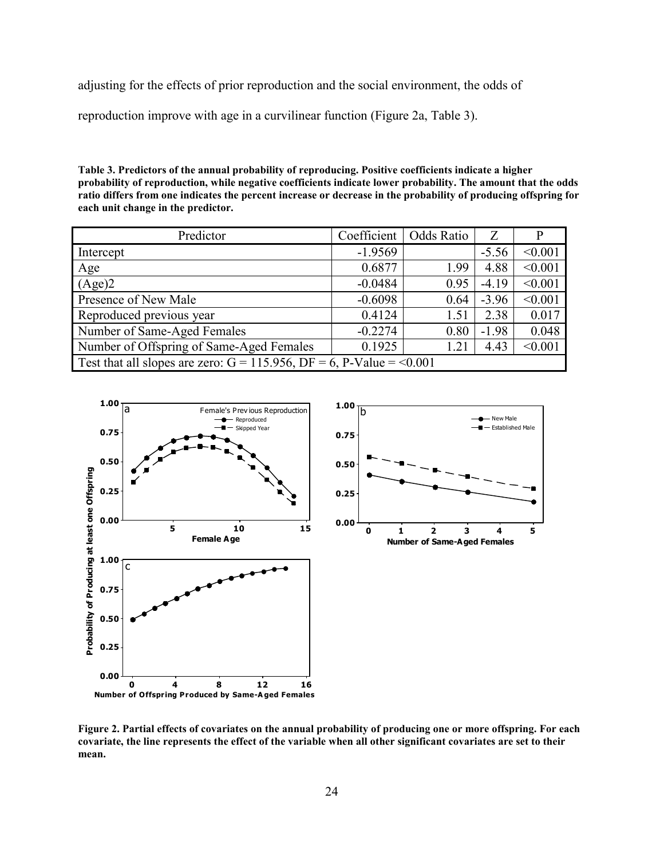<span id="page-34-0"></span>adjusting for the effects of prior reproduction and the social environment, the odds of

reproduction improve with age in a curvilinear function (Figure 2a, Table 3).

**Table 3. Predictors of the annual probability of reproducing. Positive coefficients indicate a higher probability of reproduction, while negative coefficients indicate lower probability. The amount that the odds ratio differs from one indicates the percent increase or decrease in the probability of producing offspring for each unit change in the predictor.** 

| Predictor                                                                  | Coefficient | Odds Ratio | Z       |         |
|----------------------------------------------------------------------------|-------------|------------|---------|---------|
| Intercept                                                                  | $-1.9569$   |            | $-5.56$ | < 0.001 |
| Age                                                                        | 0.6877      | 1.99       | 4.88    | < 0.001 |
| (Age)2                                                                     | $-0.0484$   | 0.95       | $-4.19$ | < 0.001 |
| Presence of New Male                                                       | $-0.6098$   | 0.64       | $-3.96$ | < 0.001 |
| Reproduced previous year                                                   | 0.4124      | 1.51       | 2.38    | 0.017   |
| Number of Same-Aged Females                                                | $-0.2274$   | 0.80       | $-1.98$ | 0.048   |
| Number of Offspring of Same-Aged Females                                   | 0.1925      | 1.21       | 4.43    | < 0.001 |
| Test that all slopes are zero: $G = 115.956$ , $DF = 6$ , P-Value = <0.001 |             |            |         |         |



**Figure 2. Partial effects of covariates on the annual probability of producing one or more offspring. For each covariate, the line represents the effect of the variable when all other significant covariates are set to their mean.**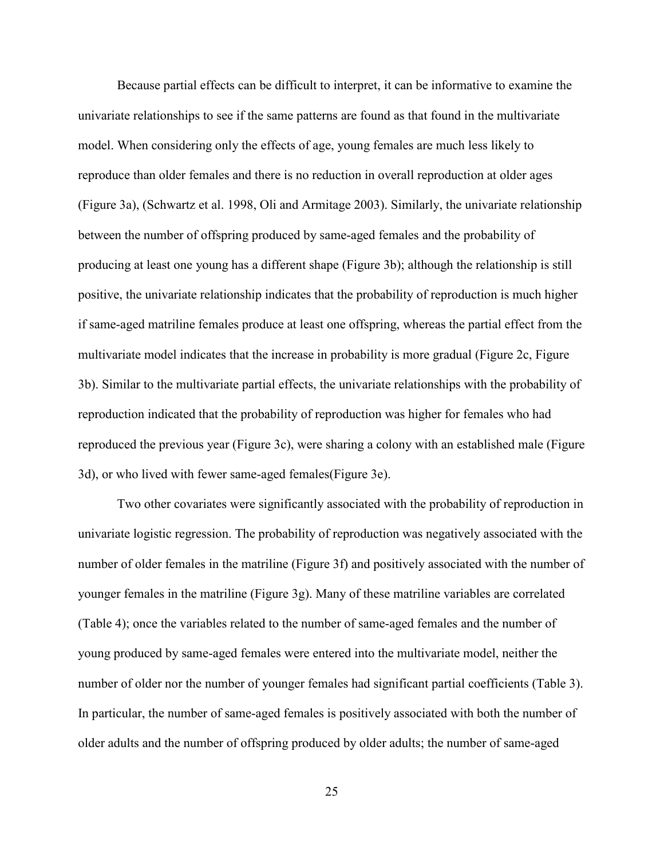Because partial effects can be difficult to interpret, it can be informative to examine the univariate relationships to see if the same patterns are found as that found in the multivariate model. When considering only the effects of age, young females are much less likely to reproduce than older females and there is no reduction in overall reproduction at older ages (Figure 3a), (Schwartz et al. 1998, Oli and Armitage 2003). Similarly, the univariate relationship between the number of offspring produced by same-aged females and the probability of producing at least one young has a different shape (Figure 3b); although the relationship is still positive, the univariate relationship indicates that the probability of reproduction is much higher if same-aged matriline females produce at least one offspring, whereas the partial effect from the multivariate model indicates that the increase in probability is more gradual (Figure 2c, Figure 3b). Similar to the multivariate partial effects, the univariate relationships with the probability of reproduction indicated that the probability of reproduction was higher for females who had reproduced the previous year (Figure 3c), were sharing a colony with an established male (Figure 3d), or who lived with fewer same-aged females(Figure 3e).

Two other covariates were significantly associated with the probability of reproduction in univariate logistic regression. The probability of reproduction was negatively associated with the number of older females in the matriline (Figure 3f) and positively associated with the number of younger females in the matriline (Figure 3g). Many of these matriline variables are correlated (Table 4); once the variables related to the number of same-aged females and the number of young produced by same-aged females were entered into the multivariate model, neither the number of older nor the number of younger females had significant partial coefficients (Table 3). In particular, the number of same-aged females is positively associated with both the number of older adults and the number of offspring produced by older adults; the number of same-aged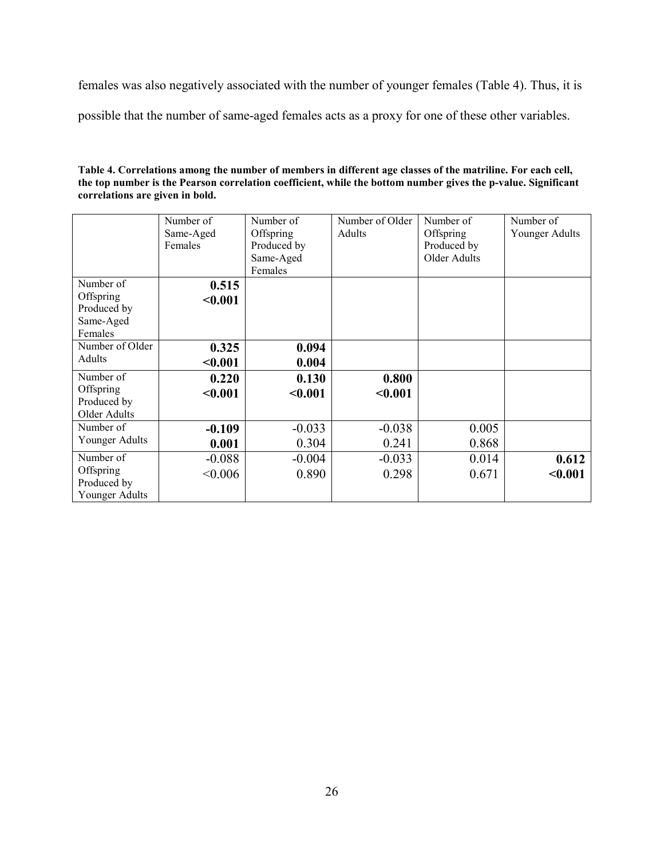females was also negatively associated with the number of younger females (Table 4). Thus, it is

possible that the number of same-aged females acts as a proxy for one of these other variables.

| Table 4. Correlations among the number of members in different age classes of the matriline. For each cell,   |
|---------------------------------------------------------------------------------------------------------------|
| the top number is the Pearson correlation coefficient, while the bottom number gives the p-value. Significant |
| correlations are given in bold.                                                                               |

|                     | Number of<br>Same-Aged | Number of<br>Offspring | Number of Older<br>Adults | Number of<br>Offspring      | Number of<br>Younger Adults |
|---------------------|------------------------|------------------------|---------------------------|-----------------------------|-----------------------------|
|                     | Females                |                        |                           |                             |                             |
|                     |                        | Produced by            |                           | Produced by<br>Older Adults |                             |
|                     |                        | Same-Aged              |                           |                             |                             |
|                     |                        | Females                |                           |                             |                             |
| Number of           | 0.515                  |                        |                           |                             |                             |
| Offspring           | < 0.001                |                        |                           |                             |                             |
| Produced by         |                        |                        |                           |                             |                             |
| Same-Aged           |                        |                        |                           |                             |                             |
| Females             |                        |                        |                           |                             |                             |
| Number of Older     | 0.325                  | 0.094                  |                           |                             |                             |
| Adults              | < 0.001                | 0.004                  |                           |                             |                             |
| Number of           | 0.220                  | 0.130                  | 0.800                     |                             |                             |
| Offspring           | < 0.001                | < 0.001                | < 0.001                   |                             |                             |
| Produced by         |                        |                        |                           |                             |                             |
| <b>Older Adults</b> |                        |                        |                           |                             |                             |
| Number of           | $-0.109$               | $-0.033$               | $-0.038$                  | 0.005                       |                             |
| Younger Adults      | 0.001                  | 0.304                  | 0.241                     | 0.868                       |                             |
| Number of           | $-0.088$               | $-0.004$               | $-0.033$                  | 0.014                       | 0.612                       |
| Offspring           | < 0.006                | 0.890                  | 0.298                     | 0.671                       | < 0.001                     |
| Produced by         |                        |                        |                           |                             |                             |
| Younger Adults      |                        |                        |                           |                             |                             |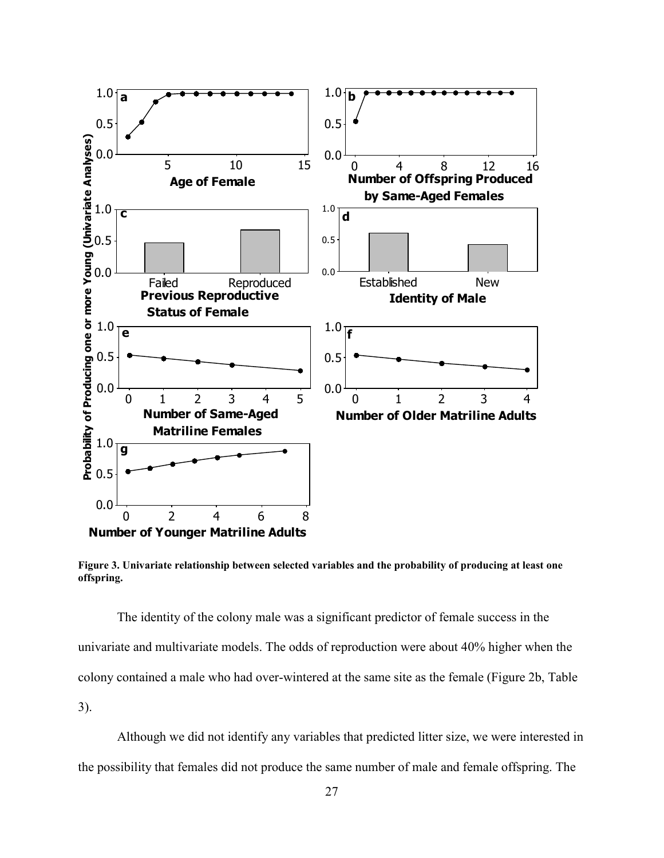

**Figure 3. Univariate relationship between selected variables and the probability of producing at least one offspring.** 

The identity of the colony male was a significant predictor of female success in the univariate and multivariate models. The odds of reproduction were about 40% higher when the colony contained a male who had over-wintered at the same site as the female (Figure 2b, Table 3).

 Although we did not identify any variables that predicted litter size, we were interested in the possibility that females did not produce the same number of male and female offspring. The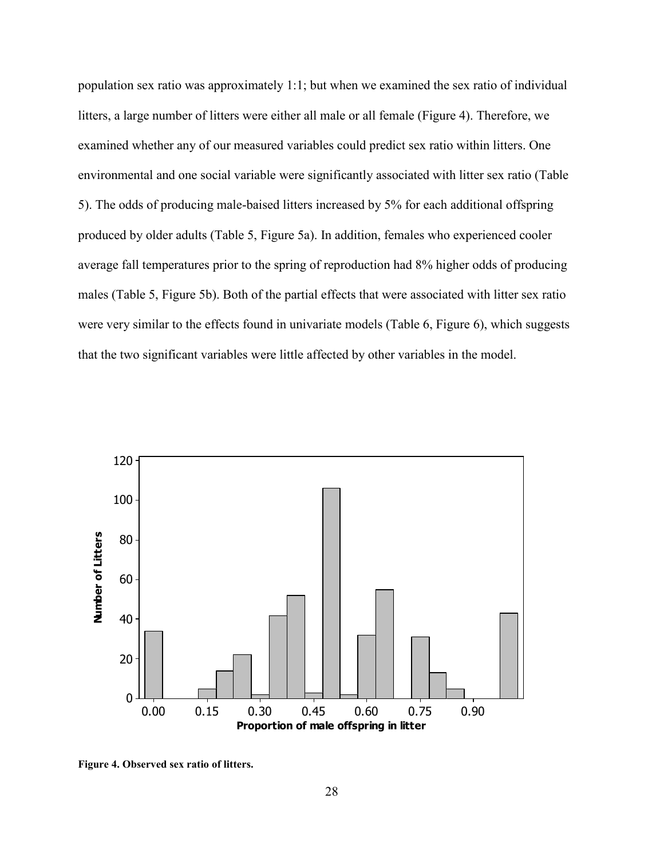population sex ratio was approximately 1:1; but when we examined the sex ratio of individual litters, a large number of litters were either all male or all female (Figure 4). Therefore, we examined whether any of our measured variables could predict sex ratio within litters. One environmental and one social variable were significantly associated with litter sex ratio (Table 5). The odds of producing male-baised litters increased by 5% for each additional offspring produced by older adults (Table 5, Figure 5a). In addition, females who experienced cooler average fall temperatures prior to the spring of reproduction had 8% higher odds of producing males (Table 5, Figure 5b). Both of the partial effects that were associated with litter sex ratio were very similar to the effects found in univariate models (Table 6, Figure 6), which suggests that the two significant variables were little affected by other variables in the model.



**Figure 4. Observed sex ratio of litters.**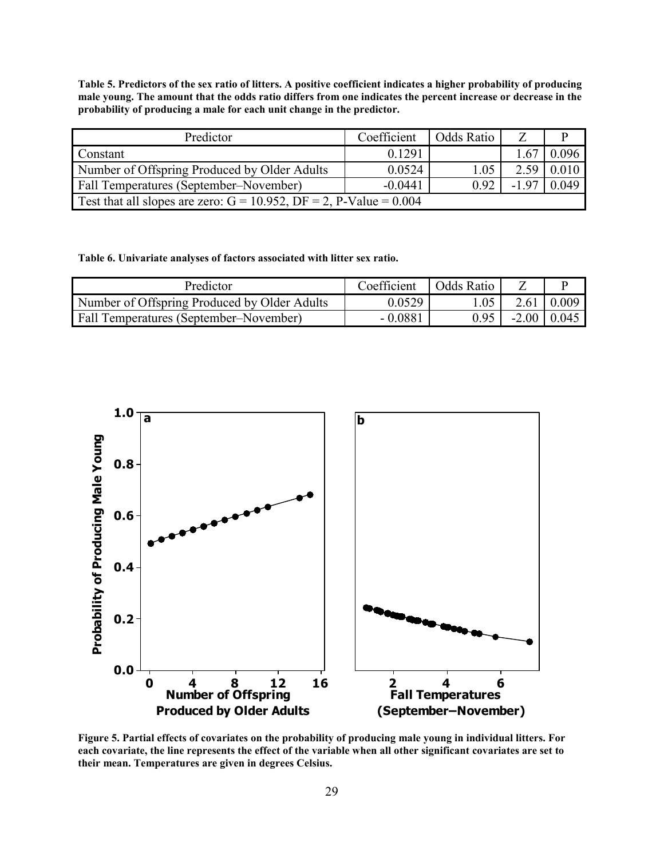**Table 5. Predictors of the sex ratio of litters. A positive coefficient indicates a higher probability of producing male young. The amount that the odds ratio differs from one indicates the percent increase or decrease in the probability of producing a male for each unit change in the predictor.** 

| Predictor                                                                | Coefficient | Odds Ratio |        |       |
|--------------------------------------------------------------------------|-------------|------------|--------|-------|
| Constant                                                                 | 0.1291      |            | .67    | 0.096 |
| Number of Offspring Produced by Older Adults                             | 0.0524      | 1.05       | 2.59   | 0.010 |
| Fall Temperatures (September–November)                                   | $-0.0441$   | 0.92       | $-197$ | 0.049 |
| Test that all slopes are zero: $G = 10.952$ , $DF = 2$ , P-Value = 0.004 |             |            |        |       |

**Table 6. Univariate analyses of factors associated with litter sex ratio.** 

| Predictor                                     | Coefficient | Odds Ratio |                    |       |
|-----------------------------------------------|-------------|------------|--------------------|-------|
| Number of Offspring Produced by Older Adults  | 0.0529      | .05        | 2.61               | 0.009 |
| <b>Fall Temperatures (September–November)</b> | $-0.0881$   | 0.95       | $-2.00 \mid 0.045$ |       |



**Figure 5. Partial effects of covariates on the probability of producing male young in individual litters. For each covariate, the line represents the effect of the variable when all other significant covariates are set to their mean. Temperatures are given in degrees Celsius.**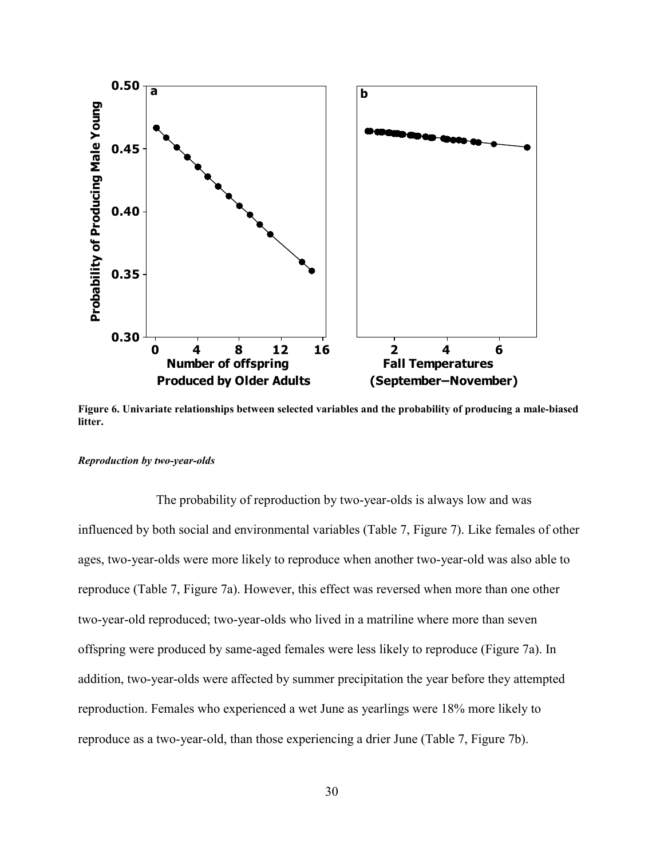

**Figure 6. Univariate relationships between selected variables and the probability of producing a male-biased litter.** 

#### *Reproduction by two-year-olds*

 The probability of reproduction by two-year-olds is always low and was influenced by both social and environmental variables (Table 7, Figure 7). Like females of other ages, two-year-olds were more likely to reproduce when another two-year-old was also able to reproduce (Table 7, Figure 7a). However, this effect was reversed when more than one other two-year-old reproduced; two-year-olds who lived in a matriline where more than seven offspring were produced by same-aged females were less likely to reproduce (Figure 7a). In addition, two-year-olds were affected by summer precipitation the year before they attempted reproduction. Females who experienced a wet June as yearlings were 18% more likely to reproduce as a two-year-old, than those experiencing a drier June (Table 7, Figure 7b).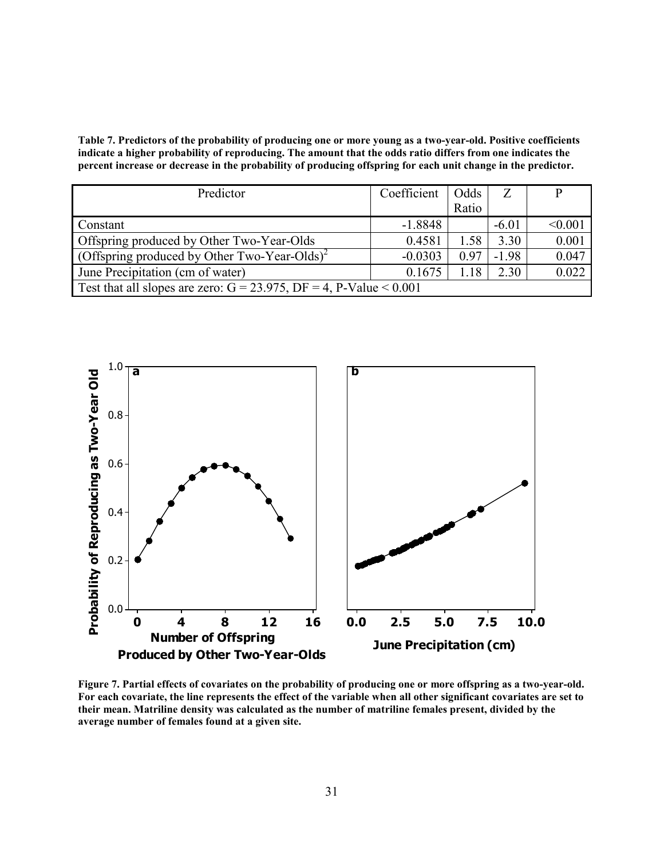**Table 7. Predictors of the probability of producing one or more young as a two-year-old. Positive coefficients indicate a higher probability of reproducing. The amount that the odds ratio differs from one indicates the percent increase or decrease in the probability of producing offspring for each unit change in the predictor.** 

| Predictor                                                                | Coefficient | Odds  |         | р       |  |
|--------------------------------------------------------------------------|-------------|-------|---------|---------|--|
|                                                                          |             | Ratio |         |         |  |
| Constant                                                                 | $-1.8848$   |       | $-6.01$ | < 0.001 |  |
| Offspring produced by Other Two-Year-Olds                                | 0.4581      | 1.58  | 3.30    | 0.001   |  |
| (Offspring produced by Other Two-Year-Olds) <sup>2</sup>                 | $-0.0303$   | 0.97  | $-1.98$ | 0.047   |  |
| June Precipitation (cm of water)                                         | 0.1675      | 1.18  | 2.30    | 0.022   |  |
| Test that all slopes are zero: $G = 23.975$ , $DF = 4$ , P-Value < 0.001 |             |       |         |         |  |



**Figure 7. Partial effects of covariates on the probability of producing one or more offspring as a two-year-old. For each covariate, the line represents the effect of the variable when all other significant covariates are set to their mean. Matriline density was calculated as the number of matriline females present, divided by the average number of females found at a given site.**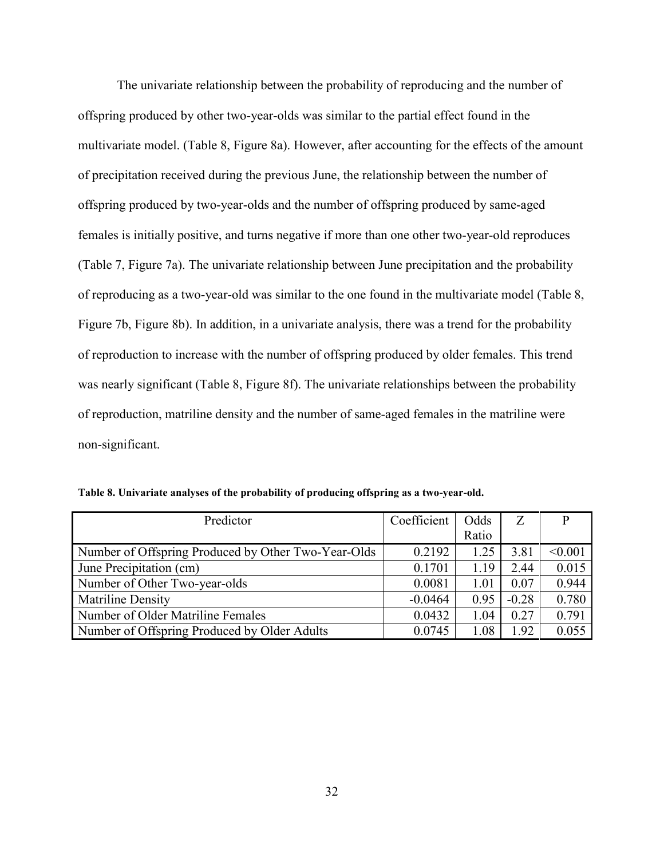The univariate relationship between the probability of reproducing and the number of offspring produced by other two-year-olds was similar to the partial effect found in the multivariate model. (Table 8, Figure 8a). However, after accounting for the effects of the amount of precipitation received during the previous June, the relationship between the number of offspring produced by two-year-olds and the number of offspring produced by same-aged females is initially positive, and turns negative if more than one other two-year-old reproduces (Table 7, Figure 7a). The univariate relationship between June precipitation and the probability of reproducing as a two-year-old was similar to the one found in the multivariate model (Table 8, Figure 7b, Figure 8b). In addition, in a univariate analysis, there was a trend for the probability of reproduction to increase with the number of offspring produced by older females. This trend was nearly significant (Table 8, Figure 8f). The univariate relationships between the probability of reproduction, matriline density and the number of same-aged females in the matriline were non-significant.

| Predictor                                           | Coefficient | Odds  | Ζ       | р       |
|-----------------------------------------------------|-------------|-------|---------|---------|
|                                                     |             | Ratio |         |         |
| Number of Offspring Produced by Other Two-Year-Olds | 0.2192      | 1.25  | 3.81    | < 0.001 |
| June Precipitation (cm)                             | 0.1701      | 1.19  | 2.44    | 0.015   |
| Number of Other Two-year-olds                       | 0.0081      | 1.01  | 0.07    | 0.944   |
| <b>Matriline Density</b>                            | $-0.0464$   | 0.95  | $-0.28$ | 0.780   |
| Number of Older Matriline Females                   | 0.0432      | 1.04  | 0.27    | 0.791   |
| Number of Offspring Produced by Older Adults        | 0.0745      | 1.08  | 1.92    | 0.055   |

**Table 8. Univariate analyses of the probability of producing offspring as a two-year-old.**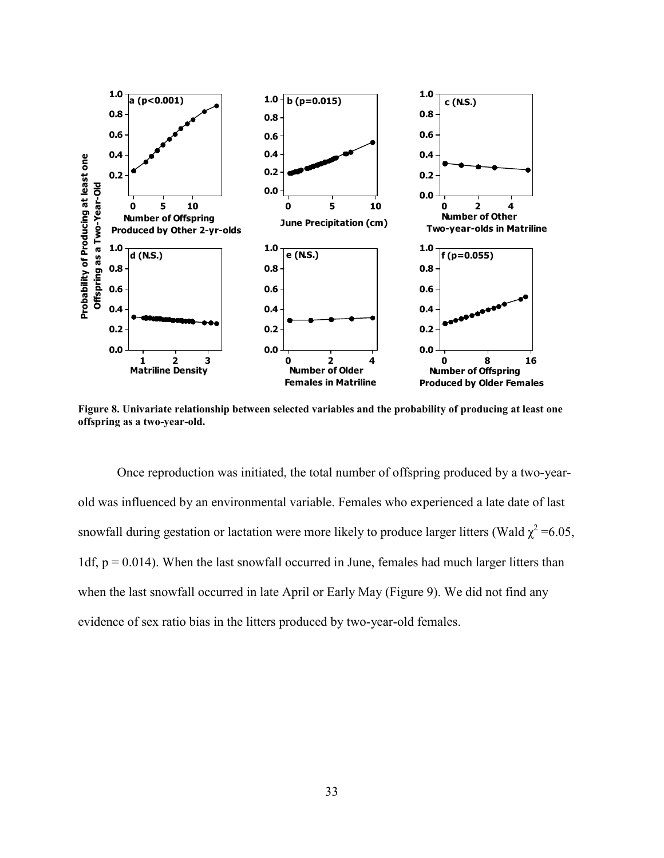

**Figure 8. Univariate relationship between selected variables and the probability of producing at least one offspring as a two-year-old.** 

Once reproduction was initiated, the total number of offspring produced by a two-yearold was influenced by an environmental variable. Females who experienced a late date of last snowfall during gestation or lactation were more likely to produce larger litters (Wald  $\chi^2$  =6.05, 1df,  $p = 0.014$ ). When the last snowfall occurred in June, females had much larger litters than when the last snowfall occurred in late April or Early May (Figure 9). We did not find any evidence of sex ratio bias in the litters produced by two-year-old females.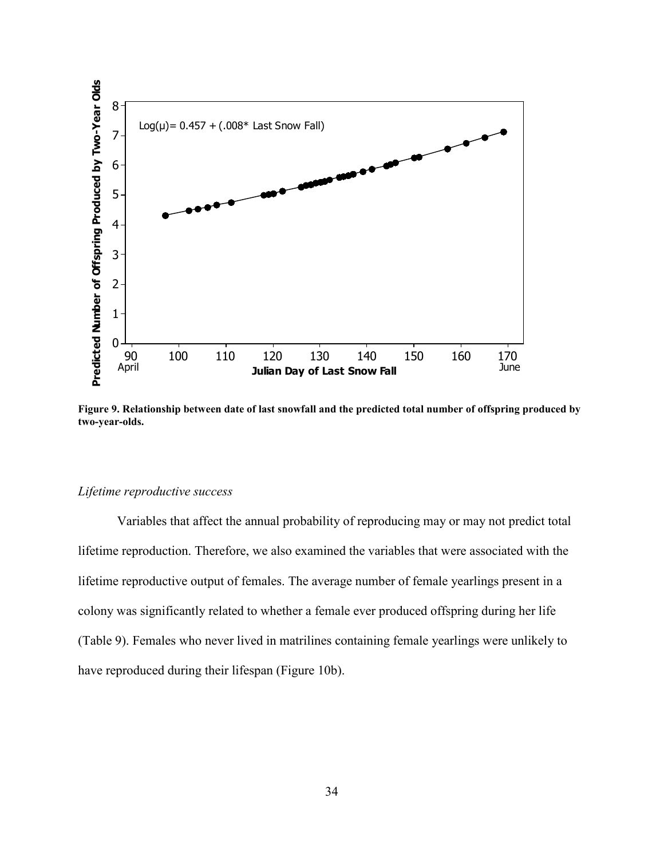

**Figure 9. Relationship between date of last snowfall and the predicted total number of offspring produced by two-year-olds.** 

## *Lifetime reproductive success*

 Variables that affect the annual probability of reproducing may or may not predict total lifetime reproduction. Therefore, we also examined the variables that were associated with the lifetime reproductive output of females. The average number of female yearlings present in a colony was significantly related to whether a female ever produced offspring during her life (Table 9). Females who never lived in matrilines containing female yearlings were unlikely to have reproduced during their lifespan (Figure 10b).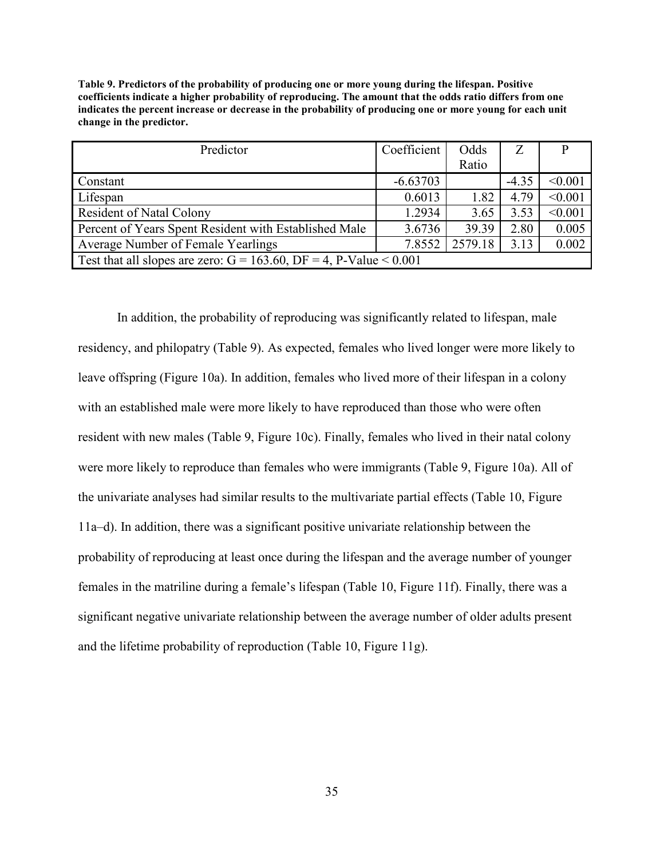| Predictor                                                                | Coefficient | Odds    | Z       |         |  |
|--------------------------------------------------------------------------|-------------|---------|---------|---------|--|
|                                                                          |             |         |         |         |  |
|                                                                          |             | Ratio   |         |         |  |
| Constant                                                                 | $-6.63703$  |         | $-4.35$ | < 0.001 |  |
| Lifespan                                                                 | 0.6013      | 1.82    | 4.79    | < 0.001 |  |
| Resident of Natal Colony                                                 | 1.2934      | 3.65    | 3.53    | < 0.001 |  |
| Percent of Years Spent Resident with Established Male                    | 3.6736      | 39.39   | 2.80    | 0.005   |  |
| Average Number of Female Yearlings                                       | 7.8552      | 2579.18 | 3.13    | 0.002   |  |
| Test that all slopes are zero: $G = 163.60$ , $DF = 4$ , P-Value < 0.001 |             |         |         |         |  |

**Table 9. Predictors of the probability of producing one or more young during the lifespan. Positive coefficients indicate a higher probability of reproducing. The amount that the odds ratio differs from one indicates the percent increase or decrease in the probability of producing one or more young for each unit change in the predictor.** 

 In addition, the probability of reproducing was significantly related to lifespan, male residency, and philopatry (Table 9). As expected, females who lived longer were more likely to leave offspring (Figure 10a). In addition, females who lived more of their lifespan in a colony with an established male were more likely to have reproduced than those who were often resident with new males (Table 9, Figure 10c). Finally, females who lived in their natal colony were more likely to reproduce than females who were immigrants (Table 9, Figure 10a). All of the univariate analyses had similar results to the multivariate partial effects (Table 10, Figure 11a–d). In addition, there was a significant positive univariate relationship between the probability of reproducing at least once during the lifespan and the average number of younger females in the matriline during a female's lifespan (Table 10, Figure 11f). Finally, there was a significant negative univariate relationship between the average number of older adults present and the lifetime probability of reproduction (Table 10, Figure 11g).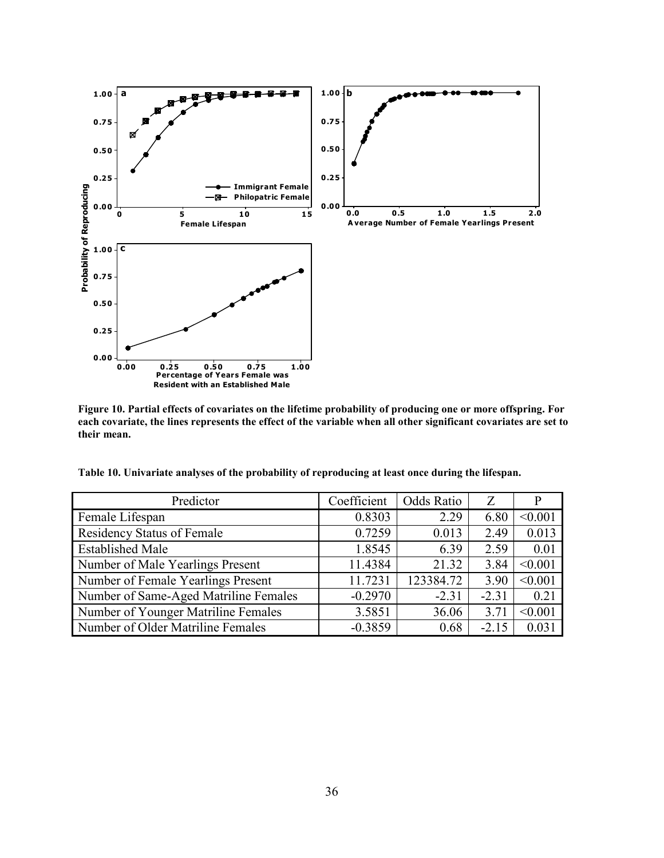

**Figure 10. Partial effects of covariates on the lifetime probability of producing one or more offspring. For each covariate, the lines represents the effect of the variable when all other significant covariates are set to their mean.** 

|  |  | Table 10. Univariate analyses of the probability of reproducing at least once during the lifespan. |  |  |
|--|--|----------------------------------------------------------------------------------------------------|--|--|
|  |  |                                                                                                    |  |  |

| Predictor                             | Coefficient | <b>Odds Ratio</b> | Z       |         |
|---------------------------------------|-------------|-------------------|---------|---------|
| Female Lifespan                       | 0.8303      | 2.29              | 6.80    | < 0.001 |
| <b>Residency Status of Female</b>     | 0.7259      | 0.013             | 2.49    | 0.013   |
| <b>Established Male</b>               | 1.8545      | 6.39              | 2.59    | 0.01    |
| Number of Male Yearlings Present      | 11.4384     | 21.32             | 3.84    | < 0.001 |
| Number of Female Yearlings Present    | 11.7231     | 123384.72         | 3.90    | < 0.001 |
| Number of Same-Aged Matriline Females | $-0.2970$   | $-2.31$           | $-2.31$ | 0.21    |
| Number of Younger Matriline Females   | 3.5851      | 36.06             | 3.71    | < 0.001 |
| Number of Older Matriline Females     | $-0.3859$   | 0.68              | $-2.15$ | 0.031   |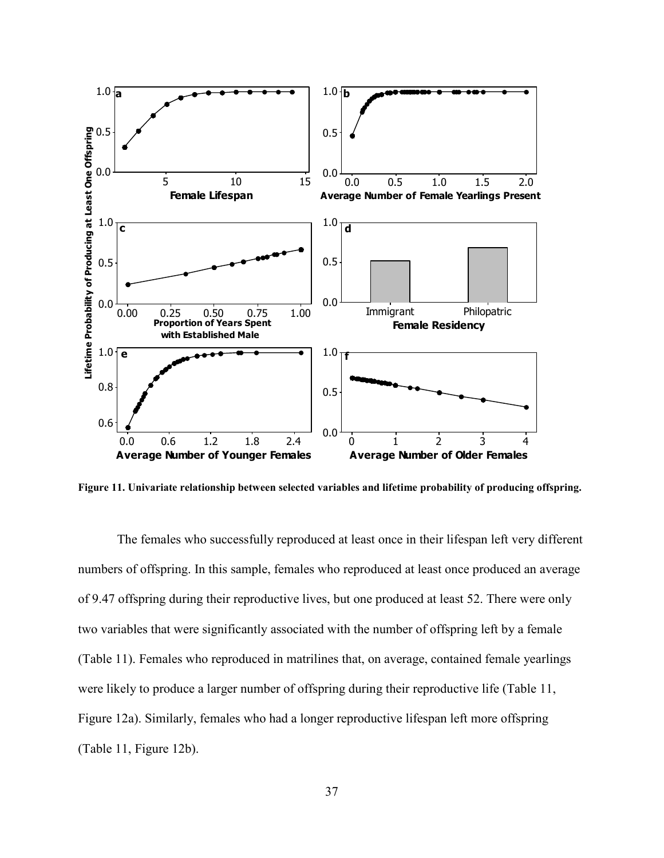

**Figure 11. Univariate relationship between selected variables and lifetime probability of producing offspring.** 

 The females who successfully reproduced at least once in their lifespan left very different numbers of offspring. In this sample, females who reproduced at least once produced an average of 9.47 offspring during their reproductive lives, but one produced at least 52. There were only two variables that were significantly associated with the number of offspring left by a female (Table 11). Females who reproduced in matrilines that, on average, contained female yearlings were likely to produce a larger number of offspring during their reproductive life (Table 11, Figure 12a). Similarly, females who had a longer reproductive lifespan left more offspring (Table 11, Figure 12b).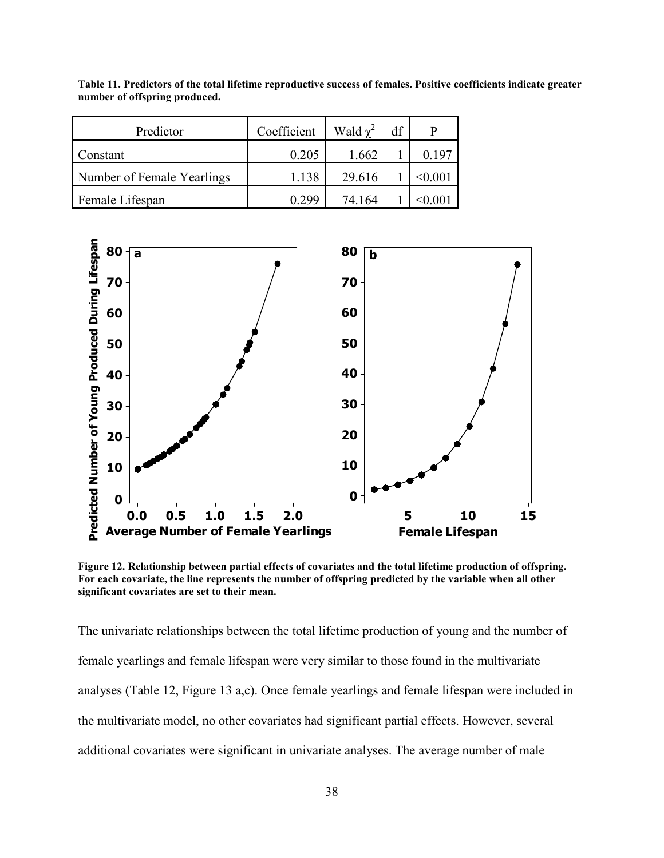| Predictor                  | Coefficient | Wald $\chi^2$ | df |        |
|----------------------------|-------------|---------------|----|--------|
| Constant                   | 0.205       | 1.662         |    | 0.197  |
| Number of Female Yearlings | 1.138       | 29.616        |    | <0.001 |
| Female Lifespan            | 0.299       | 74 164        |    | 0 001  |

**Table 11. Predictors of the total lifetime reproductive success of females. Positive coefficients indicate greater number of offspring produced.** 



**Figure 12. Relationship between partial effects of covariates and the total lifetime production of offspring. For each covariate, the line represents the number of offspring predicted by the variable when all other significant covariates are set to their mean.** 

The univariate relationships between the total lifetime production of young and the number of female yearlings and female lifespan were very similar to those found in the multivariate analyses (Table 12, Figure 13 a,c). Once female yearlings and female lifespan were included in the multivariate model, no other covariates had significant partial effects. However, several additional covariates were significant in univariate analyses. The average number of male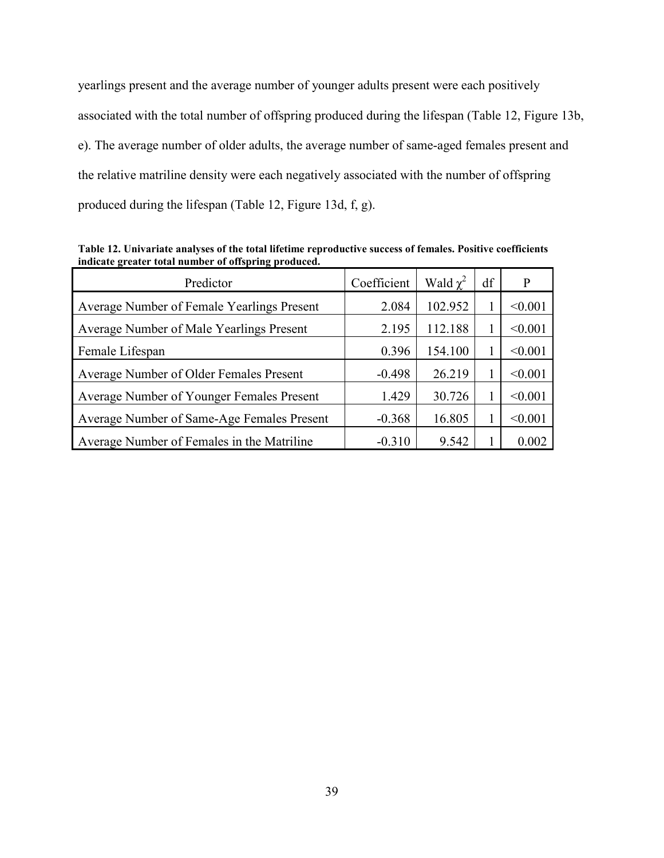yearlings present and the average number of younger adults present were each positively associated with the total number of offspring produced during the lifespan (Table 12, Figure 13b, e). The average number of older adults, the average number of same-aged females present and the relative matriline density were each negatively associated with the number of offspring produced during the lifespan (Table 12, Figure 13d, f, g).

Predictor  $\int Coefficient \int Wald \gamma^2$  $df$  P Average Number of Female Yearlings Present 2.084 102.952 1 <0.001 Average Number of Male Yearlings Present  $2.195 \mid 112.188 \mid 1 \mid \leq 0.001$ Female Lifespan 1.1 (1990) 0.396 154.100 1 <0.001 Average Number of Older Females Present  $-0.498$   $-0.498$   $26.219$   $1 \le 0.001$ Average Number of Younger Females Present  $1.429 \mid 30.726 \mid 1 \mid \leq 0.001$ Average Number of Same-Age Females Present  $\vert$  -0.368 | 16.805 | 1 | <0.001 Average Number of Females in the Matriline  $\begin{array}{|l|c|c|c|c|c|c|c|c|} \hline \end{array}$  -0.310  $\begin{array}{|c|c|c|c|c|c|c|c|c|} \hline \end{array}$  9.542 1 0.002

**Table 12. Univariate analyses of the total lifetime reproductive success of females. Positive coefficients indicate greater total number of offspring produced.**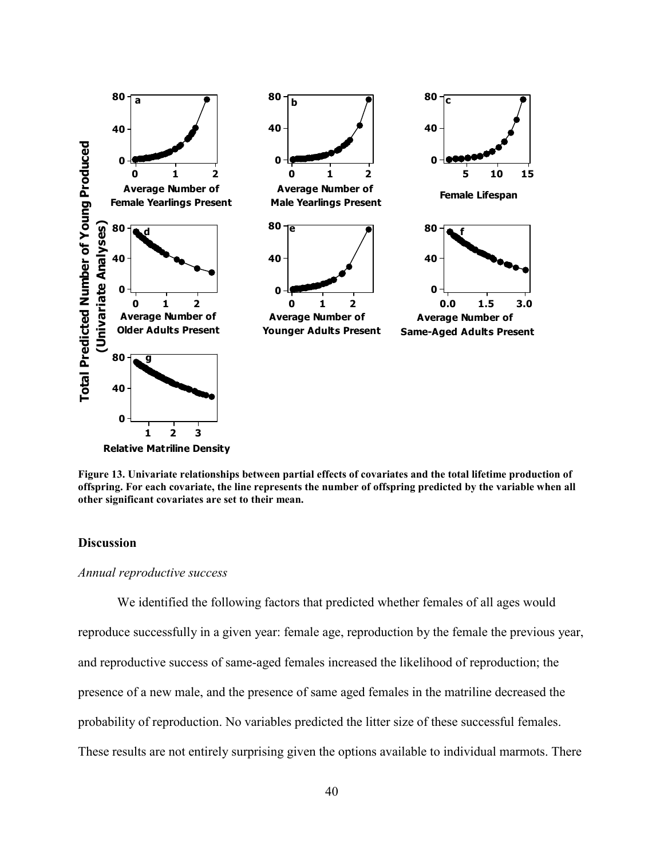

**Figure 13. Univariate relationships between partial effects of covariates and the total lifetime production of offspring. For each covariate, the line represents the number of offspring predicted by the variable when all other significant covariates are set to their mean.**

# **Discussion**

## *Annual reproductive success*

 We identified the following factors that predicted whether females of all ages would reproduce successfully in a given year: female age, reproduction by the female the previous year, and reproductive success of same-aged females increased the likelihood of reproduction; the presence of a new male, and the presence of same aged females in the matriline decreased the probability of reproduction. No variables predicted the litter size of these successful females. These results are not entirely surprising given the options available to individual marmots. There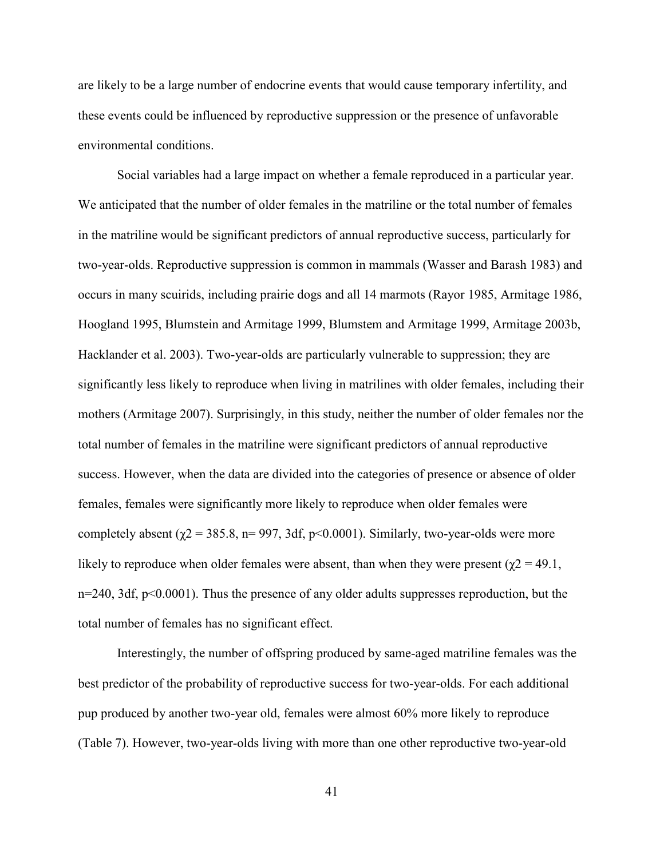are likely to be a large number of endocrine events that would cause temporary infertility, and these events could be influenced by reproductive suppression or the presence of unfavorable environmental conditions.

 Social variables had a large impact on whether a female reproduced in a particular year. We anticipated that the number of older females in the matriline or the total number of females in the matriline would be significant predictors of annual reproductive success, particularly for two-year-olds. Reproductive suppression is common in mammals (Wasser and Barash 1983) and occurs in many scuirids, including prairie dogs and all 14 marmots (Rayor 1985, Armitage 1986, Hoogland 1995, Blumstein and Armitage 1999, Blumstem and Armitage 1999, Armitage 2003b, Hacklander et al. 2003). Two-year-olds are particularly vulnerable to suppression; they are significantly less likely to reproduce when living in matrilines with older females, including their mothers (Armitage 2007). Surprisingly, in this study, neither the number of older females nor the total number of females in the matriline were significant predictors of annual reproductive success. However, when the data are divided into the categories of presence or absence of older females, females were significantly more likely to reproduce when older females were completely absent ( $\gamma$ 2 = 385.8, n= 997, 3df, p<0.0001). Similarly, two-year-olds were more likely to reproduce when older females were absent, than when they were present ( $\chi$ 2 = 49.1, n=240, 3df, p<0.0001). Thus the presence of any older adults suppresses reproduction, but the total number of females has no significant effect.

 Interestingly, the number of offspring produced by same-aged matriline females was the best predictor of the probability of reproductive success for two-year-olds. For each additional pup produced by another two-year old, females were almost 60% more likely to reproduce (Table 7). However, two-year-olds living with more than one other reproductive two-year-old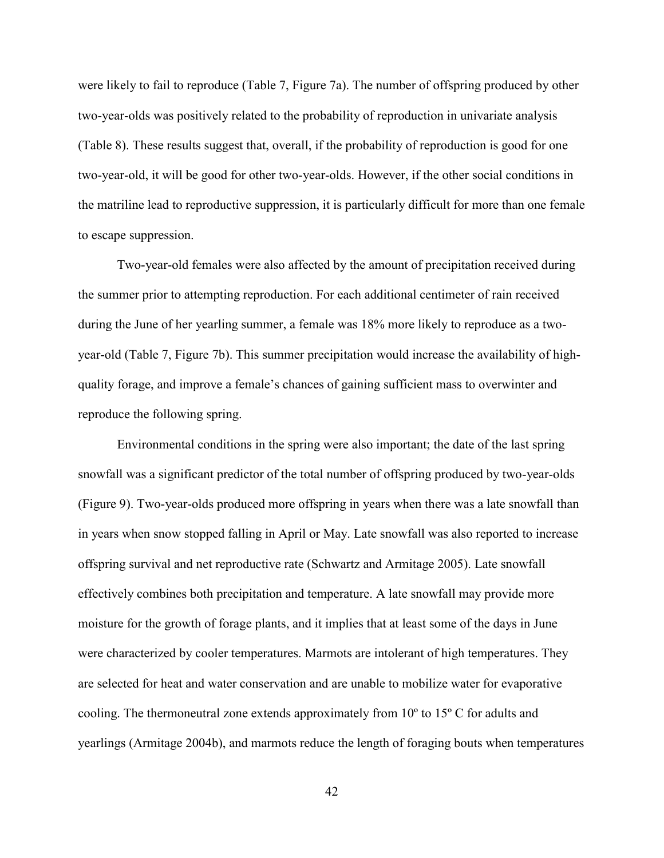were likely to fail to reproduce (Table 7, Figure 7a). The number of offspring produced by other two-year-olds was positively related to the probability of reproduction in univariate analysis (Table 8). These results suggest that, overall, if the probability of reproduction is good for one two-year-old, it will be good for other two-year-olds. However, if the other social conditions in the matriline lead to reproductive suppression, it is particularly difficult for more than one female to escape suppression.

Two-year-old females were also affected by the amount of precipitation received during the summer prior to attempting reproduction. For each additional centimeter of rain received during the June of her yearling summer, a female was 18% more likely to reproduce as a twoyear-old (Table 7, Figure 7b). This summer precipitation would increase the availability of highquality forage, and improve a female's chances of gaining sufficient mass to overwinter and reproduce the following spring.

 Environmental conditions in the spring were also important; the date of the last spring snowfall was a significant predictor of the total number of offspring produced by two-year-olds (Figure 9). Two-year-olds produced more offspring in years when there was a late snowfall than in years when snow stopped falling in April or May. Late snowfall was also reported to increase offspring survival and net reproductive rate (Schwartz and Armitage 2005). Late snowfall effectively combines both precipitation and temperature. A late snowfall may provide more moisture for the growth of forage plants, and it implies that at least some of the days in June were characterized by cooler temperatures. Marmots are intolerant of high temperatures. They are selected for heat and water conservation and are unable to mobilize water for evaporative cooling. The thermoneutral zone extends approximately from 10º to 15º C for adults and yearlings (Armitage 2004b), and marmots reduce the length of foraging bouts when temperatures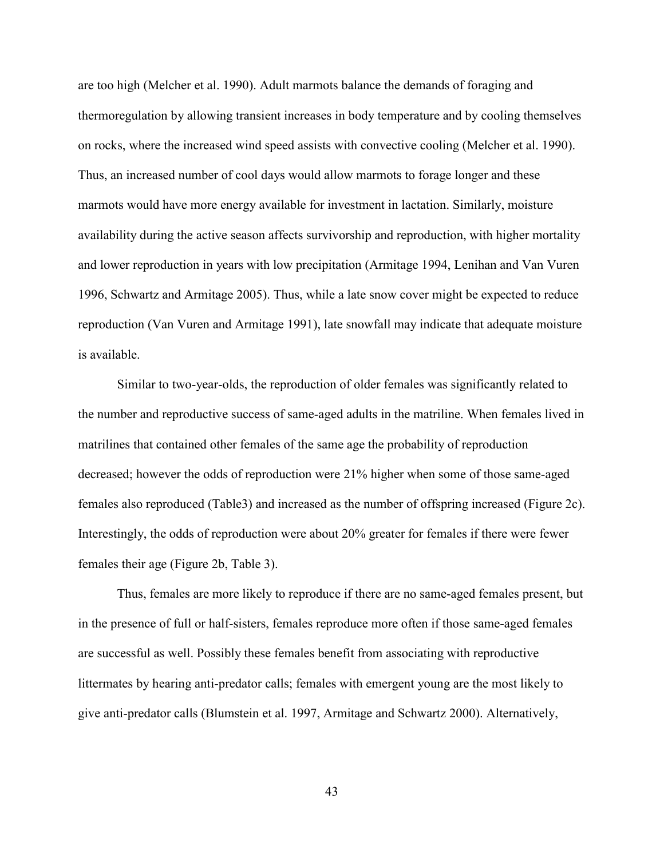are too high (Melcher et al. 1990). Adult marmots balance the demands of foraging and thermoregulation by allowing transient increases in body temperature and by cooling themselves on rocks, where the increased wind speed assists with convective cooling (Melcher et al. 1990). Thus, an increased number of cool days would allow marmots to forage longer and these marmots would have more energy available for investment in lactation. Similarly, moisture availability during the active season affects survivorship and reproduction, with higher mortality and lower reproduction in years with low precipitation (Armitage 1994, Lenihan and Van Vuren 1996, Schwartz and Armitage 2005). Thus, while a late snow cover might be expected to reduce reproduction (Van Vuren and Armitage 1991), late snowfall may indicate that adequate moisture is available.

Similar to two-year-olds, the reproduction of older females was significantly related to the number and reproductive success of same-aged adults in the matriline. When females lived in matrilines that contained other females of the same age the probability of reproduction decreased; however the odds of reproduction were 21% higher when some of those same-aged females also reproduced (Table3) and increased as the number of offspring increased (Figure 2c). Interestingly, the odds of reproduction were about 20% greater for females if there were fewer females their age (Figure 2b, Table 3).

Thus, females are more likely to reproduce if there are no same-aged females present, but in the presence of full or half-sisters, females reproduce more often if those same-aged females are successful as well. Possibly these females benefit from associating with reproductive littermates by hearing anti-predator calls; females with emergent young are the most likely to give anti-predator calls (Blumstein et al. 1997, Armitage and Schwartz 2000). Alternatively,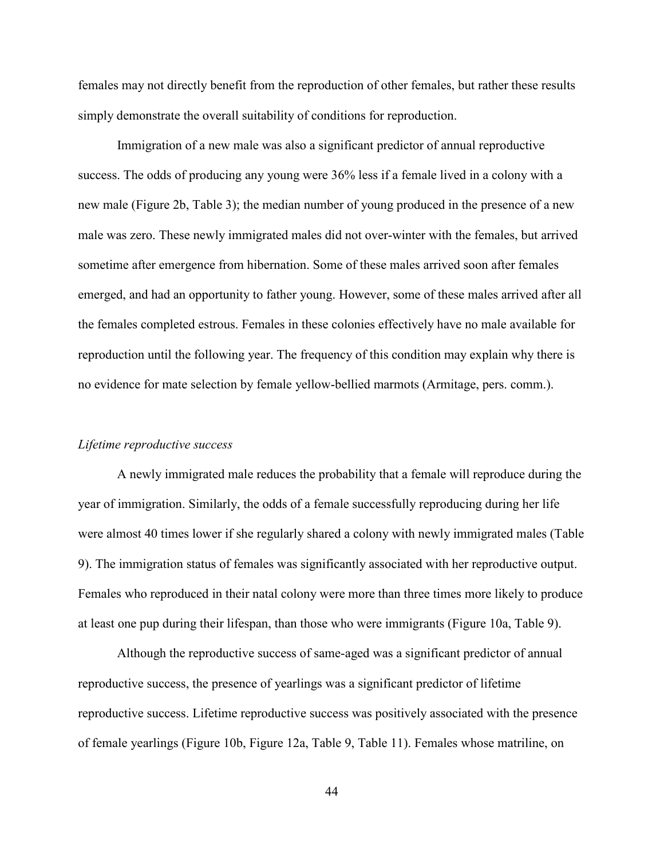females may not directly benefit from the reproduction of other females, but rather these results simply demonstrate the overall suitability of conditions for reproduction.

Immigration of a new male was also a significant predictor of annual reproductive success. The odds of producing any young were 36% less if a female lived in a colony with a new male (Figure 2b, Table 3); the median number of young produced in the presence of a new male was zero. These newly immigrated males did not over-winter with the females, but arrived sometime after emergence from hibernation. Some of these males arrived soon after females emerged, and had an opportunity to father young. However, some of these males arrived after all the females completed estrous. Females in these colonies effectively have no male available for reproduction until the following year. The frequency of this condition may explain why there is no evidence for mate selection by female yellow-bellied marmots (Armitage, pers. comm.).

# *Lifetime reproductive success*

A newly immigrated male reduces the probability that a female will reproduce during the year of immigration. Similarly, the odds of a female successfully reproducing during her life were almost 40 times lower if she regularly shared a colony with newly immigrated males (Table 9). The immigration status of females was significantly associated with her reproductive output. Females who reproduced in their natal colony were more than three times more likely to produce at least one pup during their lifespan, than those who were immigrants (Figure 10a, Table 9).

Although the reproductive success of same-aged was a significant predictor of annual reproductive success, the presence of yearlings was a significant predictor of lifetime reproductive success. Lifetime reproductive success was positively associated with the presence of female yearlings (Figure 10b, Figure 12a, Table 9, Table 11). Females whose matriline, on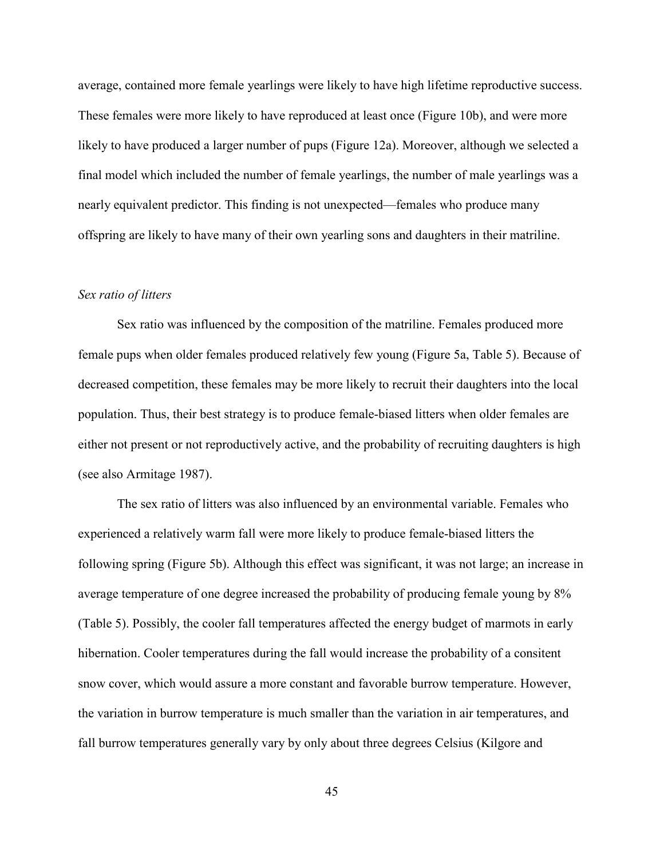average, contained more female yearlings were likely to have high lifetime reproductive success. These females were more likely to have reproduced at least once (Figure 10b), and were more likely to have produced a larger number of pups (Figure 12a). Moreover, although we selected a final model which included the number of female yearlings, the number of male yearlings was a nearly equivalent predictor. This finding is not unexpected—females who produce many offspring are likely to have many of their own yearling sons and daughters in their matriline.

#### *Sex ratio of litters*

Sex ratio was influenced by the composition of the matriline. Females produced more female pups when older females produced relatively few young (Figure 5a, Table 5). Because of decreased competition, these females may be more likely to recruit their daughters into the local population. Thus, their best strategy is to produce female-biased litters when older females are either not present or not reproductively active, and the probability of recruiting daughters is high (see also Armitage 1987).

 The sex ratio of litters was also influenced by an environmental variable. Females who experienced a relatively warm fall were more likely to produce female-biased litters the following spring (Figure 5b). Although this effect was significant, it was not large; an increase in average temperature of one degree increased the probability of producing female young by 8% (Table 5). Possibly, the cooler fall temperatures affected the energy budget of marmots in early hibernation. Cooler temperatures during the fall would increase the probability of a consitent snow cover, which would assure a more constant and favorable burrow temperature. However, the variation in burrow temperature is much smaller than the variation in air temperatures, and fall burrow temperatures generally vary by only about three degrees Celsius (Kilgore and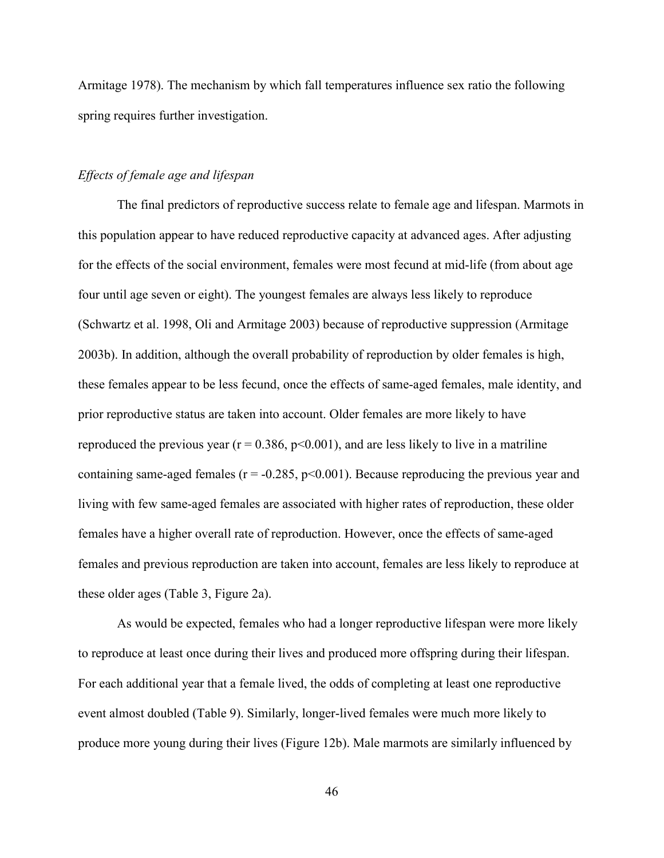Armitage 1978). The mechanism by which fall temperatures influence sex ratio the following spring requires further investigation.

# *Effects of female age and lifespan*

 The final predictors of reproductive success relate to female age and lifespan. Marmots in this population appear to have reduced reproductive capacity at advanced ages. After adjusting for the effects of the social environment, females were most fecund at mid-life (from about age four until age seven or eight). The youngest females are always less likely to reproduce (Schwartz et al. 1998, Oli and Armitage 2003) because of reproductive suppression (Armitage 2003b). In addition, although the overall probability of reproduction by older females is high, these females appear to be less fecund, once the effects of same-aged females, male identity, and prior reproductive status are taken into account. Older females are more likely to have reproduced the previous year ( $r = 0.386$ ,  $p < 0.001$ ), and are less likely to live in a matriline containing same-aged females ( $r = -0.285$ ,  $p < 0.001$ ). Because reproducing the previous year and living with few same-aged females are associated with higher rates of reproduction, these older females have a higher overall rate of reproduction. However, once the effects of same-aged females and previous reproduction are taken into account, females are less likely to reproduce at these older ages (Table 3, Figure 2a).

 As would be expected, females who had a longer reproductive lifespan were more likely to reproduce at least once during their lives and produced more offspring during their lifespan. For each additional year that a female lived, the odds of completing at least one reproductive event almost doubled (Table 9). Similarly, longer-lived females were much more likely to produce more young during their lives (Figure 12b). Male marmots are similarly influenced by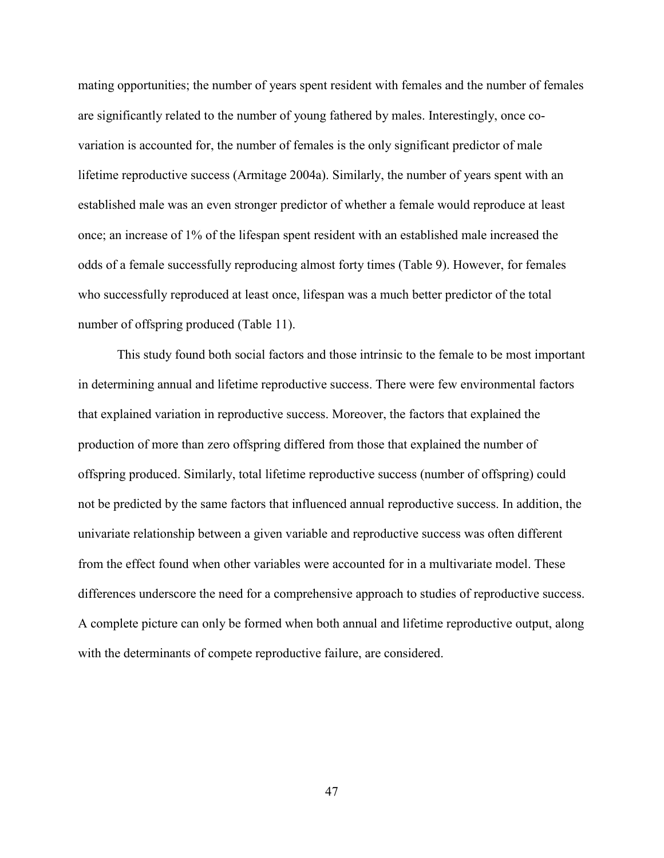mating opportunities; the number of years spent resident with females and the number of females are significantly related to the number of young fathered by males. Interestingly, once covariation is accounted for, the number of females is the only significant predictor of male lifetime reproductive success (Armitage 2004a). Similarly, the number of years spent with an established male was an even stronger predictor of whether a female would reproduce at least once; an increase of 1% of the lifespan spent resident with an established male increased the odds of a female successfully reproducing almost forty times (Table 9). However, for females who successfully reproduced at least once, lifespan was a much better predictor of the total number of offspring produced (Table 11).

 This study found both social factors and those intrinsic to the female to be most important in determining annual and lifetime reproductive success. There were few environmental factors that explained variation in reproductive success. Moreover, the factors that explained the production of more than zero offspring differed from those that explained the number of offspring produced. Similarly, total lifetime reproductive success (number of offspring) could not be predicted by the same factors that influenced annual reproductive success. In addition, the univariate relationship between a given variable and reproductive success was often different from the effect found when other variables were accounted for in a multivariate model. These differences underscore the need for a comprehensive approach to studies of reproductive success. A complete picture can only be formed when both annual and lifetime reproductive output, along with the determinants of compete reproductive failure, are considered.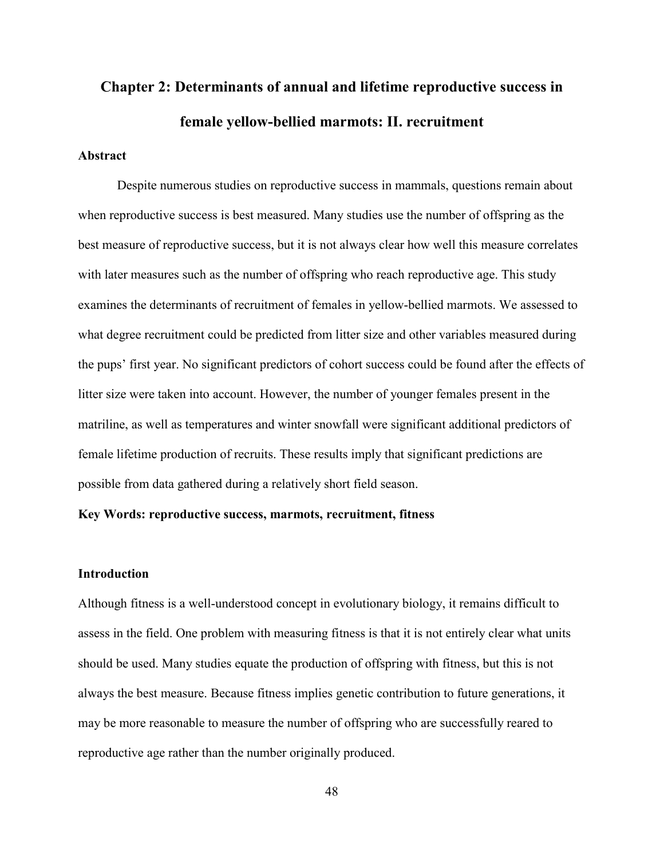# **Chapter 2: Determinants of annual and lifetime reproductive success in female yellow-bellied marmots: II. recruitment**

# **Abstract**

Despite numerous studies on reproductive success in mammals, questions remain about when reproductive success is best measured. Many studies use the number of offspring as the best measure of reproductive success, but it is not always clear how well this measure correlates with later measures such as the number of offspring who reach reproductive age. This study examines the determinants of recruitment of females in yellow-bellied marmots. We assessed to what degree recruitment could be predicted from litter size and other variables measured during the pups' first year. No significant predictors of cohort success could be found after the effects of litter size were taken into account. However, the number of younger females present in the matriline, as well as temperatures and winter snowfall were significant additional predictors of female lifetime production of recruits. These results imply that significant predictions are possible from data gathered during a relatively short field season.

# **Key Words: reproductive success, marmots, recruitment, fitness**

# **Introduction**

Although fitness is a well-understood concept in evolutionary biology, it remains difficult to assess in the field. One problem with measuring fitness is that it is not entirely clear what units should be used. Many studies equate the production of offspring with fitness, but this is not always the best measure. Because fitness implies genetic contribution to future generations, it may be more reasonable to measure the number of offspring who are successfully reared to reproductive age rather than the number originally produced.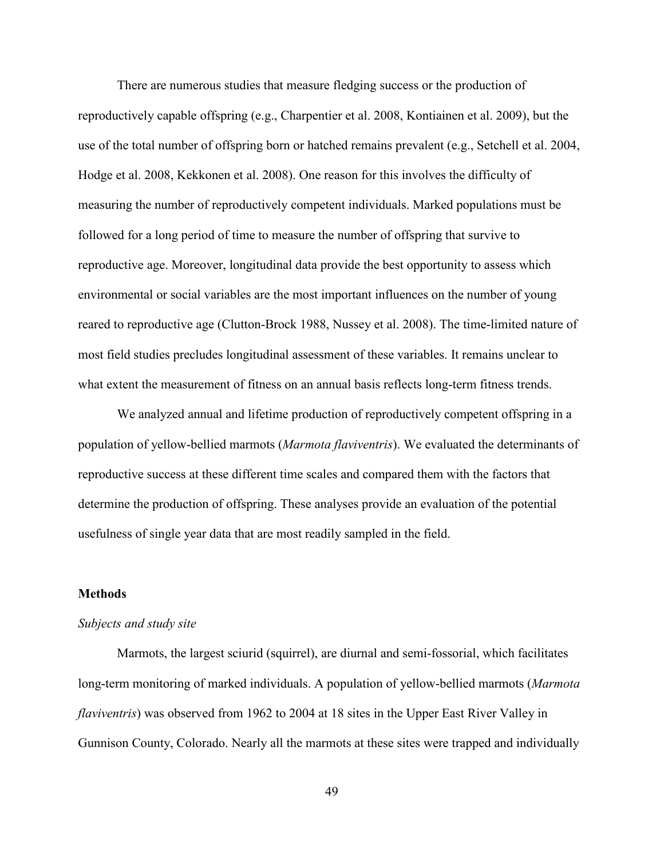There are numerous studies that measure fledging success or the production of reproductively capable offspring (e.g., Charpentier et al. 2008, Kontiainen et al. 2009), but the use of the total number of offspring born or hatched remains prevalent (e.g., Setchell et al. 2004, Hodge et al. 2008, Kekkonen et al. 2008). One reason for this involves the difficulty of measuring the number of reproductively competent individuals. Marked populations must be followed for a long period of time to measure the number of offspring that survive to reproductive age. Moreover, longitudinal data provide the best opportunity to assess which environmental or social variables are the most important influences on the number of young reared to reproductive age (Clutton-Brock 1988, Nussey et al. 2008). The time-limited nature of most field studies precludes longitudinal assessment of these variables. It remains unclear to what extent the measurement of fitness on an annual basis reflects long-term fitness trends.

 We analyzed annual and lifetime production of reproductively competent offspring in a population of yellow-bellied marmots (*Marmota flaviventris*). We evaluated the determinants of reproductive success at these different time scales and compared them with the factors that determine the production of offspring. These analyses provide an evaluation of the potential usefulness of single year data that are most readily sampled in the field.

# **Methods**

#### *Subjects and study site*

Marmots, the largest sciurid (squirrel), are diurnal and semi-fossorial, which facilitates long-term monitoring of marked individuals. A population of yellow-bellied marmots (*Marmota flaviventris*) was observed from 1962 to 2004 at 18 sites in the Upper East River Valley in Gunnison County, Colorado. Nearly all the marmots at these sites were trapped and individually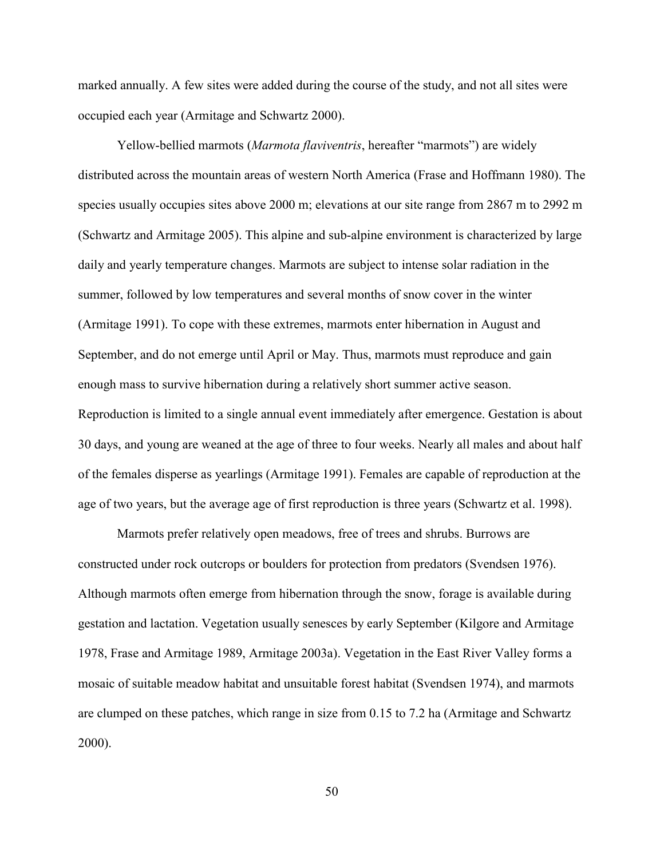marked annually. A few sites were added during the course of the study, and not all sites were occupied each year (Armitage and Schwartz 2000).

Yellow-bellied marmots (*Marmota flaviventris*, hereafter "marmots") are widely distributed across the mountain areas of western North America (Frase and Hoffmann 1980). The species usually occupies sites above 2000 m; elevations at our site range from 2867 m to 2992 m (Schwartz and Armitage 2005). This alpine and sub-alpine environment is characterized by large daily and yearly temperature changes. Marmots are subject to intense solar radiation in the summer, followed by low temperatures and several months of snow cover in the winter (Armitage 1991). To cope with these extremes, marmots enter hibernation in August and September, and do not emerge until April or May. Thus, marmots must reproduce and gain enough mass to survive hibernation during a relatively short summer active season. Reproduction is limited to a single annual event immediately after emergence. Gestation is about 30 days, and young are weaned at the age of three to four weeks. Nearly all males and about half of the females disperse as yearlings (Armitage 1991). Females are capable of reproduction at the age of two years, but the average age of first reproduction is three years (Schwartz et al. 1998).

Marmots prefer relatively open meadows, free of trees and shrubs. Burrows are constructed under rock outcrops or boulders for protection from predators (Svendsen 1976). Although marmots often emerge from hibernation through the snow, forage is available during gestation and lactation. Vegetation usually senesces by early September (Kilgore and Armitage 1978, Frase and Armitage 1989, Armitage 2003a). Vegetation in the East River Valley forms a mosaic of suitable meadow habitat and unsuitable forest habitat (Svendsen 1974), and marmots are clumped on these patches, which range in size from 0.15 to 7.2 ha (Armitage and Schwartz 2000).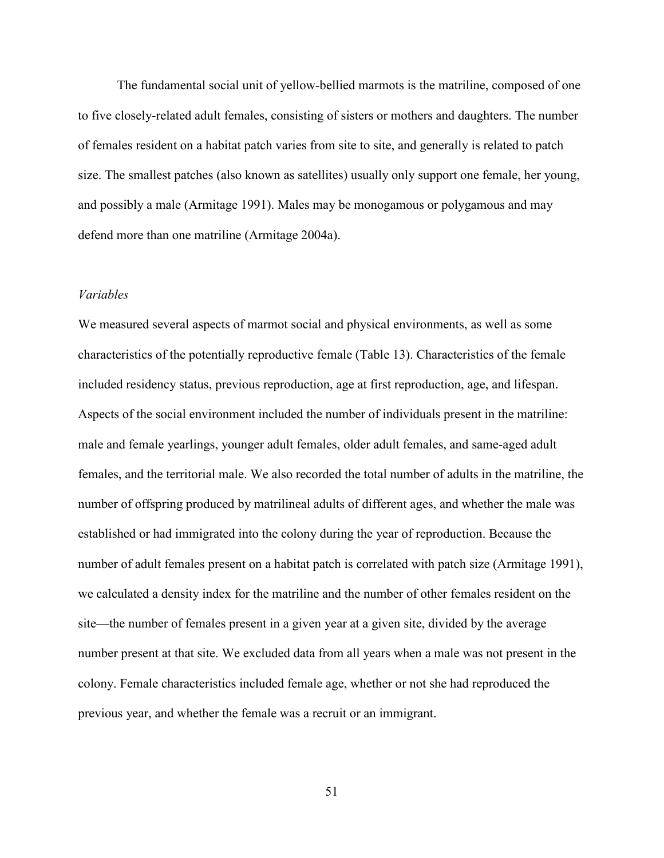The fundamental social unit of yellow-bellied marmots is the matriline, composed of one to five closely-related adult females, consisting of sisters or mothers and daughters. The number of females resident on a habitat patch varies from site to site, and generally is related to patch size. The smallest patches (also known as satellites) usually only support one female, her young, and possibly a male (Armitage 1991). Males may be monogamous or polygamous and may defend more than one matriline (Armitage 2004a).

# *Variables*

We measured several aspects of marmot social and physical environments, as well as some characteristics of the potentially reproductive female (Table 13). Characteristics of the female included residency status, previous reproduction, age at first reproduction, age, and lifespan. Aspects of the social environment included the number of individuals present in the matriline: male and female yearlings, younger adult females, older adult females, and same-aged adult females, and the territorial male. We also recorded the total number of adults in the matriline, the number of offspring produced by matrilineal adults of different ages, and whether the male was established or had immigrated into the colony during the year of reproduction. Because the number of adult females present on a habitat patch is correlated with patch size (Armitage 1991), we calculated a density index for the matriline and the number of other females resident on the site—the number of females present in a given year at a given site, divided by the average number present at that site. We excluded data from all years when a male was not present in the colony. Female characteristics included female age, whether or not she had reproduced the previous year, and whether the female was a recruit or an immigrant.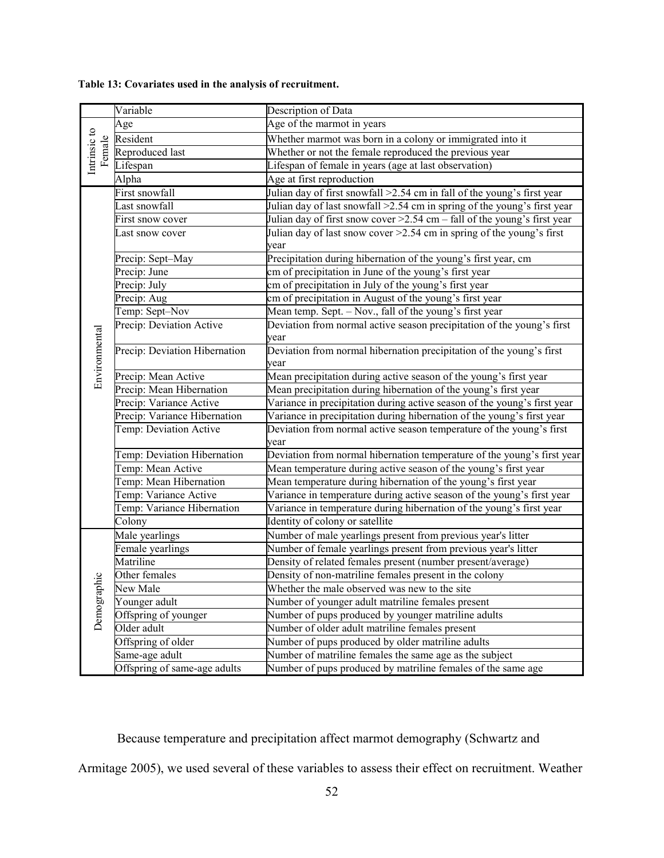|               | Variable                      | Description of Data                                                         |
|---------------|-------------------------------|-----------------------------------------------------------------------------|
|               | Age                           | Age of the marmot in years                                                  |
| Intrinsic to  | Resident                      | Whether marmot was born in a colony or immigrated into it                   |
| Female        | Reproduced last               | Whether or not the female reproduced the previous year                      |
|               | Lifespan                      | Lifespan of female in years (age at last observation)                       |
|               | Alpha                         | Age at first reproduction                                                   |
|               | First snowfall                | Julian day of first snowfall >2.54 cm in fall of the young's first year     |
|               | Last snowfall                 | Julian day of last snowfall > 2.54 cm in spring of the young's first year   |
|               | First snow cover              | Julian day of first snow cover > 2.54 cm - fall of the young's first year   |
|               | Last snow cover               | Julian day of last snow cover $\geq 2.54$ cm in spring of the young's first |
|               |                               | year                                                                        |
|               | Precip: Sept-May              | Precipitation during hibernation of the young's first year, cm              |
|               | Precip: June                  | cm of precipitation in June of the young's first year                       |
|               | Precip: July                  | cm of precipitation in July of the young's first year                       |
|               | Precip: Aug                   | cm of precipitation in August of the young's first year                     |
|               | Temp: Sept-Nov                | Mean temp. Sept. - Nov., fall of the young's first year                     |
|               | Precip: Deviation Active      | Deviation from normal active season precipitation of the young's first      |
|               |                               | year                                                                        |
|               | Precip: Deviation Hibernation | Deviation from normal hibernation precipitation of the young's first        |
|               |                               | year                                                                        |
| Environmental | Precip: Mean Active           | Mean precipitation during active season of the young's first year           |
|               | Precip: Mean Hibernation      | Mean precipitation during hibernation of the young's first year             |
|               | Precip: Variance Active       | Variance in precipitation during active season of the young's first year    |
|               | Precip: Variance Hibernation  | Variance in precipitation during hibernation of the young's first year      |
|               | Temp: Deviation Active        | Deviation from normal active season temperature of the young's first        |
|               |                               | year                                                                        |
|               | Temp: Deviation Hibernation   | Deviation from normal hibernation temperature of the young's first year     |
|               | Temp: Mean Active             | Mean temperature during active season of the young's first year             |
|               | Temp: Mean Hibernation        | Mean temperature during hibernation of the young's first year               |
|               | Temp: Variance Active         | Variance in temperature during active season of the young's first year      |
|               | Temp: Variance Hibernation    | Variance in temperature during hibernation of the young's first year        |
|               | Colony                        | Identity of colony or satellite                                             |
|               | Male yearlings                | Number of male yearlings present from previous year's litter                |
|               | Female yearlings              | Number of female yearlings present from previous year's litter              |
|               | Matriline                     | Density of related females present (number present/average)                 |
|               | Other females                 | Density of non-matriline females present in the colony                      |
| Demographic   | New Male                      | Whether the male observed was new to the site                               |
|               | Younger adult                 | Number of younger adult matriline females present                           |
|               | Offspring of younger          | Number of pups produced by younger matriline adults                         |
|               | Older adult                   | Number of older adult matriline females present                             |
|               | Offspring of older            | Number of pups produced by older matriline adults                           |
|               | Same-age adult                | Number of matriline females the same age as the subject                     |
|               | Offspring of same-age adults  | Number of pups produced by matriline females of the same age                |

# **Table 13: Covariates used in the analysis of recruitment.**

Because temperature and precipitation affect marmot demography (Schwartz and

Armitage 2005), we used several of these variables to assess their effect on recruitment. Weather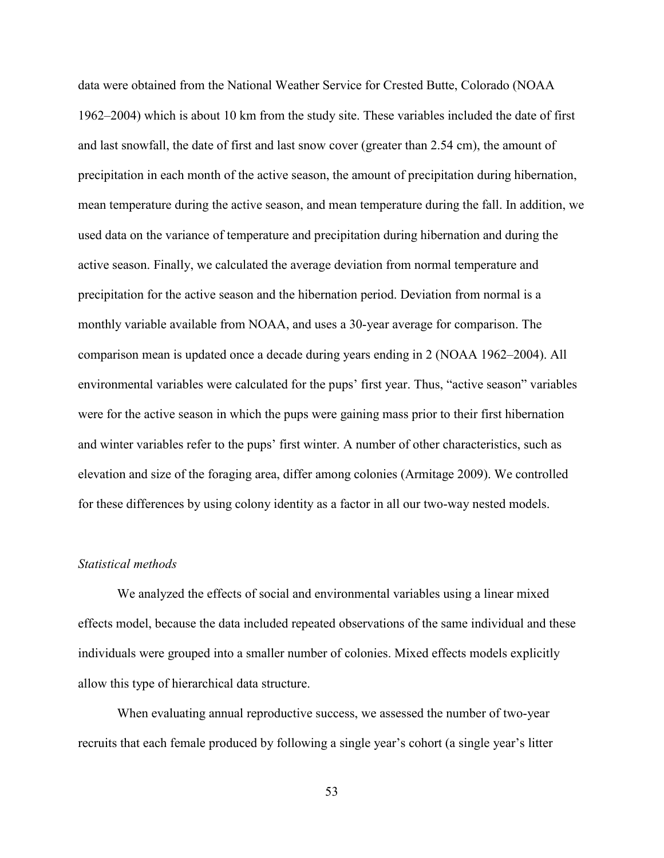data were obtained from the National Weather Service for Crested Butte, Colorado (NOAA 1962–2004) which is about 10 km from the study site. These variables included the date of first and last snowfall, the date of first and last snow cover (greater than 2.54 cm), the amount of precipitation in each month of the active season, the amount of precipitation during hibernation, mean temperature during the active season, and mean temperature during the fall. In addition, we used data on the variance of temperature and precipitation during hibernation and during the active season. Finally, we calculated the average deviation from normal temperature and precipitation for the active season and the hibernation period. Deviation from normal is a monthly variable available from NOAA, and uses a 30-year average for comparison. The comparison mean is updated once a decade during years ending in 2 (NOAA 1962–2004). All environmental variables were calculated for the pups' first year. Thus, "active season" variables were for the active season in which the pups were gaining mass prior to their first hibernation and winter variables refer to the pups' first winter. A number of other characteristics, such as elevation and size of the foraging area, differ among colonies (Armitage 2009). We controlled for these differences by using colony identity as a factor in all our two-way nested models.

# *Statistical methods*

We analyzed the effects of social and environmental variables using a linear mixed effects model, because the data included repeated observations of the same individual and these individuals were grouped into a smaller number of colonies. Mixed effects models explicitly allow this type of hierarchical data structure.

 When evaluating annual reproductive success, we assessed the number of two-year recruits that each female produced by following a single year's cohort (a single year's litter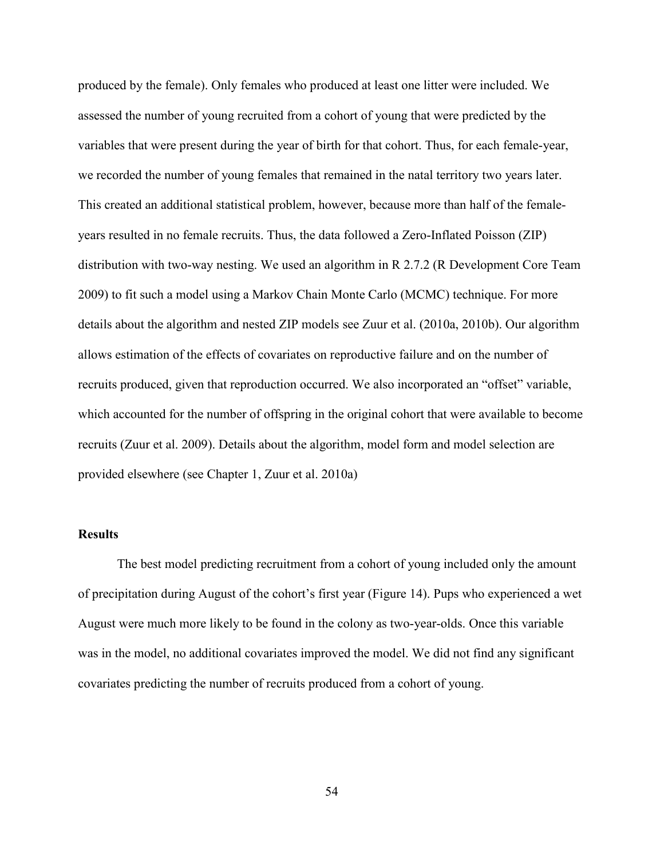produced by the female). Only females who produced at least one litter were included. We assessed the number of young recruited from a cohort of young that were predicted by the variables that were present during the year of birth for that cohort. Thus, for each female-year, we recorded the number of young females that remained in the natal territory two years later. This created an additional statistical problem, however, because more than half of the femaleyears resulted in no female recruits. Thus, the data followed a Zero-Inflated Poisson (ZIP) distribution with two-way nesting. We used an algorithm in R 2.7.2 (R Development Core Team 2009) to fit such a model using a Markov Chain Monte Carlo (MCMC) technique. For more details about the algorithm and nested ZIP models see Zuur et al. (2010a, 2010b). Our algorithm allows estimation of the effects of covariates on reproductive failure and on the number of recruits produced, given that reproduction occurred. We also incorporated an "offset" variable, which accounted for the number of offspring in the original cohort that were available to become recruits (Zuur et al. 2009). Details about the algorithm, model form and model selection are provided elsewhere (see Chapter 1, Zuur et al. 2010a)

# **Results**

 The best model predicting recruitment from a cohort of young included only the amount of precipitation during August of the cohort's first year (Figure 14). Pups who experienced a wet August were much more likely to be found in the colony as two-year-olds. Once this variable was in the model, no additional covariates improved the model. We did not find any significant covariates predicting the number of recruits produced from a cohort of young.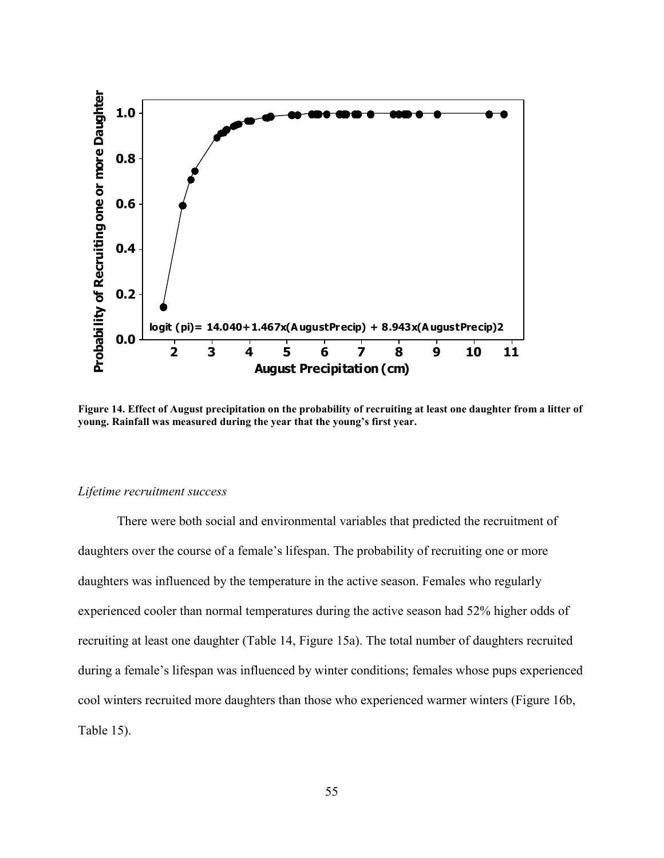

**Figure 14. Effect of August precipitation on the probability of recruiting at least one daughter from a litter of young. Rainfall was measured during the year that the young's first year.** 

#### *Lifetime recruitment success*

There were both social and environmental variables that predicted the recruitment of daughters over the course of a female's lifespan. The probability of recruiting one or more daughters was influenced by the temperature in the active season. Females who regularly experienced cooler than normal temperatures during the active season had 52% higher odds of recruiting at least one daughter (Table 14, Figure 15a). The total number of daughters recruited during a female's lifespan was influenced by winter conditions; females whose pups experienced cool winters recruited more daughters than those who experienced warmer winters (Figure 16b, Table 15).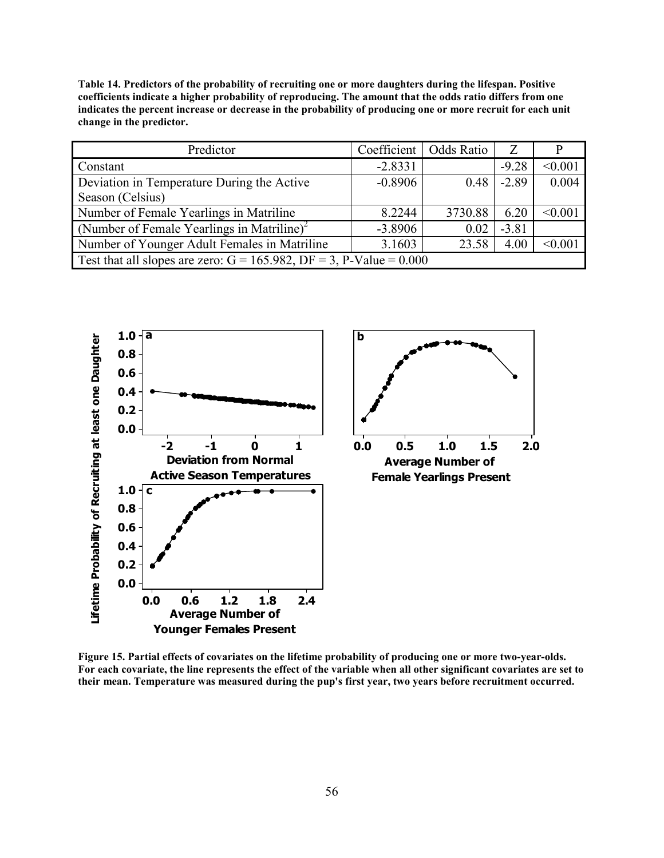**Table 14. Predictors of the probability of recruiting one or more daughters during the lifespan. Positive coefficients indicate a higher probability of reproducing. The amount that the odds ratio differs from one indicates the percent increase or decrease in the probability of producing one or more recruit for each unit change in the predictor.** 

| Predictor                                                              | Coefficient | Odds Ratio | Z       |         |
|------------------------------------------------------------------------|-------------|------------|---------|---------|
| Constant                                                               | $-2.8331$   |            | $-9.28$ | < 0.001 |
| Deviation in Temperature During the Active                             | $-0.8906$   | 0.48       | $-2.89$ | 0.004   |
| Season (Celsius)                                                       |             |            |         |         |
| Number of Female Yearlings in Matriline                                | 8.2244      | 3730.88    | 6.20    | < 0.001 |
| (Number of Female Yearlings in Matriline) <sup>2</sup>                 | $-3.8906$   | 0.02       | $-3.81$ |         |
| Number of Younger Adult Females in Matriline                           | 3.1603      | 23.58      | 4.00    | < 0.001 |
| Test that all slopes are zero: $G = 165.982$ , DF = 3, P-Value = 0.000 |             |            |         |         |



**Figure 15. Partial effects of covariates on the lifetime probability of producing one or more two-year-olds. For each covariate, the line represents the effect of the variable when all other significant covariates are set to their mean. Temperature was measured during the pup's first year, two years before recruitment occurred.**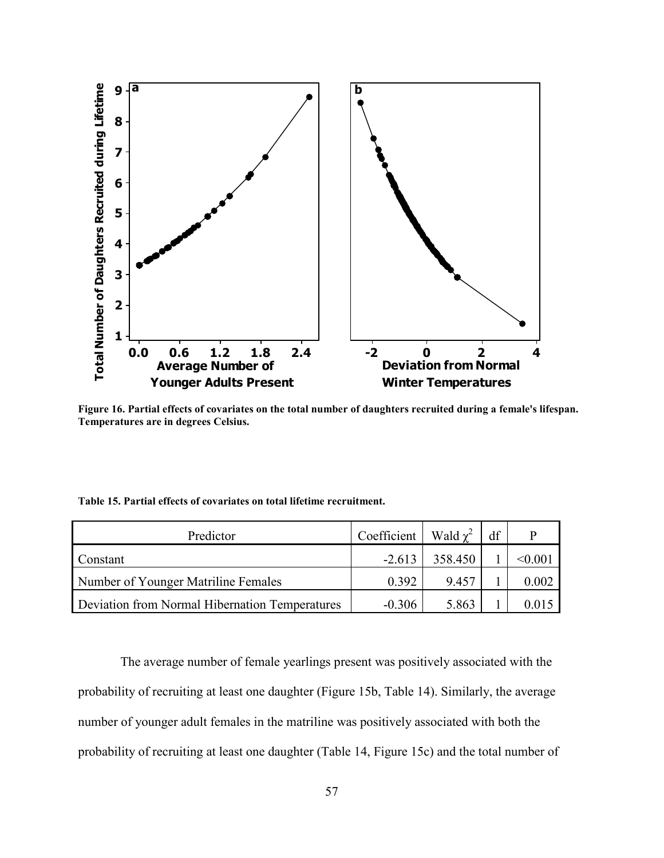

**Figure 16. Partial effects of covariates on the total number of daughters recruited during a female's lifespan. Temperatures are in degrees Celsius.** 

|  |  |  |  | Table 15. Partial effects of covariates on total lifetime recruitment. |  |
|--|--|--|--|------------------------------------------------------------------------|--|
|--|--|--|--|------------------------------------------------------------------------|--|

| Predictor                                      | Coefficient | Wald $\chi^2$ | df |              |
|------------------------------------------------|-------------|---------------|----|--------------|
| Constant                                       | $-2.613$    | 358.450       |    | $<\!\!0.001$ |
| Number of Younger Matriline Females            | 0.392       | 9.457         |    | 0.002        |
| Deviation from Normal Hibernation Temperatures | $-0.306$    | 5.863         |    | 0.014        |

 The average number of female yearlings present was positively associated with the probability of recruiting at least one daughter (Figure 15b, Table 14). Similarly, the average number of younger adult females in the matriline was positively associated with both the probability of recruiting at least one daughter (Table 14, Figure 15c) and the total number of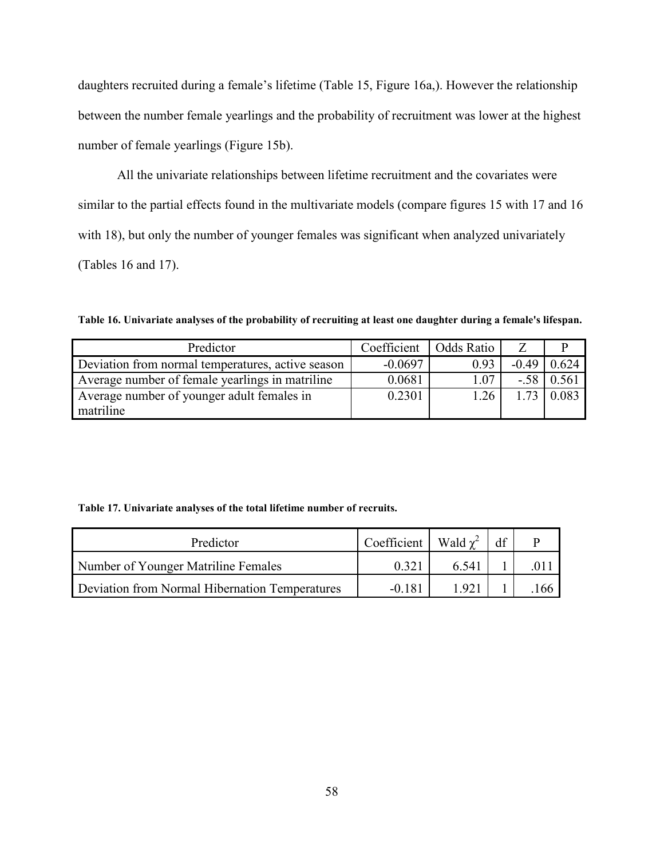daughters recruited during a female's lifetime (Table 15, Figure 16a,). However the relationship between the number female yearlings and the probability of recruitment was lower at the highest number of female yearlings (Figure 15b).

All the univariate relationships between lifetime recruitment and the covariates were similar to the partial effects found in the multivariate models (compare figures 15 with 17 and 16 with 18), but only the number of younger females was significant when analyzed univariately (Tables 16 and 17).

**Table 16. Univariate analyses of the probability of recruiting at least one daughter during a female's lifespan.** 

| Predictor                                         | Coefficient | Odds Ratio |         |       |
|---------------------------------------------------|-------------|------------|---------|-------|
| Deviation from normal temperatures, active season | $-0.0697$   | 0.93       | $-0.49$ | 0.624 |
| Average number of female yearlings in matriline   | 0.0681      | .07        | $-58$   | 0.561 |
| Average number of younger adult females in        | 0.2301      | .26        | 173     | 0.083 |
| matriline                                         |             |            |         |       |

# **Table 17. Univariate analyses of the total lifetime number of recruits.**

| Predictor                                      | $\sqrt{2}$ Coefficient   Wald $\chi^2$ |       | df |     |
|------------------------------------------------|----------------------------------------|-------|----|-----|
| Number of Younger Matriline Females            | 0.321                                  | 6.541 |    |     |
| Deviation from Normal Hibernation Temperatures | $-0.181$                               | l 921 |    | 166 |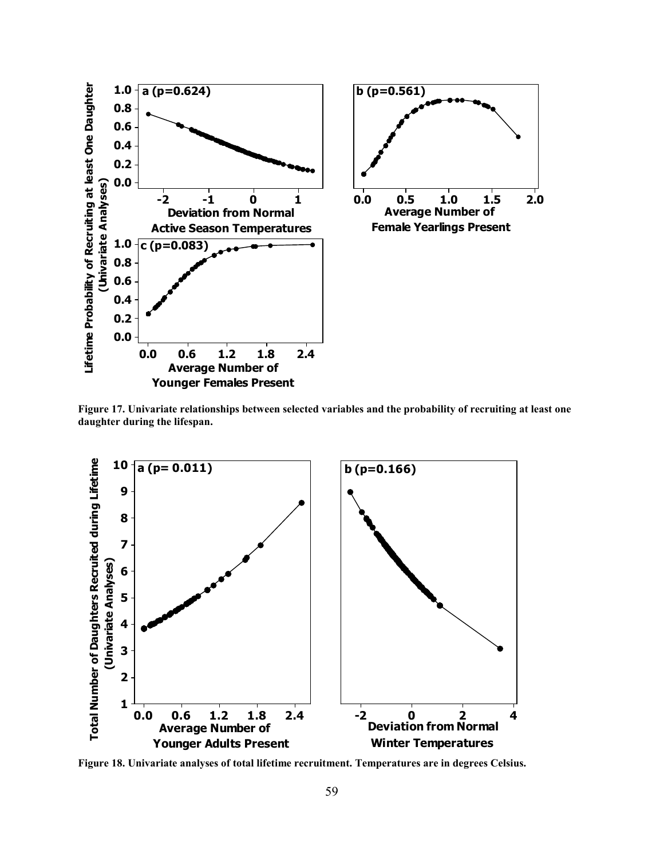

**Figure 17. Univariate relationships between selected variables and the probability of recruiting at least one daughter during the lifespan.** 



**Figure 18. Univariate analyses of total lifetime recruitment. Temperatures are in degrees Celsius.**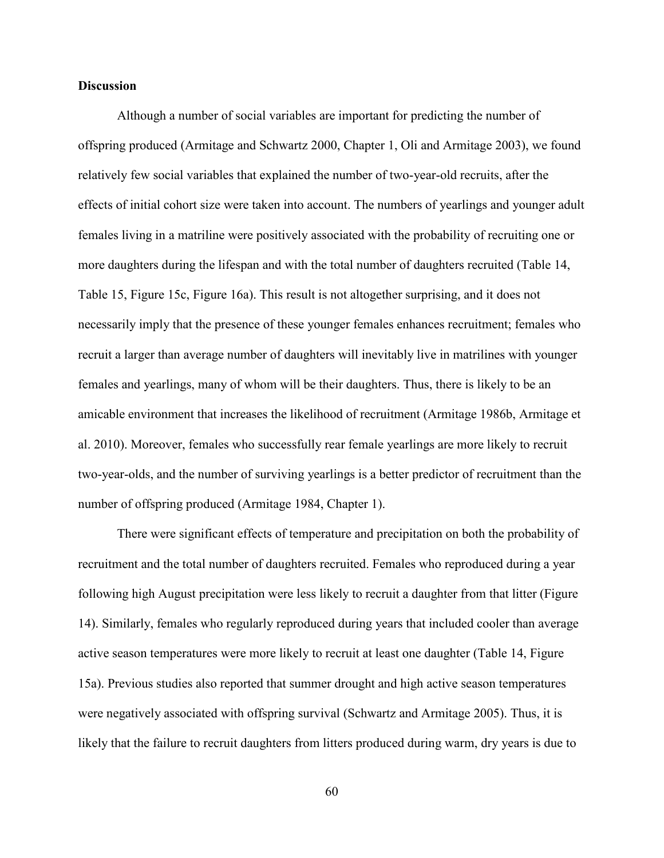# **Discussion**

 Although a number of social variables are important for predicting the number of offspring produced (Armitage and Schwartz 2000, Chapter 1, Oli and Armitage 2003), we found relatively few social variables that explained the number of two-year-old recruits, after the effects of initial cohort size were taken into account. The numbers of yearlings and younger adult females living in a matriline were positively associated with the probability of recruiting one or more daughters during the lifespan and with the total number of daughters recruited (Table 14, Table 15, Figure 15c, Figure 16a). This result is not altogether surprising, and it does not necessarily imply that the presence of these younger females enhances recruitment; females who recruit a larger than average number of daughters will inevitably live in matrilines with younger females and yearlings, many of whom will be their daughters. Thus, there is likely to be an amicable environment that increases the likelihood of recruitment (Armitage 1986b, Armitage et al. 2010). Moreover, females who successfully rear female yearlings are more likely to recruit two-year-olds, and the number of surviving yearlings is a better predictor of recruitment than the number of offspring produced (Armitage 1984, Chapter 1).

 There were significant effects of temperature and precipitation on both the probability of recruitment and the total number of daughters recruited. Females who reproduced during a year following high August precipitation were less likely to recruit a daughter from that litter (Figure 14). Similarly, females who regularly reproduced during years that included cooler than average active season temperatures were more likely to recruit at least one daughter (Table 14, Figure 15a). Previous studies also reported that summer drought and high active season temperatures were negatively associated with offspring survival (Schwartz and Armitage 2005). Thus, it is likely that the failure to recruit daughters from litters produced during warm, dry years is due to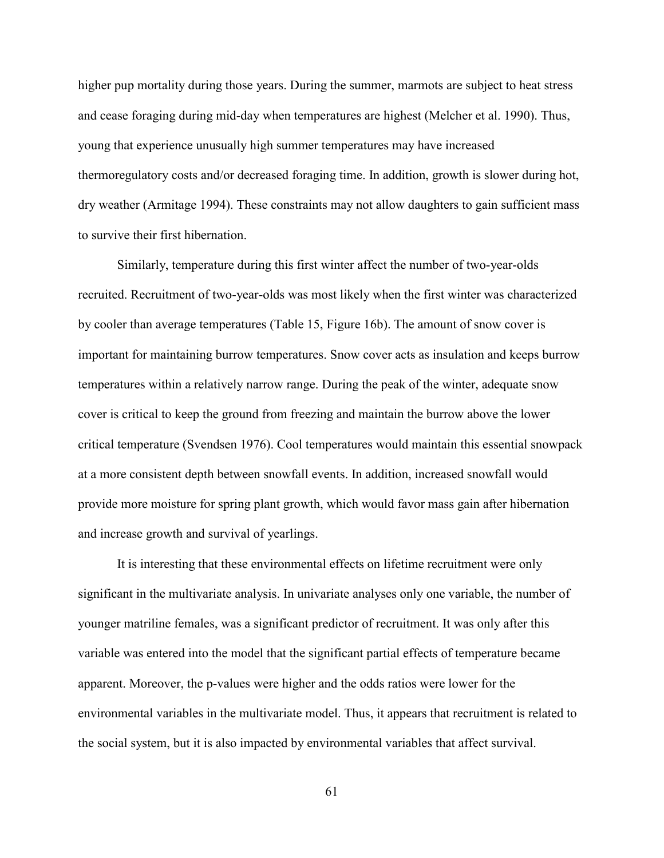higher pup mortality during those years. During the summer, marmots are subject to heat stress and cease foraging during mid-day when temperatures are highest (Melcher et al. 1990). Thus, young that experience unusually high summer temperatures may have increased thermoregulatory costs and/or decreased foraging time. In addition, growth is slower during hot, dry weather (Armitage 1994). These constraints may not allow daughters to gain sufficient mass to survive their first hibernation.

 Similarly, temperature during this first winter affect the number of two-year-olds recruited. Recruitment of two-year-olds was most likely when the first winter was characterized by cooler than average temperatures (Table 15, Figure 16b). The amount of snow cover is important for maintaining burrow temperatures. Snow cover acts as insulation and keeps burrow temperatures within a relatively narrow range. During the peak of the winter, adequate snow cover is critical to keep the ground from freezing and maintain the burrow above the lower critical temperature (Svendsen 1976). Cool temperatures would maintain this essential snowpack at a more consistent depth between snowfall events. In addition, increased snowfall would provide more moisture for spring plant growth, which would favor mass gain after hibernation and increase growth and survival of yearlings.

 It is interesting that these environmental effects on lifetime recruitment were only significant in the multivariate analysis. In univariate analyses only one variable, the number of younger matriline females, was a significant predictor of recruitment. It was only after this variable was entered into the model that the significant partial effects of temperature became apparent. Moreover, the p-values were higher and the odds ratios were lower for the environmental variables in the multivariate model. Thus, it appears that recruitment is related to the social system, but it is also impacted by environmental variables that affect survival.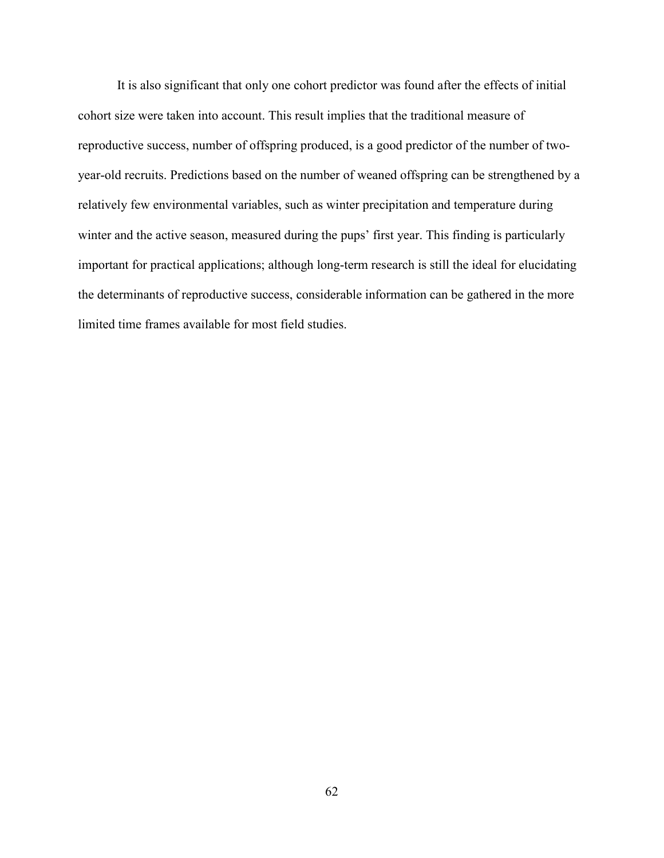It is also significant that only one cohort predictor was found after the effects of initial cohort size were taken into account. This result implies that the traditional measure of reproductive success, number of offspring produced, is a good predictor of the number of twoyear-old recruits. Predictions based on the number of weaned offspring can be strengthened by a relatively few environmental variables, such as winter precipitation and temperature during winter and the active season, measured during the pups' first year. This finding is particularly important for practical applications; although long-term research is still the ideal for elucidating the determinants of reproductive success, considerable information can be gathered in the more limited time frames available for most field studies.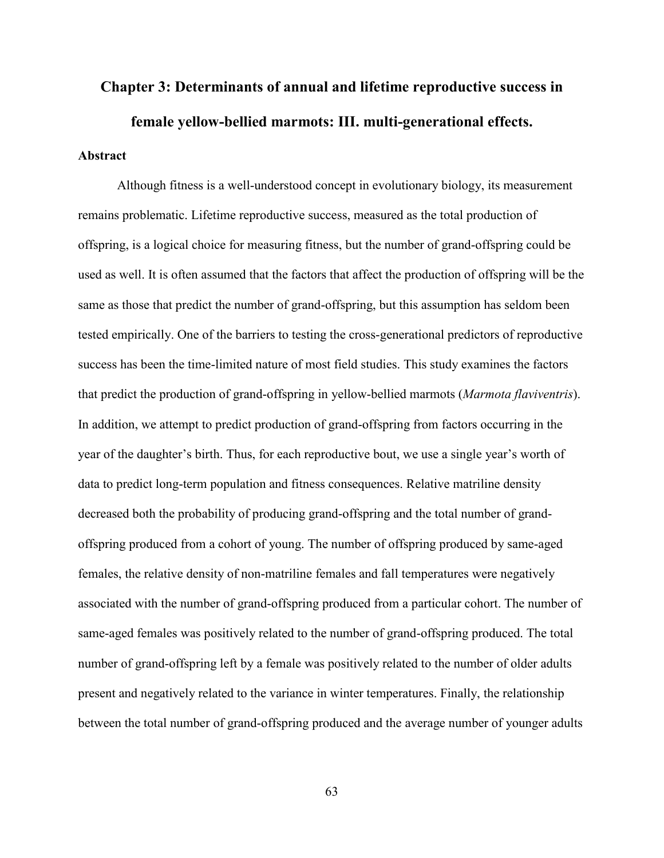# **Chapter 3: Determinants of annual and lifetime reproductive success in female yellow-bellied marmots: III. multi-generational effects.**

# **Abstract**

 Although fitness is a well-understood concept in evolutionary biology, its measurement remains problematic. Lifetime reproductive success, measured as the total production of offspring, is a logical choice for measuring fitness, but the number of grand-offspring could be used as well. It is often assumed that the factors that affect the production of offspring will be the same as those that predict the number of grand-offspring, but this assumption has seldom been tested empirically. One of the barriers to testing the cross-generational predictors of reproductive success has been the time-limited nature of most field studies. This study examines the factors that predict the production of grand-offspring in yellow-bellied marmots (*Marmota flaviventris*). In addition, we attempt to predict production of grand-offspring from factors occurring in the year of the daughter's birth. Thus, for each reproductive bout, we use a single year's worth of data to predict long-term population and fitness consequences. Relative matriline density decreased both the probability of producing grand-offspring and the total number of grandoffspring produced from a cohort of young. The number of offspring produced by same-aged females, the relative density of non-matriline females and fall temperatures were negatively associated with the number of grand-offspring produced from a particular cohort. The number of same-aged females was positively related to the number of grand-offspring produced. The total number of grand-offspring left by a female was positively related to the number of older adults present and negatively related to the variance in winter temperatures. Finally, the relationship between the total number of grand-offspring produced and the average number of younger adults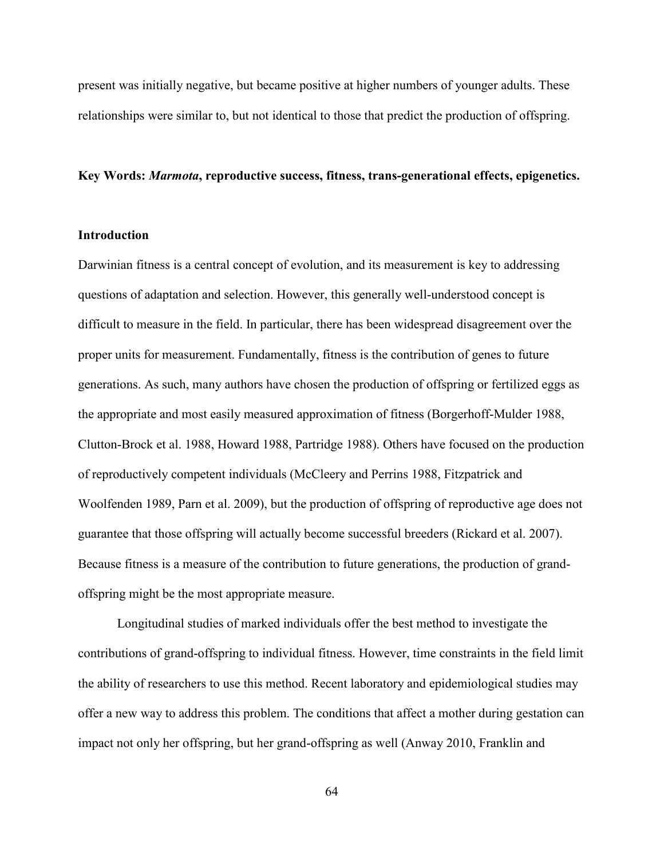present was initially negative, but became positive at higher numbers of younger adults. These relationships were similar to, but not identical to those that predict the production of offspring.

#### **Key Words:** *Marmota***, reproductive success, fitness, trans-generational effects, epigenetics.**

## **Introduction**

Darwinian fitness is a central concept of evolution, and its measurement is key to addressing questions of adaptation and selection. However, this generally well-understood concept is difficult to measure in the field. In particular, there has been widespread disagreement over the proper units for measurement. Fundamentally, fitness is the contribution of genes to future generations. As such, many authors have chosen the production of offspring or fertilized eggs as the appropriate and most easily measured approximation of fitness (Borgerhoff-Mulder 1988, Clutton-Brock et al. 1988, Howard 1988, Partridge 1988). Others have focused on the production of reproductively competent individuals (McCleery and Perrins 1988, Fitzpatrick and Woolfenden 1989, Parn et al. 2009), but the production of offspring of reproductive age does not guarantee that those offspring will actually become successful breeders (Rickard et al. 2007). Because fitness is a measure of the contribution to future generations, the production of grandoffspring might be the most appropriate measure.

Longitudinal studies of marked individuals offer the best method to investigate the contributions of grand-offspring to individual fitness. However, time constraints in the field limit the ability of researchers to use this method. Recent laboratory and epidemiological studies may offer a new way to address this problem. The conditions that affect a mother during gestation can impact not only her offspring, but her grand-offspring as well (Anway 2010, Franklin and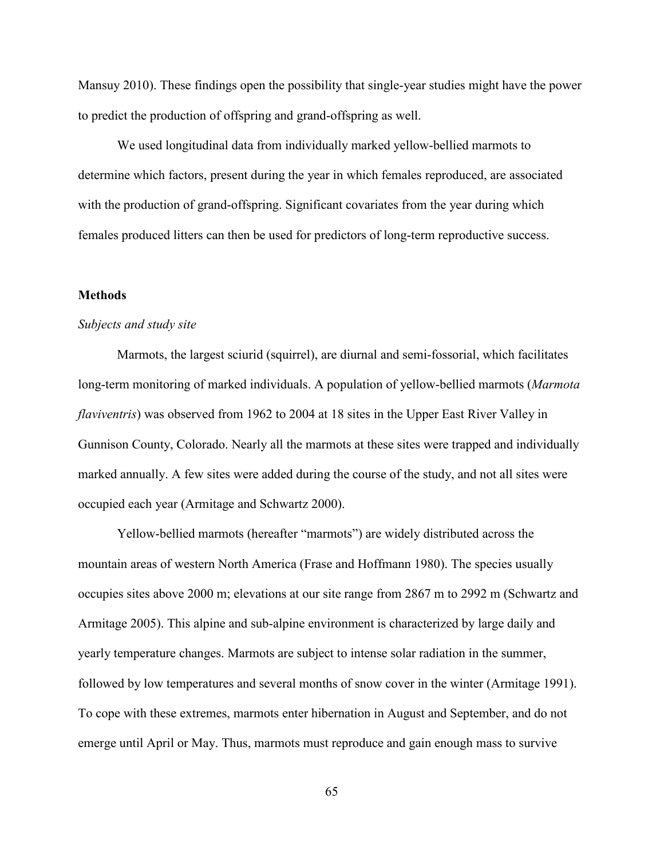Mansuy 2010). These findings open the possibility that single-year studies might have the power to predict the production of offspring and grand-offspring as well.

 We used longitudinal data from individually marked yellow-bellied marmots to determine which factors, present during the year in which females reproduced, are associated with the production of grand-offspring. Significant covariates from the year during which females produced litters can then be used for predictors of long-term reproductive success.

#### **Methods**

#### *Subjects and study site*

Marmots, the largest sciurid (squirrel), are diurnal and semi-fossorial, which facilitates long-term monitoring of marked individuals. A population of yellow-bellied marmots (*Marmota flaviventris*) was observed from 1962 to 2004 at 18 sites in the Upper East River Valley in Gunnison County, Colorado. Nearly all the marmots at these sites were trapped and individually marked annually. A few sites were added during the course of the study, and not all sites were occupied each year (Armitage and Schwartz 2000).

Yellow-bellied marmots (hereafter "marmots") are widely distributed across the mountain areas of western North America (Frase and Hoffmann 1980). The species usually occupies sites above 2000 m; elevations at our site range from 2867 m to 2992 m (Schwartz and Armitage 2005). This alpine and sub-alpine environment is characterized by large daily and yearly temperature changes. Marmots are subject to intense solar radiation in the summer, followed by low temperatures and several months of snow cover in the winter (Armitage 1991). To cope with these extremes, marmots enter hibernation in August and September, and do not emerge until April or May. Thus, marmots must reproduce and gain enough mass to survive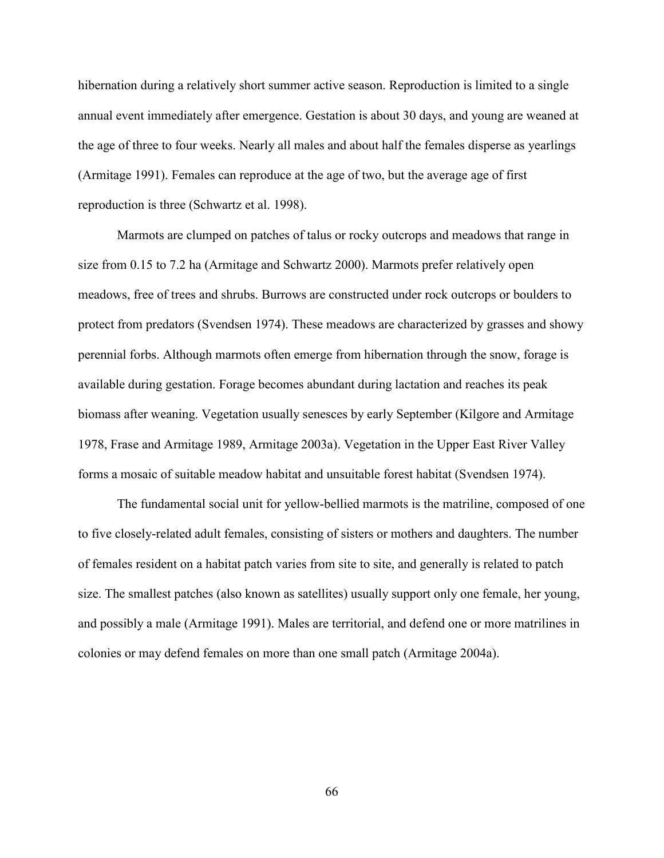hibernation during a relatively short summer active season. Reproduction is limited to a single annual event immediately after emergence. Gestation is about 30 days, and young are weaned at the age of three to four weeks. Nearly all males and about half the females disperse as yearlings (Armitage 1991). Females can reproduce at the age of two, but the average age of first reproduction is three (Schwartz et al. 1998).

Marmots are clumped on patches of talus or rocky outcrops and meadows that range in size from 0.15 to 7.2 ha (Armitage and Schwartz 2000). Marmots prefer relatively open meadows, free of trees and shrubs. Burrows are constructed under rock outcrops or boulders to protect from predators (Svendsen 1974). These meadows are characterized by grasses and showy perennial forbs. Although marmots often emerge from hibernation through the snow, forage is available during gestation. Forage becomes abundant during lactation and reaches its peak biomass after weaning. Vegetation usually senesces by early September (Kilgore and Armitage 1978, Frase and Armitage 1989, Armitage 2003a). Vegetation in the Upper East River Valley forms a mosaic of suitable meadow habitat and unsuitable forest habitat (Svendsen 1974).

The fundamental social unit for yellow-bellied marmots is the matriline, composed of one to five closely-related adult females, consisting of sisters or mothers and daughters. The number of females resident on a habitat patch varies from site to site, and generally is related to patch size. The smallest patches (also known as satellites) usually support only one female, her young, and possibly a male (Armitage 1991). Males are territorial, and defend one or more matrilines in colonies or may defend females on more than one small patch (Armitage 2004a).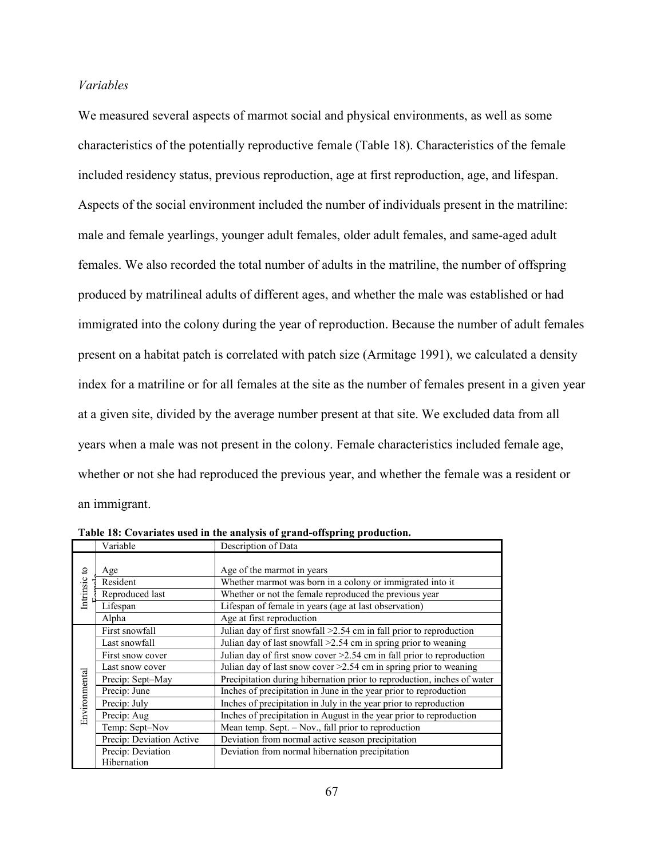# *Variables*

We measured several aspects of marmot social and physical environments, as well as some characteristics of the potentially reproductive female (Table 18). Characteristics of the female included residency status, previous reproduction, age at first reproduction, age, and lifespan. Aspects of the social environment included the number of individuals present in the matriline: male and female yearlings, younger adult females, older adult females, and same-aged adult females. We also recorded the total number of adults in the matriline, the number of offspring produced by matrilineal adults of different ages, and whether the male was established or had immigrated into the colony during the year of reproduction. Because the number of adult females present on a habitat patch is correlated with patch size (Armitage 1991), we calculated a density index for a matriline or for all females at the site as the number of females present in a given year at a given site, divided by the average number present at that site. We excluded data from all years when a male was not present in the colony. Female characteristics included female age, whether or not she had reproduced the previous year, and whether the female was a resident or an immigrant.

|               | Variable                 | Description of Data                                                         |  |  |  |  |  |  |
|---------------|--------------------------|-----------------------------------------------------------------------------|--|--|--|--|--|--|
| đ             | Age                      | Age of the marmot in years                                                  |  |  |  |  |  |  |
|               | Resident                 | Whether marmot was born in a colony or immigrated into it                   |  |  |  |  |  |  |
| Intrinsic     | Reproduced last          | Whether or not the female reproduced the previous year                      |  |  |  |  |  |  |
|               | Lifespan                 | Lifespan of female in years (age at last observation)                       |  |  |  |  |  |  |
|               | Alpha                    | Age at first reproduction                                                   |  |  |  |  |  |  |
|               | First snowfall           | Julian day of first snowfall $>2.54$ cm in fall prior to reproduction       |  |  |  |  |  |  |
|               | Last snowfall            | Julian day of last snowfall >2.54 cm in spring prior to weaning             |  |  |  |  |  |  |
|               | First snow cover         | Julian day of first snow cover $\geq$ 2.54 cm in fall prior to reproduction |  |  |  |  |  |  |
|               | Last snow cover          | Julian day of last snow cover $>2.54$ cm in spring prior to weaning         |  |  |  |  |  |  |
| Environmental | Precip: Sept-May         | Precipitation during hibernation prior to reproduction, inches of water     |  |  |  |  |  |  |
|               | Precip: June             | Inches of precipitation in June in the year prior to reproduction           |  |  |  |  |  |  |
|               | Precip: July             | Inches of precipitation in July in the year prior to reproduction           |  |  |  |  |  |  |
|               | Precip: Aug              | Inches of precipitation in August in the year prior to reproduction         |  |  |  |  |  |  |
|               | Temp: Sept-Nov           | Mean temp. Sept. - Nov., fall prior to reproduction                         |  |  |  |  |  |  |
|               | Precip: Deviation Active | Deviation from normal active season precipitation                           |  |  |  |  |  |  |
|               | Precip: Deviation        | Deviation from normal hibernation precipitation                             |  |  |  |  |  |  |
|               | Hibernation              |                                                                             |  |  |  |  |  |  |

**Table 18: Covariates used in the analysis of grand-offspring production.**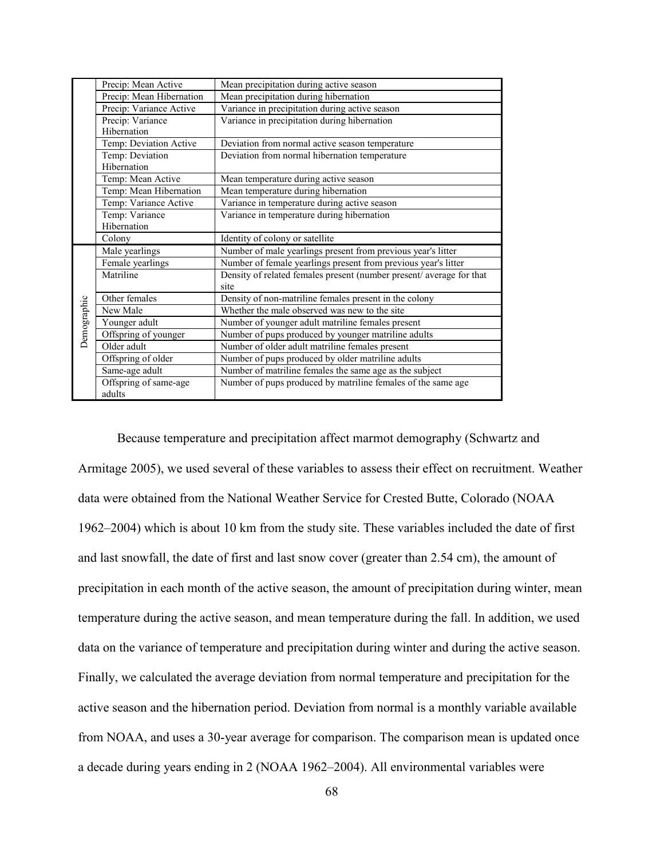|             | Precip: Mean Active      | Mean precipitation during active season                             |  |  |  |  |  |  |  |
|-------------|--------------------------|---------------------------------------------------------------------|--|--|--|--|--|--|--|
|             | Precip: Mean Hibernation | Mean precipitation during hibernation                               |  |  |  |  |  |  |  |
|             | Precip: Variance Active  | Variance in precipitation during active season                      |  |  |  |  |  |  |  |
|             | Precip: Variance         | Variance in precipitation during hibernation                        |  |  |  |  |  |  |  |
|             | Hibernation              |                                                                     |  |  |  |  |  |  |  |
|             | Temp: Deviation Active   | Deviation from normal active season temperature                     |  |  |  |  |  |  |  |
|             | Temp: Deviation          | Deviation from normal hibernation temperature                       |  |  |  |  |  |  |  |
|             | Hibernation              |                                                                     |  |  |  |  |  |  |  |
|             | Temp: Mean Active        | Mean temperature during active season                               |  |  |  |  |  |  |  |
|             | Temp: Mean Hibernation   | Mean temperature during hibernation                                 |  |  |  |  |  |  |  |
|             | Temp: Variance Active    | Variance in temperature during active season                        |  |  |  |  |  |  |  |
|             | Temp: Variance           | Variance in temperature during hibernation                          |  |  |  |  |  |  |  |
|             | Hibernation              |                                                                     |  |  |  |  |  |  |  |
|             | Colony                   | Identity of colony or satellite                                     |  |  |  |  |  |  |  |
|             | Male yearlings           | Number of male yearlings present from previous year's litter        |  |  |  |  |  |  |  |
|             | Female yearlings         | Number of female yearlings present from previous year's litter      |  |  |  |  |  |  |  |
|             | Matriline                | Density of related females present (number present/average for that |  |  |  |  |  |  |  |
|             |                          | site                                                                |  |  |  |  |  |  |  |
|             | Other females            | Density of non-matriline females present in the colony              |  |  |  |  |  |  |  |
| Demographic | New Male                 | Whether the male observed was new to the site                       |  |  |  |  |  |  |  |
|             | Younger adult            | Number of younger adult matriline females present                   |  |  |  |  |  |  |  |
|             | Offspring of younger     | Number of pups produced by younger matriline adults                 |  |  |  |  |  |  |  |
|             | Older adult              | Number of older adult matriline females present                     |  |  |  |  |  |  |  |
|             | Offspring of older       | Number of pups produced by older matriline adults                   |  |  |  |  |  |  |  |
|             | Same-age adult           | Number of matriline females the same age as the subject             |  |  |  |  |  |  |  |
|             | Offspring of same-age    | Number of pups produced by matriline females of the same age        |  |  |  |  |  |  |  |
|             | adults                   |                                                                     |  |  |  |  |  |  |  |

Because temperature and precipitation affect marmot demography (Schwartz and Armitage 2005), we used several of these variables to assess their effect on recruitment. Weather data were obtained from the National Weather Service for Crested Butte, Colorado (NOAA 1962–2004) which is about 10 km from the study site. These variables included the date of first and last snowfall, the date of first and last snow cover (greater than 2.54 cm), the amount of precipitation in each month of the active season, the amount of precipitation during winter, mean temperature during the active season, and mean temperature during the fall. In addition, we used data on the variance of temperature and precipitation during winter and during the active season. Finally, we calculated the average deviation from normal temperature and precipitation for the active season and the hibernation period. Deviation from normal is a monthly variable available from NOAA, and uses a 30-year average for comparison. The comparison mean is updated once a decade during years ending in 2 (NOAA 1962–2004). All environmental variables were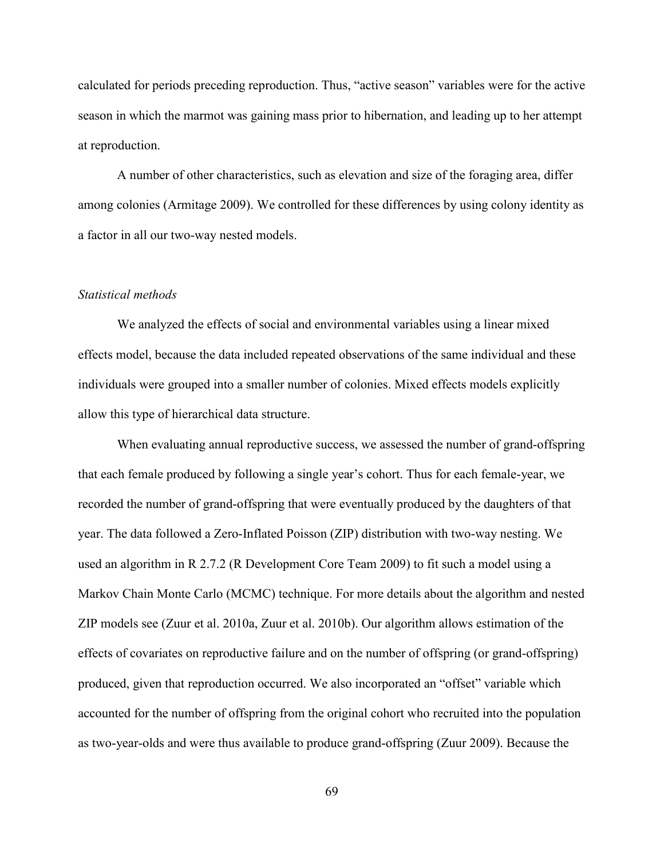calculated for periods preceding reproduction. Thus, "active season" variables were for the active season in which the marmot was gaining mass prior to hibernation, and leading up to her attempt at reproduction.

A number of other characteristics, such as elevation and size of the foraging area, differ among colonies (Armitage 2009). We controlled for these differences by using colony identity as a factor in all our two-way nested models.

#### *Statistical methods*

We analyzed the effects of social and environmental variables using a linear mixed effects model, because the data included repeated observations of the same individual and these individuals were grouped into a smaller number of colonies. Mixed effects models explicitly allow this type of hierarchical data structure.

 When evaluating annual reproductive success, we assessed the number of grand-offspring that each female produced by following a single year's cohort. Thus for each female-year, we recorded the number of grand-offspring that were eventually produced by the daughters of that year. The data followed a Zero-Inflated Poisson (ZIP) distribution with two-way nesting. We used an algorithm in R 2.7.2 (R Development Core Team 2009) to fit such a model using a Markov Chain Monte Carlo (MCMC) technique. For more details about the algorithm and nested ZIP models see (Zuur et al. 2010a, Zuur et al. 2010b). Our algorithm allows estimation of the effects of covariates on reproductive failure and on the number of offspring (or grand-offspring) produced, given that reproduction occurred. We also incorporated an "offset" variable which accounted for the number of offspring from the original cohort who recruited into the population as two-year-olds and were thus available to produce grand-offspring (Zuur 2009). Because the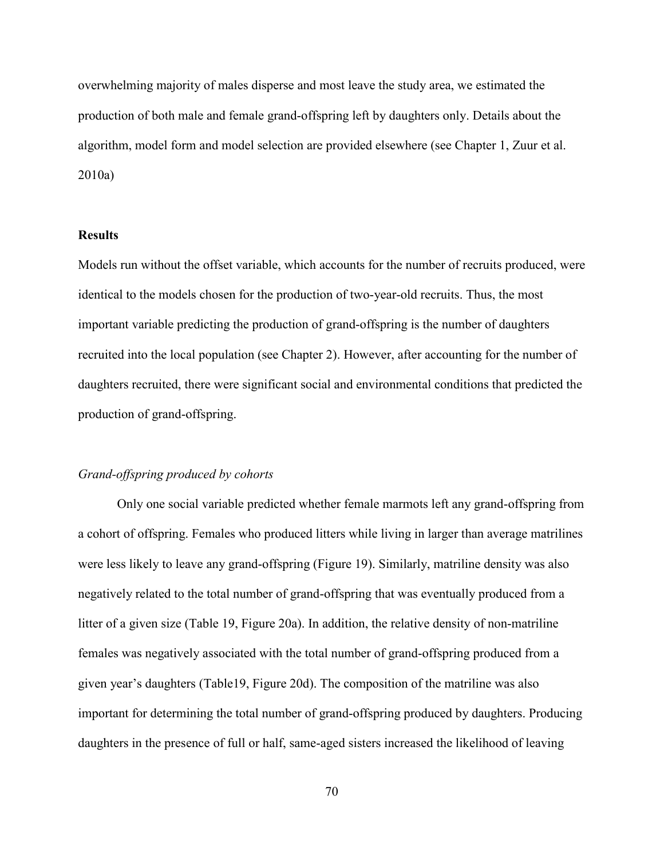overwhelming majority of males disperse and most leave the study area, we estimated the production of both male and female grand-offspring left by daughters only. Details about the algorithm, model form and model selection are provided elsewhere (see Chapter 1, Zuur et al. 2010a)

#### **Results**

Models run without the offset variable, which accounts for the number of recruits produced, were identical to the models chosen for the production of two-year-old recruits. Thus, the most important variable predicting the production of grand-offspring is the number of daughters recruited into the local population (see Chapter 2). However, after accounting for the number of daughters recruited, there were significant social and environmental conditions that predicted the production of grand-offspring.

#### *Grand-offspring produced by cohorts*

 Only one social variable predicted whether female marmots left any grand-offspring from a cohort of offspring. Females who produced litters while living in larger than average matrilines were less likely to leave any grand-offspring (Figure 19). Similarly, matriline density was also negatively related to the total number of grand-offspring that was eventually produced from a litter of a given size (Table 19, Figure 20a). In addition, the relative density of non-matriline females was negatively associated with the total number of grand-offspring produced from a given year's daughters (Table19, Figure 20d). The composition of the matriline was also important for determining the total number of grand-offspring produced by daughters. Producing daughters in the presence of full or half, same-aged sisters increased the likelihood of leaving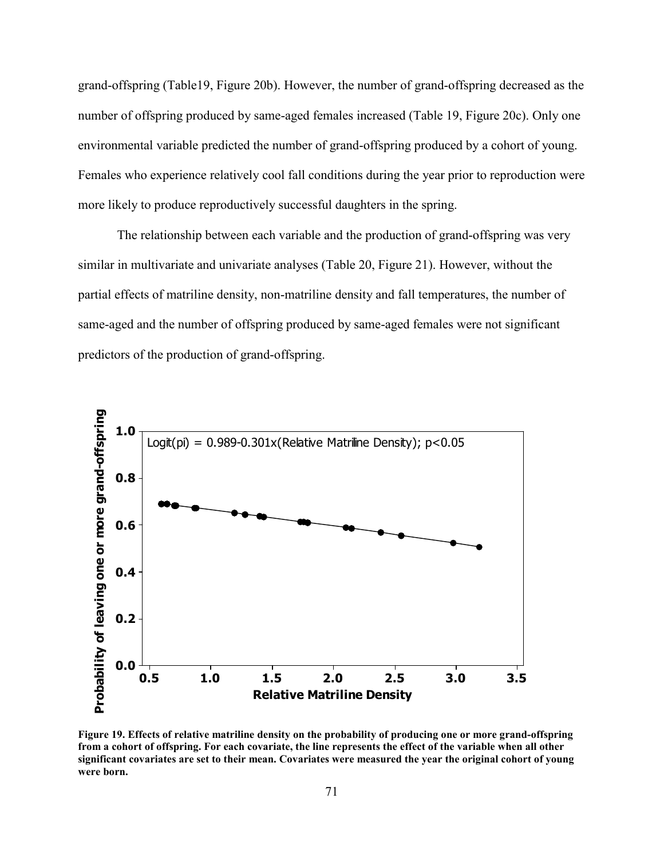grand-offspring (Table19, Figure 20b). However, the number of grand-offspring decreased as the number of offspring produced by same-aged females increased (Table 19, Figure 20c). Only one environmental variable predicted the number of grand-offspring produced by a cohort of young. Females who experience relatively cool fall conditions during the year prior to reproduction were more likely to produce reproductively successful daughters in the spring.

 The relationship between each variable and the production of grand-offspring was very similar in multivariate and univariate analyses (Table 20, Figure 21). However, without the partial effects of matriline density, non-matriline density and fall temperatures, the number of same-aged and the number of offspring produced by same-aged females were not significant predictors of the production of grand-offspring.



**Figure 19. Effects of relative matriline density on the probability of producing one or more grand-offspring from a cohort of offspring. For each covariate, the line represents the effect of the variable when all other significant covariates are set to their mean. Covariates were measured the year the original cohort of young were born.**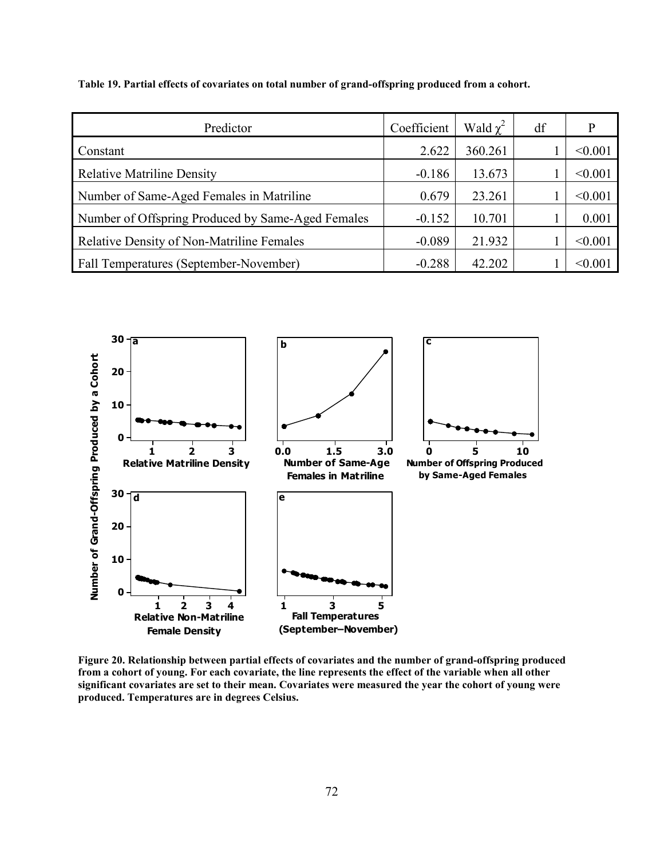**Table 19. Partial effects of covariates on total number of grand-offspring produced from a cohort.** 

| Predictor                                         | Coefficient | Wald $\chi^2$ | df | p       |
|---------------------------------------------------|-------------|---------------|----|---------|
| Constant                                          | 2.622       | 360.261       |    | < 0.001 |
| <b>Relative Matriline Density</b>                 | $-0.186$    | 13.673        |    | < 0.001 |
| Number of Same-Aged Females in Matriline          | 0.679       | 23.261        |    | < 0.001 |
| Number of Offspring Produced by Same-Aged Females | $-0.152$    | 10.701        |    | 0.001   |
| <b>Relative Density of Non-Matriline Females</b>  | $-0.089$    | 21.932        |    | < 0.001 |
| Fall Temperatures (September-November)            | $-0.288$    | 42.202        |    | < 0.001 |



**Figure 20. Relationship between partial effects of covariates and the number of grand-offspring produced from a cohort of young. For each covariate, the line represents the effect of the variable when all other significant covariates are set to their mean. Covariates were measured the year the cohort of young were produced. Temperatures are in degrees Celsius.**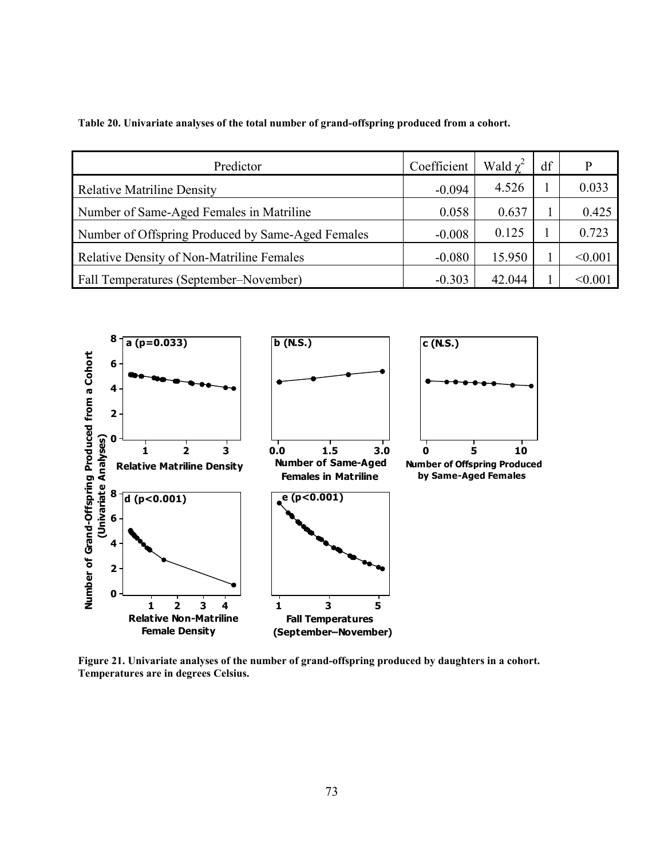**Table 20. Univariate analyses of the total number of grand-offspring produced from a cohort.** 

| Predictor                                         | Coefficient | Wald $\chi^2$ | df | P       |
|---------------------------------------------------|-------------|---------------|----|---------|
| <b>Relative Matriline Density</b>                 | $-0.094$    | 4.526         |    | 0.033   |
| Number of Same-Aged Females in Matriline          | 0.058       | 0.637         |    | 0.425   |
| Number of Offspring Produced by Same-Aged Females | $-0.008$    | 0.125         |    | 0.723   |
| <b>Relative Density of Non-Matriline Females</b>  | $-0.080$    | 15.950        |    | < 0.001 |
| Fall Temperatures (September–November)            | $-0.303$    | 42.044        |    | < 0.001 |



**Figure 21. Univariate analyses of the number of grand-offspring produced by daughters in a cohort. Temperatures are in degrees Celsius.**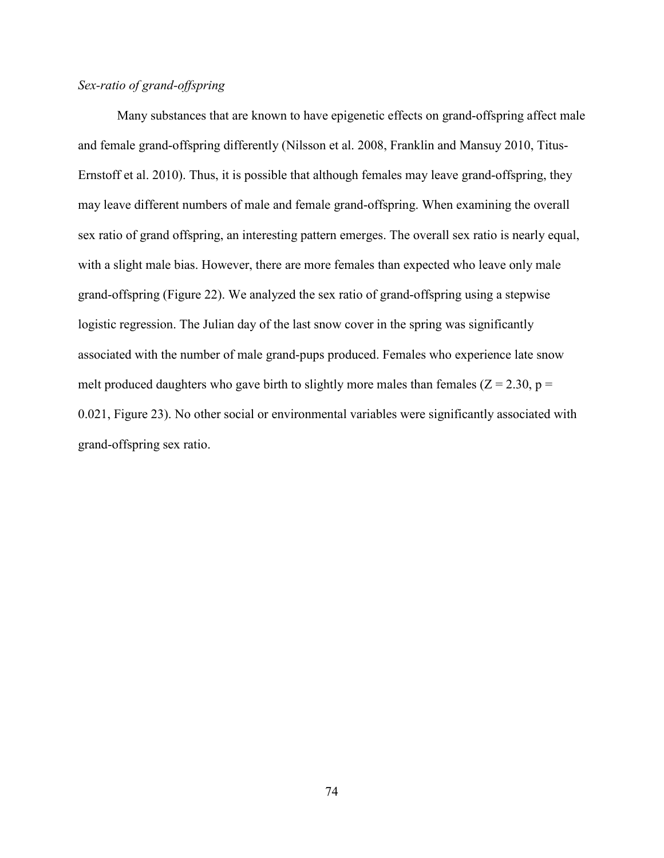# *Sex-ratio of grand-offspring*

 Many substances that are known to have epigenetic effects on grand-offspring affect male and female grand-offspring differently (Nilsson et al. 2008, Franklin and Mansuy 2010, Titus-Ernstoff et al. 2010). Thus, it is possible that although females may leave grand-offspring, they may leave different numbers of male and female grand-offspring. When examining the overall sex ratio of grand offspring, an interesting pattern emerges. The overall sex ratio is nearly equal, with a slight male bias. However, there are more females than expected who leave only male grand-offspring (Figure 22). We analyzed the sex ratio of grand-offspring using a stepwise logistic regression. The Julian day of the last snow cover in the spring was significantly associated with the number of male grand-pups produced. Females who experience late snow melt produced daughters who gave birth to slightly more males than females ( $Z = 2.30$ ,  $p =$ 0.021, Figure 23). No other social or environmental variables were significantly associated with grand-offspring sex ratio.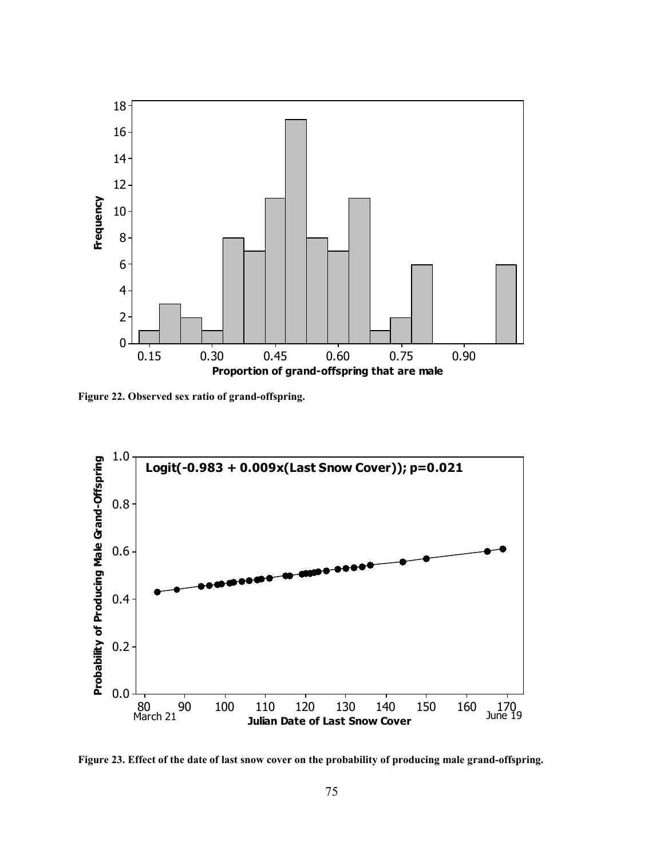

**Figure 22. Observed sex ratio of grand-offspring.** 



**Figure 23. Effect of the date of last snow cover on the probability of producing male grand-offspring.**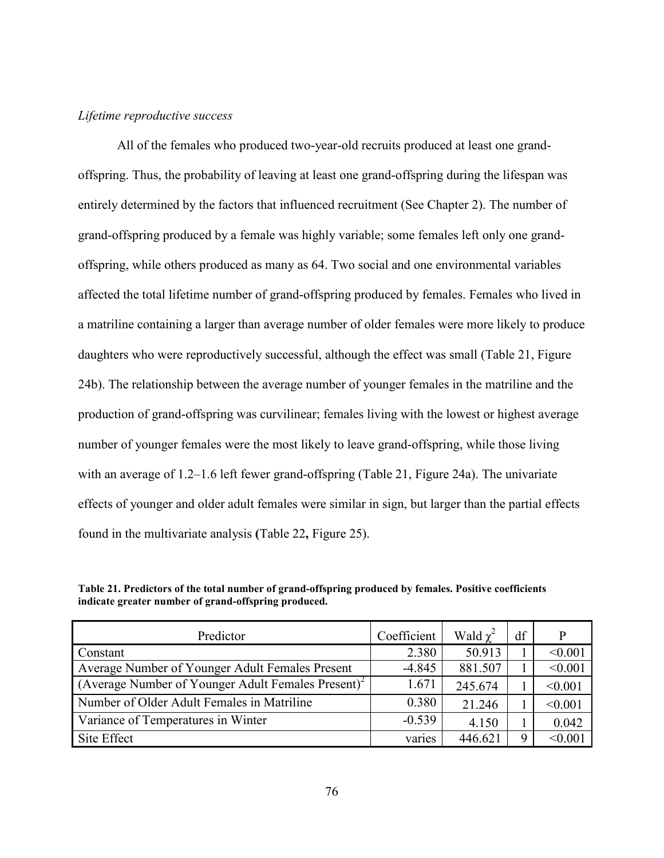#### *Lifetime reproductive success*

All of the females who produced two-year-old recruits produced at least one grandoffspring. Thus, the probability of leaving at least one grand-offspring during the lifespan was entirely determined by the factors that influenced recruitment (See Chapter 2). The number of grand-offspring produced by a female was highly variable; some females left only one grandoffspring, while others produced as many as 64. Two social and one environmental variables affected the total lifetime number of grand-offspring produced by females. Females who lived in a matriline containing a larger than average number of older females were more likely to produce daughters who were reproductively successful, although the effect was small (Table 21, Figure 24b). The relationship between the average number of younger females in the matriline and the production of grand-offspring was curvilinear; females living with the lowest or highest average number of younger females were the most likely to leave grand-offspring, while those living with an average of 1.2–1.6 left fewer grand-offspring (Table 21, Figure 24a). The univariate effects of younger and older adult females were similar in sign, but larger than the partial effects found in the multivariate analysis **(**Table 22**,** Figure 25).

**Table 21. Predictors of the total number of grand-offspring produced by females. Positive coefficients indicate greater number of grand-offspring produced.** 

| Predictor                                                      | Coefficient | Wald $\chi^2$ | df | P       |
|----------------------------------------------------------------|-------------|---------------|----|---------|
| Constant                                                       | 2.380       | 50.913        |    | < 0.001 |
| Average Number of Younger Adult Females Present                | $-4.845$    | 881.507       |    | < 0.001 |
| (Average Number of Younger Adult Females Present) <sup>2</sup> | 1.671       | 245.674       |    | < 0.001 |
| Number of Older Adult Females in Matriline                     | 0.380       | 21.246        |    | < 0.001 |
| Variance of Temperatures in Winter                             | $-0.539$    | 4.150         |    | 0.042   |
| Site Effect                                                    | varies      | 446.621       |    | < 0.001 |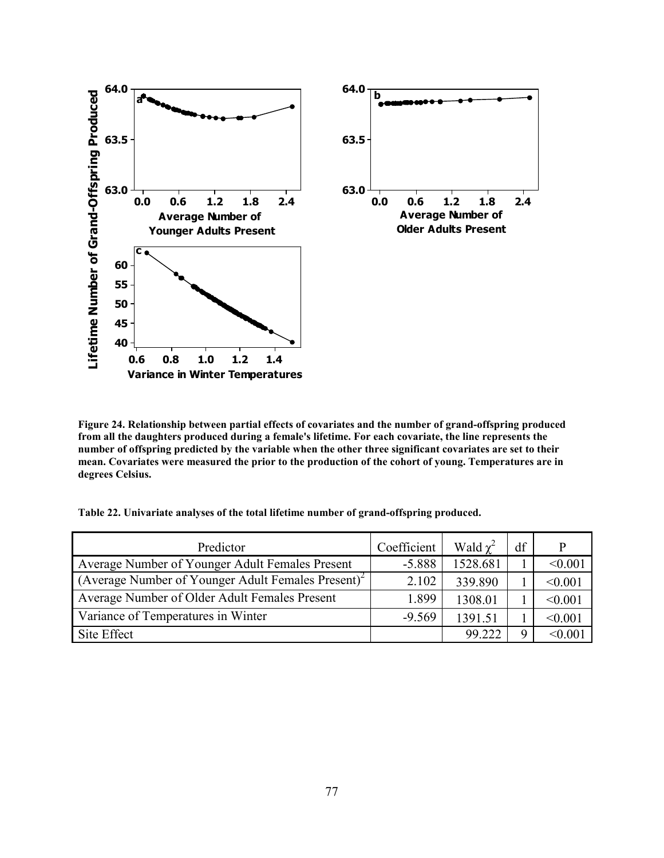

**Figure 24. Relationship between partial effects of covariates and the number of grand-offspring produced from all the daughters produced during a female's lifetime. For each covariate, the line represents the number of offspring predicted by the variable when the other three significant covariates are set to their mean. Covariates were measured the prior to the production of the cohort of young. Temperatures are in degrees Celsius.** 

**Table 22. Univariate analyses of the total lifetime number of grand-offspring produced.** 

| Predictor                                                      | Coefficient | Wald $\chi^2$ | df | P       |
|----------------------------------------------------------------|-------------|---------------|----|---------|
| Average Number of Younger Adult Females Present                | $-5.888$    | 1528.681      |    | < 0.001 |
| (Average Number of Younger Adult Females Present) <sup>2</sup> | 2.102       | 339.890       |    | < 0.001 |
| Average Number of Older Adult Females Present                  | 1.899       | 1308.01       |    | < 0.001 |
| Variance of Temperatures in Winter                             | $-9.569$    | 1391.51       |    | < 0.001 |
| Site Effect                                                    |             | 99.222        |    | < 0.00  |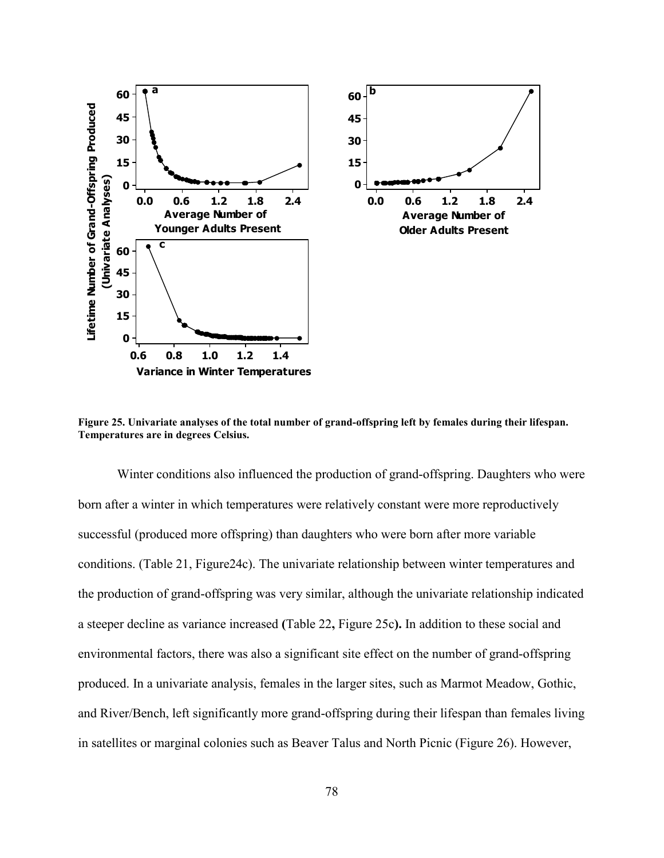

**Figure 25. Univariate analyses of the total number of grand-offspring left by females during their lifespan. Temperatures are in degrees Celsius.** 

 Winter conditions also influenced the production of grand-offspring. Daughters who were born after a winter in which temperatures were relatively constant were more reproductively successful (produced more offspring) than daughters who were born after more variable conditions. (Table 21, Figure24c). The univariate relationship between winter temperatures and the production of grand-offspring was very similar, although the univariate relationship indicated a steeper decline as variance increased **(**Table 22**,** Figure 25c**).** In addition to these social and environmental factors, there was also a significant site effect on the number of grand-offspring produced. In a univariate analysis, females in the larger sites, such as Marmot Meadow, Gothic, and River/Bench, left significantly more grand-offspring during their lifespan than females living in satellites or marginal colonies such as Beaver Talus and North Picnic (Figure 26). However,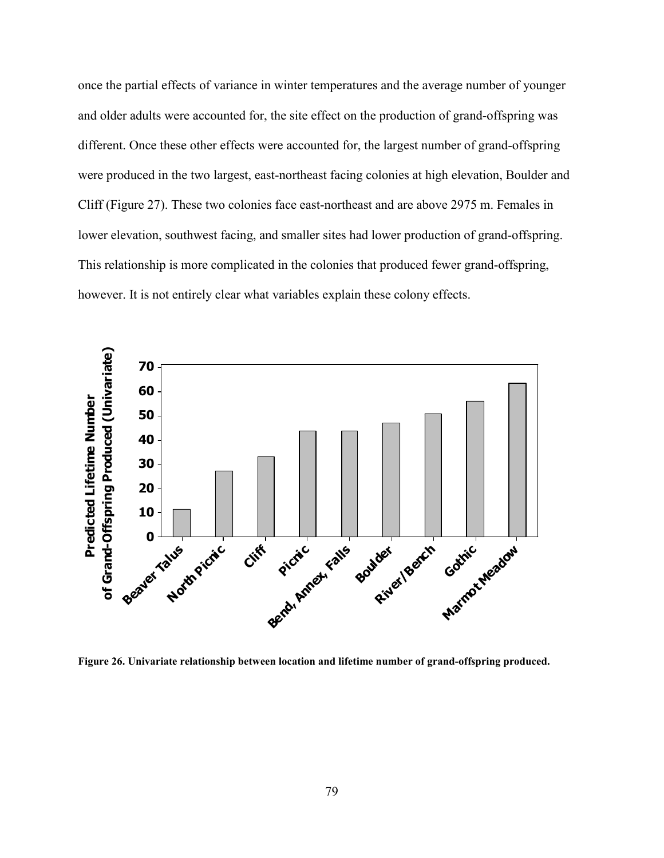once the partial effects of variance in winter temperatures and the average number of younger and older adults were accounted for, the site effect on the production of grand-offspring was different. Once these other effects were accounted for, the largest number of grand-offspring were produced in the two largest, east-northeast facing colonies at high elevation, Boulder and Cliff (Figure 27). These two colonies face east-northeast and are above 2975 m. Females in lower elevation, southwest facing, and smaller sites had lower production of grand-offspring. This relationship is more complicated in the colonies that produced fewer grand-offspring, however. It is not entirely clear what variables explain these colony effects.



**Figure 26. Univariate relationship between location and lifetime number of grand-offspring produced.**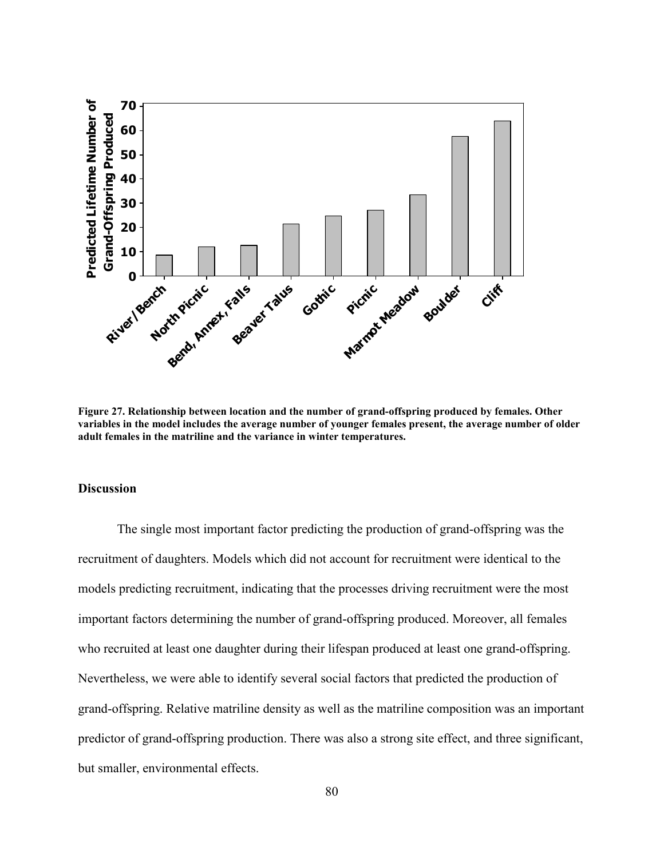

**Figure 27. Relationship between location and the number of grand-offspring produced by females. Other variables in the model includes the average number of younger females present, the average number of older adult females in the matriline and the variance in winter temperatures.**

#### **Discussion**

The single most important factor predicting the production of grand-offspring was the recruitment of daughters. Models which did not account for recruitment were identical to the models predicting recruitment, indicating that the processes driving recruitment were the most important factors determining the number of grand-offspring produced. Moreover, all females who recruited at least one daughter during their lifespan produced at least one grand-offspring. Nevertheless, we were able to identify several social factors that predicted the production of grand-offspring. Relative matriline density as well as the matriline composition was an important predictor of grand-offspring production. There was also a strong site effect, and three significant, but smaller, environmental effects.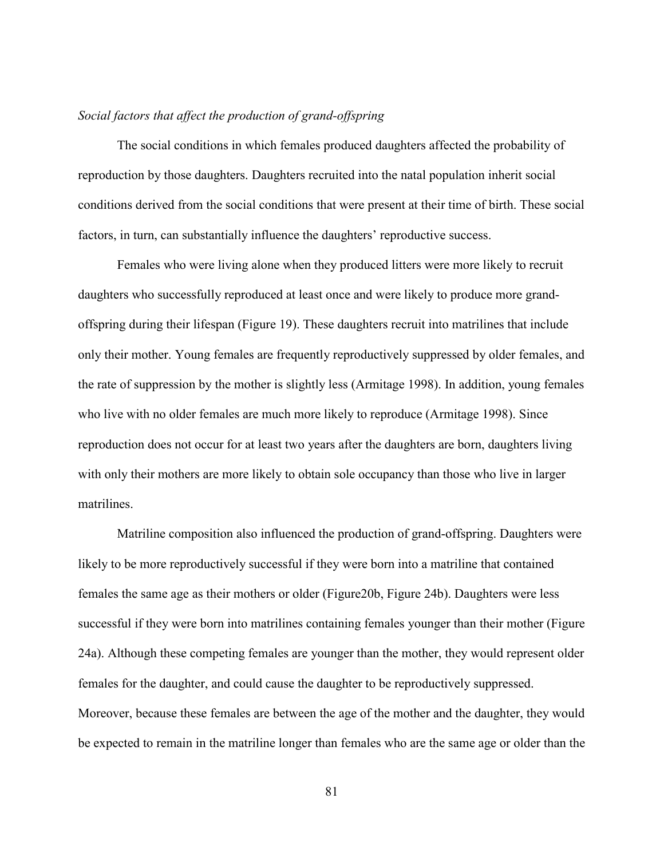## *Social factors that affect the production of grand-offspring*

The social conditions in which females produced daughters affected the probability of reproduction by those daughters. Daughters recruited into the natal population inherit social conditions derived from the social conditions that were present at their time of birth. These social factors, in turn, can substantially influence the daughters' reproductive success.

 Females who were living alone when they produced litters were more likely to recruit daughters who successfully reproduced at least once and were likely to produce more grandoffspring during their lifespan (Figure 19). These daughters recruit into matrilines that include only their mother. Young females are frequently reproductively suppressed by older females, and the rate of suppression by the mother is slightly less (Armitage 1998). In addition, young females who live with no older females are much more likely to reproduce (Armitage 1998). Since reproduction does not occur for at least two years after the daughters are born, daughters living with only their mothers are more likely to obtain sole occupancy than those who live in larger matrilines.

 Matriline composition also influenced the production of grand-offspring. Daughters were likely to be more reproductively successful if they were born into a matriline that contained females the same age as their mothers or older (Figure20b, Figure 24b). Daughters were less successful if they were born into matrilines containing females younger than their mother (Figure 24a). Although these competing females are younger than the mother, they would represent older females for the daughter, and could cause the daughter to be reproductively suppressed. Moreover, because these females are between the age of the mother and the daughter, they would be expected to remain in the matriline longer than females who are the same age or older than the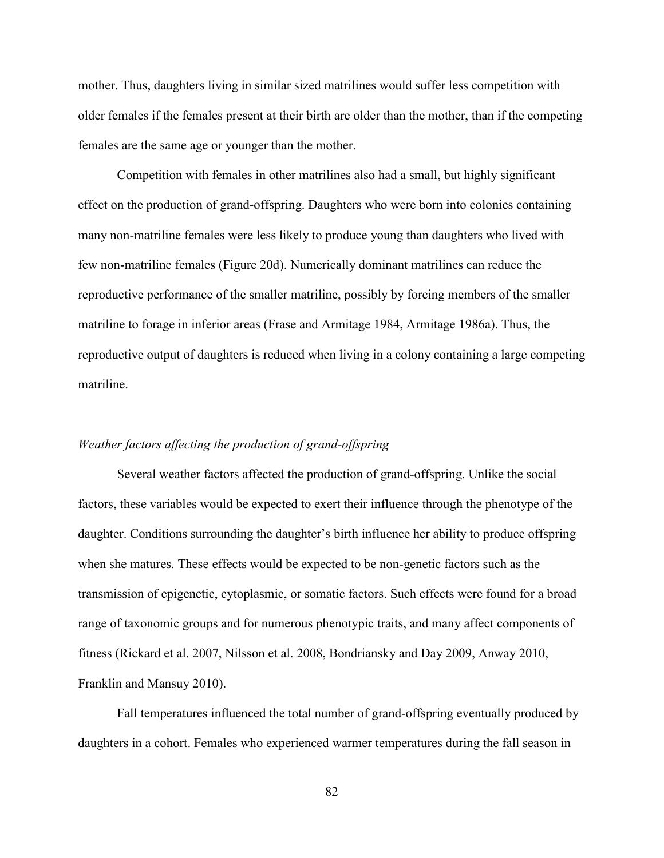mother. Thus, daughters living in similar sized matrilines would suffer less competition with older females if the females present at their birth are older than the mother, than if the competing females are the same age or younger than the mother.

 Competition with females in other matrilines also had a small, but highly significant effect on the production of grand-offspring. Daughters who were born into colonies containing many non-matriline females were less likely to produce young than daughters who lived with few non-matriline females (Figure 20d). Numerically dominant matrilines can reduce the reproductive performance of the smaller matriline, possibly by forcing members of the smaller matriline to forage in inferior areas (Frase and Armitage 1984, Armitage 1986a). Thus, the reproductive output of daughters is reduced when living in a colony containing a large competing matriline.

## *Weather factors affecting the production of grand-offspring*

 Several weather factors affected the production of grand-offspring. Unlike the social factors, these variables would be expected to exert their influence through the phenotype of the daughter. Conditions surrounding the daughter's birth influence her ability to produce offspring when she matures. These effects would be expected to be non-genetic factors such as the transmission of epigenetic, cytoplasmic, or somatic factors. Such effects were found for a broad range of taxonomic groups and for numerous phenotypic traits, and many affect components of fitness (Rickard et al. 2007, Nilsson et al. 2008, Bondriansky and Day 2009, Anway 2010, Franklin and Mansuy 2010).

Fall temperatures influenced the total number of grand-offspring eventually produced by daughters in a cohort. Females who experienced warmer temperatures during the fall season in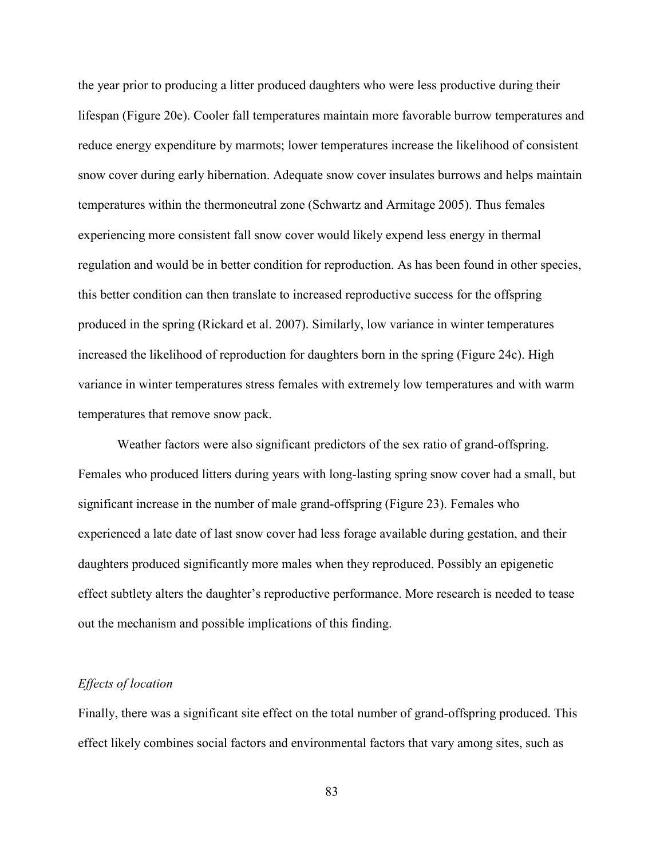the year prior to producing a litter produced daughters who were less productive during their lifespan (Figure 20e). Cooler fall temperatures maintain more favorable burrow temperatures and reduce energy expenditure by marmots; lower temperatures increase the likelihood of consistent snow cover during early hibernation. Adequate snow cover insulates burrows and helps maintain temperatures within the thermoneutral zone (Schwartz and Armitage 2005). Thus females experiencing more consistent fall snow cover would likely expend less energy in thermal regulation and would be in better condition for reproduction. As has been found in other species, this better condition can then translate to increased reproductive success for the offspring produced in the spring (Rickard et al. 2007). Similarly, low variance in winter temperatures increased the likelihood of reproduction for daughters born in the spring (Figure 24c). High variance in winter temperatures stress females with extremely low temperatures and with warm temperatures that remove snow pack.

 Weather factors were also significant predictors of the sex ratio of grand-offspring. Females who produced litters during years with long-lasting spring snow cover had a small, but significant increase in the number of male grand-offspring (Figure 23). Females who experienced a late date of last snow cover had less forage available during gestation, and their daughters produced significantly more males when they reproduced. Possibly an epigenetic effect subtlety alters the daughter's reproductive performance. More research is needed to tease out the mechanism and possible implications of this finding.

# *Effects of location*

Finally, there was a significant site effect on the total number of grand-offspring produced. This effect likely combines social factors and environmental factors that vary among sites, such as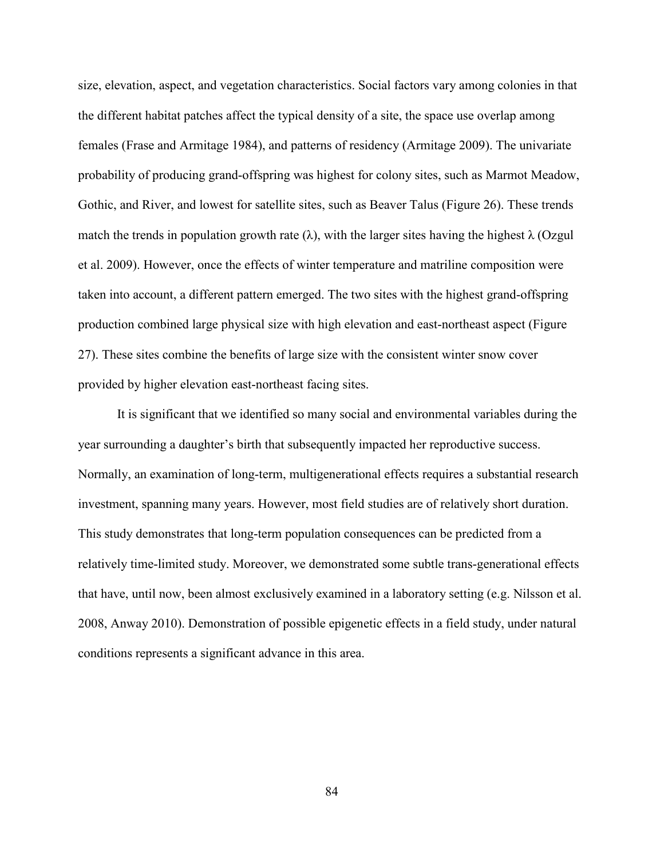size, elevation, aspect, and vegetation characteristics. Social factors vary among colonies in that the different habitat patches affect the typical density of a site, the space use overlap among females (Frase and Armitage 1984), and patterns of residency (Armitage 2009). The univariate probability of producing grand-offspring was highest for colony sites, such as Marmot Meadow, Gothic, and River, and lowest for satellite sites, such as Beaver Talus (Figure 26). These trends match the trends in population growth rate ( $\lambda$ ), with the larger sites having the highest  $\lambda$  (Ozgul et al. 2009). However, once the effects of winter temperature and matriline composition were taken into account, a different pattern emerged. The two sites with the highest grand-offspring production combined large physical size with high elevation and east-northeast aspect (Figure 27). These sites combine the benefits of large size with the consistent winter snow cover provided by higher elevation east-northeast facing sites.

 It is significant that we identified so many social and environmental variables during the year surrounding a daughter's birth that subsequently impacted her reproductive success. Normally, an examination of long-term, multigenerational effects requires a substantial research investment, spanning many years. However, most field studies are of relatively short duration. This study demonstrates that long-term population consequences can be predicted from a relatively time-limited study. Moreover, we demonstrated some subtle trans-generational effects that have, until now, been almost exclusively examined in a laboratory setting (e.g. Nilsson et al. 2008, Anway 2010). Demonstration of possible epigenetic effects in a field study, under natural conditions represents a significant advance in this area.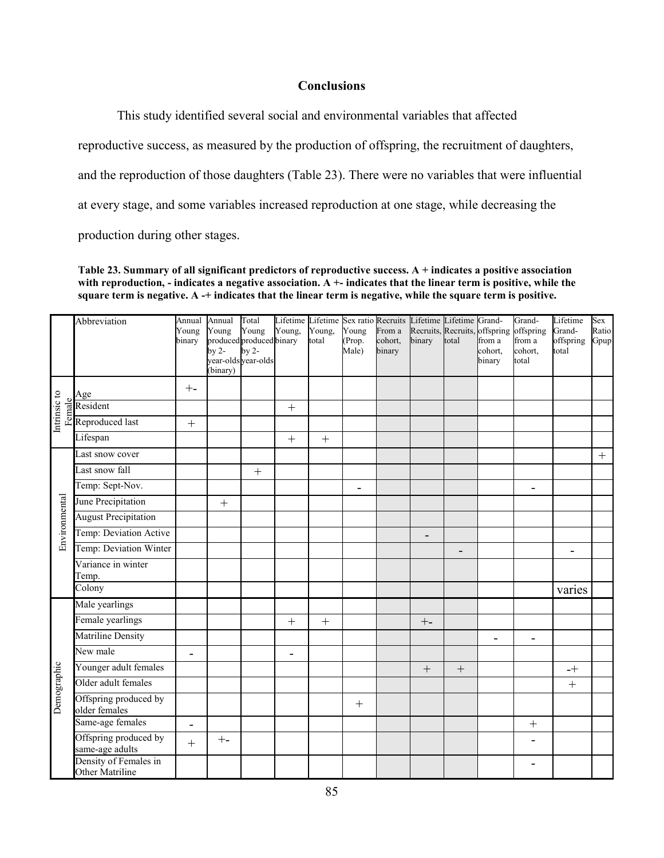# **Conclusions**

This study identified several social and environmental variables that affected

reproductive success, as measured by the production of offspring, the recruitment of daughters,

and the reproduction of those daughters (Table 23). There were no variables that were influential

at every stage, and some variables increased reproduction at one stage, while decreasing the

production during other stages.

**Table 23. Summary of all significant predictors of reproductive success. A + indicates a positive association**  with reproduction, - indicates a negative association. A +- indicates that the linear term is positive, while the **square term is negative. A -+ indicates that the linear term is negative, while the square term is positive.** 

|               | Abbreviation                                                                                                            | Annual<br>Young<br>binary | Annual<br>Young<br>produced produced binary<br>by $2-$<br>(binary) | Total<br>Young<br>$\mathbf{b}$ y 2-<br>year-olds year-olds | Young,                   | Young,<br>total | Young<br>(Prop.<br>Male) | From a<br>cohort,<br>binary | Lifetime Lifetime Sex ratio Recruits Lifetime Lifetime Grand-<br>binary | total             | Recruits, Recruits, offspring offspring<br>from a<br>cohort,<br>binary | Grand-<br>from a<br>cohort,<br>total | Lifetime<br>Grand-<br>offspring<br>total | Sex<br>Ratio<br>Gpup |
|---------------|-------------------------------------------------------------------------------------------------------------------------|---------------------------|--------------------------------------------------------------------|------------------------------------------------------------|--------------------------|-----------------|--------------------------|-----------------------------|-------------------------------------------------------------------------|-------------------|------------------------------------------------------------------------|--------------------------------------|------------------------------------------|----------------------|
|               | Age                                                                                                                     | $+ -$                     |                                                                    |                                                            |                          |                 |                          |                             |                                                                         |                   |                                                                        |                                      |                                          |                      |
| Intrinsic to  | $\begin{array}{l}\n\frac{\omega}{\text{g}}\n\text{Resident} \\ \text{Reproduct} \\ \text{Reproduced last}\n\end{array}$ |                           |                                                                    |                                                            | $+$                      |                 |                          |                             |                                                                         |                   |                                                                        |                                      |                                          |                      |
|               |                                                                                                                         | $^{+}$                    |                                                                    |                                                            |                          |                 |                          |                             |                                                                         |                   |                                                                        |                                      |                                          |                      |
|               | Lifespan                                                                                                                |                           |                                                                    |                                                            | $^{+}$                   | $^{+}$          |                          |                             |                                                                         |                   |                                                                        |                                      |                                          |                      |
|               | Last snow cover                                                                                                         |                           |                                                                    |                                                            |                          |                 |                          |                             |                                                                         |                   |                                                                        |                                      |                                          | $+$                  |
|               | Last snow fall                                                                                                          |                           |                                                                    | $^{+}$                                                     |                          |                 |                          |                             |                                                                         |                   |                                                                        |                                      |                                          |                      |
|               | Temp: Sept-Nov.                                                                                                         |                           |                                                                    |                                                            |                          |                 | $\blacksquare$           |                             |                                                                         |                   |                                                                        |                                      |                                          |                      |
| Environmental | June Precipitation                                                                                                      |                           |                                                                    |                                                            |                          |                 |                          |                             |                                                                         |                   |                                                                        |                                      |                                          |                      |
|               | <b>August Precipitation</b>                                                                                             |                           |                                                                    |                                                            |                          |                 |                          |                             |                                                                         |                   |                                                                        |                                      |                                          |                      |
|               | Temp: Deviation Active                                                                                                  |                           |                                                                    |                                                            |                          |                 |                          |                             | $\overline{\phantom{0}}$                                                |                   |                                                                        |                                      |                                          |                      |
|               | Temp: Deviation Winter                                                                                                  |                           |                                                                    |                                                            |                          |                 |                          |                             |                                                                         | $\overline{a}$    |                                                                        |                                      |                                          |                      |
|               | Variance in winter<br>Temp.                                                                                             |                           |                                                                    |                                                            |                          |                 |                          |                             |                                                                         |                   |                                                                        |                                      |                                          |                      |
|               | Colony                                                                                                                  |                           |                                                                    |                                                            |                          |                 |                          |                             |                                                                         |                   |                                                                        |                                      | varies                                   |                      |
|               | Male yearlings                                                                                                          |                           |                                                                    |                                                            |                          |                 |                          |                             |                                                                         |                   |                                                                        |                                      |                                          |                      |
|               | Female yearlings                                                                                                        |                           |                                                                    |                                                            | $+$                      | $\ddot{}$       |                          |                             | $+ -$                                                                   |                   |                                                                        |                                      |                                          |                      |
|               | <b>Matriline Density</b>                                                                                                |                           |                                                                    |                                                            |                          |                 |                          |                             |                                                                         |                   |                                                                        |                                      |                                          |                      |
|               | New male                                                                                                                | -                         |                                                                    |                                                            | $\overline{\phantom{a}}$ |                 |                          |                             |                                                                         |                   |                                                                        |                                      |                                          |                      |
| Demographic   | Younger adult females                                                                                                   |                           |                                                                    |                                                            |                          |                 |                          |                             | $^{+}$                                                                  | $\qquad \qquad +$ |                                                                        |                                      | $-+$                                     |                      |
|               | Older adult females                                                                                                     |                           |                                                                    |                                                            |                          |                 |                          |                             |                                                                         |                   |                                                                        |                                      |                                          |                      |
|               | Offspring produced by<br>older females                                                                                  |                           |                                                                    |                                                            |                          |                 | $^{+}$                   |                             |                                                                         |                   |                                                                        |                                      |                                          |                      |
|               | Same-age females                                                                                                        | $\overline{\phantom{0}}$  |                                                                    |                                                            |                          |                 |                          |                             |                                                                         |                   |                                                                        | $^{+}$                               |                                          |                      |
|               | Offspring produced by<br>same-age adults                                                                                | $\ddot{}$                 | $+ -$                                                              |                                                            |                          |                 |                          |                             |                                                                         |                   |                                                                        | ÷                                    |                                          |                      |
|               | Density of Females in<br>Other Matriline                                                                                |                           |                                                                    |                                                            |                          |                 |                          |                             |                                                                         |                   |                                                                        |                                      |                                          |                      |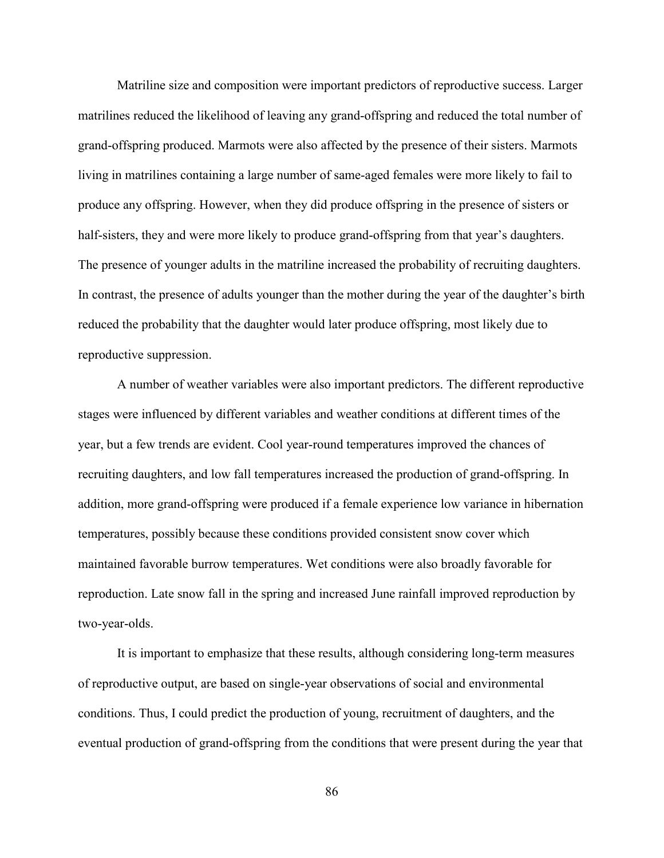Matriline size and composition were important predictors of reproductive success. Larger matrilines reduced the likelihood of leaving any grand-offspring and reduced the total number of grand-offspring produced. Marmots were also affected by the presence of their sisters. Marmots living in matrilines containing a large number of same-aged females were more likely to fail to produce any offspring. However, when they did produce offspring in the presence of sisters or half-sisters, they and were more likely to produce grand-offspring from that year's daughters. The presence of younger adults in the matriline increased the probability of recruiting daughters. In contrast, the presence of adults younger than the mother during the year of the daughter's birth reduced the probability that the daughter would later produce offspring, most likely due to reproductive suppression.

 A number of weather variables were also important predictors. The different reproductive stages were influenced by different variables and weather conditions at different times of the year, but a few trends are evident. Cool year-round temperatures improved the chances of recruiting daughters, and low fall temperatures increased the production of grand-offspring. In addition, more grand-offspring were produced if a female experience low variance in hibernation temperatures, possibly because these conditions provided consistent snow cover which maintained favorable burrow temperatures. Wet conditions were also broadly favorable for reproduction. Late snow fall in the spring and increased June rainfall improved reproduction by two-year-olds.

 It is important to emphasize that these results, although considering long-term measures of reproductive output, are based on single-year observations of social and environmental conditions. Thus, I could predict the production of young, recruitment of daughters, and the eventual production of grand-offspring from the conditions that were present during the year that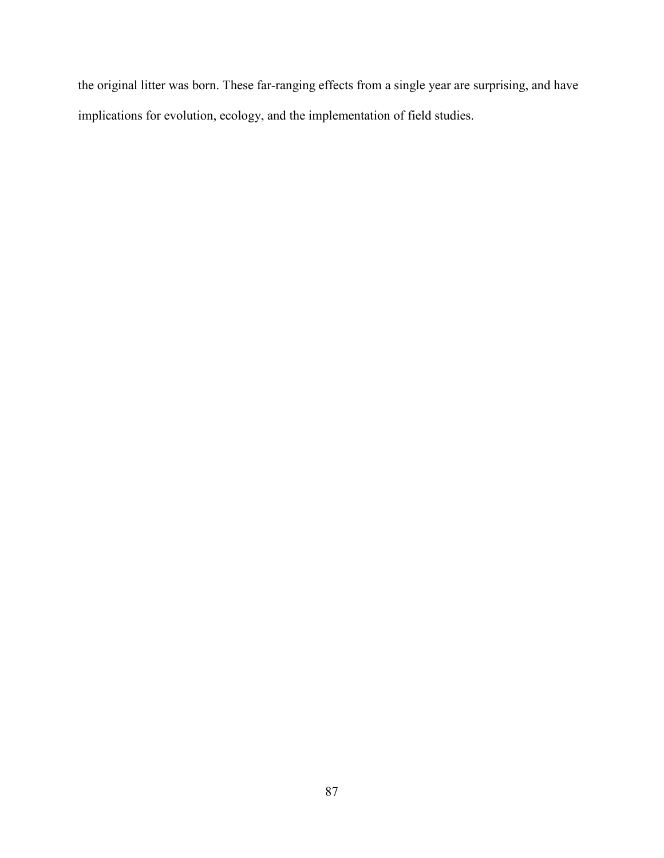the original litter was born. These far-ranging effects from a single year are surprising, and have implications for evolution, ecology, and the implementation of field studies.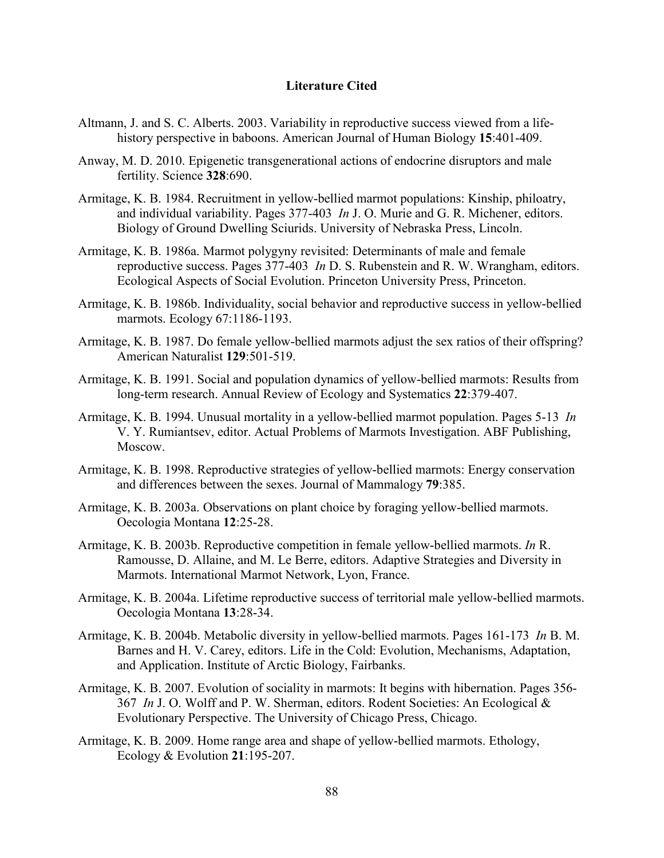#### **Literature Cited**

- Altmann, J. and S. C. Alberts. 2003. Variability in reproductive success viewed from a lifehistory perspective in baboons. American Journal of Human Biology **15**:401-409.
- Anway, M. D. 2010. Epigenetic transgenerational actions of endocrine disruptors and male fertility. Science **328**:690.
- Armitage, K. B. 1984. Recruitment in yellow-bellied marmot populations: Kinship, philoatry, and individual variability. Pages 377-403 *In* J. O. Murie and G. R. Michener, editors. Biology of Ground Dwelling Sciurids. University of Nebraska Press, Lincoln.
- Armitage, K. B. 1986a. Marmot polygyny revisited: Determinants of male and female reproductive success. Pages 377-403 *In* D. S. Rubenstein and R. W. Wrangham, editors. Ecological Aspects of Social Evolution. Princeton University Press, Princeton.
- Armitage, K. B. 1986b. Individuality, social behavior and reproductive success in yellow-bellied marmots. Ecology 67:1186-1193.
- Armitage, K. B. 1987. Do female yellow-bellied marmots adjust the sex ratios of their offspring? American Naturalist **129**:501-519.
- Armitage, K. B. 1991. Social and population dynamics of yellow-bellied marmots: Results from long-term research. Annual Review of Ecology and Systematics **22**:379-407.
- Armitage, K. B. 1994. Unusual mortality in a yellow-bellied marmot population. Pages 5-13 *In* V. Y. Rumiantsev, editor. Actual Problems of Marmots Investigation. ABF Publishing, Moscow.
- Armitage, K. B. 1998. Reproductive strategies of yellow-bellied marmots: Energy conservation and differences between the sexes. Journal of Mammalogy **79**:385.
- Armitage, K. B. 2003a. Observations on plant choice by foraging yellow-bellied marmots. Oecologia Montana **12**:25-28.
- Armitage, K. B. 2003b. Reproductive competition in female yellow-bellied marmots. *In* R. Ramousse, D. Allaine, and M. Le Berre, editors. Adaptive Strategies and Diversity in Marmots. International Marmot Network, Lyon, France.
- Armitage, K. B. 2004a. Lifetime reproductive success of territorial male yellow-bellied marmots. Oecologia Montana **13**:28-34.
- Armitage, K. B. 2004b. Metabolic diversity in yellow-bellied marmots. Pages 161-173 *In* B. M. Barnes and H. V. Carey, editors. Life in the Cold: Evolution, Mechanisms, Adaptation, and Application. Institute of Arctic Biology, Fairbanks.
- Armitage, K. B. 2007. Evolution of sociality in marmots: It begins with hibernation. Pages 356- 367 *In* J. O. Wolff and P. W. Sherman, editors. Rodent Societies: An Ecological & Evolutionary Perspective. The University of Chicago Press, Chicago.
- Armitage, K. B. 2009. Home range area and shape of yellow-bellied marmots. Ethology, Ecology & Evolution **21**:195-207.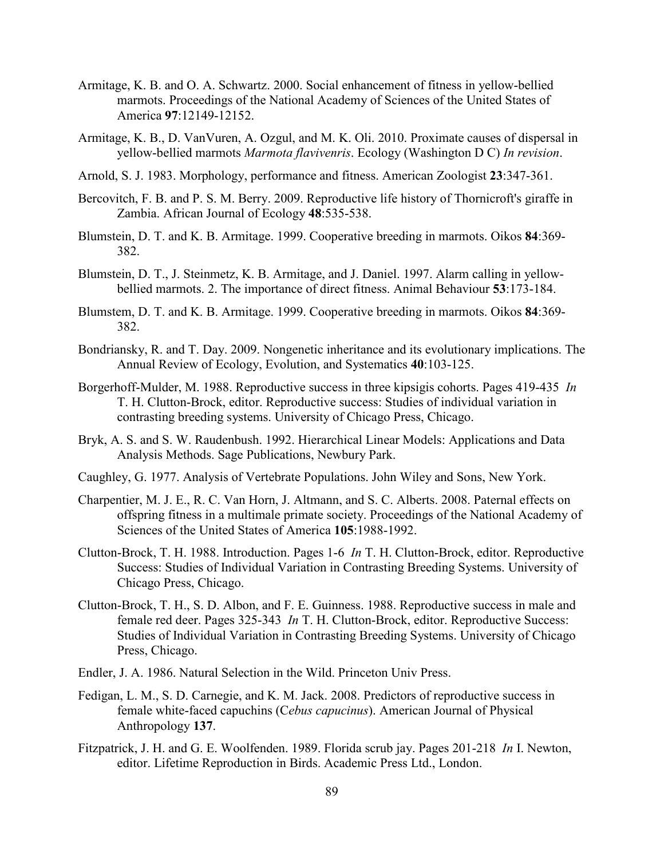- Armitage, K. B. and O. A. Schwartz. 2000. Social enhancement of fitness in yellow-bellied marmots. Proceedings of the National Academy of Sciences of the United States of America **97**:12149-12152.
- Armitage, K. B., D. VanVuren, A. Ozgul, and M. K. Oli. 2010. Proximate causes of dispersal in yellow-bellied marmots *Marmota flavivenris*. Ecology (Washington D C) *In revision*.
- Arnold, S. J. 1983. Morphology, performance and fitness. American Zoologist **23**:347-361.
- Bercovitch, F. B. and P. S. M. Berry. 2009. Reproductive life history of Thornicroft's giraffe in Zambia. African Journal of Ecology **48**:535-538.
- Blumstein, D. T. and K. B. Armitage. 1999. Cooperative breeding in marmots. Oikos **84**:369- 382.
- Blumstein, D. T., J. Steinmetz, K. B. Armitage, and J. Daniel. 1997. Alarm calling in yellowbellied marmots. 2. The importance of direct fitness. Animal Behaviour **53**:173-184.
- Blumstem, D. T. and K. B. Armitage. 1999. Cooperative breeding in marmots. Oikos **84**:369- 382.
- Bondriansky, R. and T. Day. 2009. Nongenetic inheritance and its evolutionary implications. The Annual Review of Ecology, Evolution, and Systematics **40**:103-125.
- Borgerhoff-Mulder, M. 1988. Reproductive success in three kipsigis cohorts. Pages 419-435 *In* T. H. Clutton-Brock, editor. Reproductive success: Studies of individual variation in contrasting breeding systems. University of Chicago Press, Chicago.
- Bryk, A. S. and S. W. Raudenbush. 1992. Hierarchical Linear Models: Applications and Data Analysis Methods. Sage Publications, Newbury Park.
- Caughley, G. 1977. Analysis of Vertebrate Populations. John Wiley and Sons, New York.
- Charpentier, M. J. E., R. C. Van Horn, J. Altmann, and S. C. Alberts. 2008. Paternal effects on offspring fitness in a multimale primate society. Proceedings of the National Academy of Sciences of the United States of America **105**:1988-1992.
- Clutton-Brock, T. H. 1988. Introduction. Pages 1-6 *In* T. H. Clutton-Brock, editor. Reproductive Success: Studies of Individual Variation in Contrasting Breeding Systems. University of Chicago Press, Chicago.
- Clutton-Brock, T. H., S. D. Albon, and F. E. Guinness. 1988. Reproductive success in male and female red deer. Pages 325-343 *In* T. H. Clutton-Brock, editor. Reproductive Success: Studies of Individual Variation in Contrasting Breeding Systems. University of Chicago Press, Chicago.
- Endler, J. A. 1986. Natural Selection in the Wild. Princeton Univ Press.
- Fedigan, L. M., S. D. Carnegie, and K. M. Jack. 2008. Predictors of reproductive success in female white-faced capuchins (C*ebus capucinus*). American Journal of Physical Anthropology **137**.
- Fitzpatrick, J. H. and G. E. Woolfenden. 1989. Florida scrub jay. Pages 201-218 *In* I. Newton, editor. Lifetime Reproduction in Birds. Academic Press Ltd., London.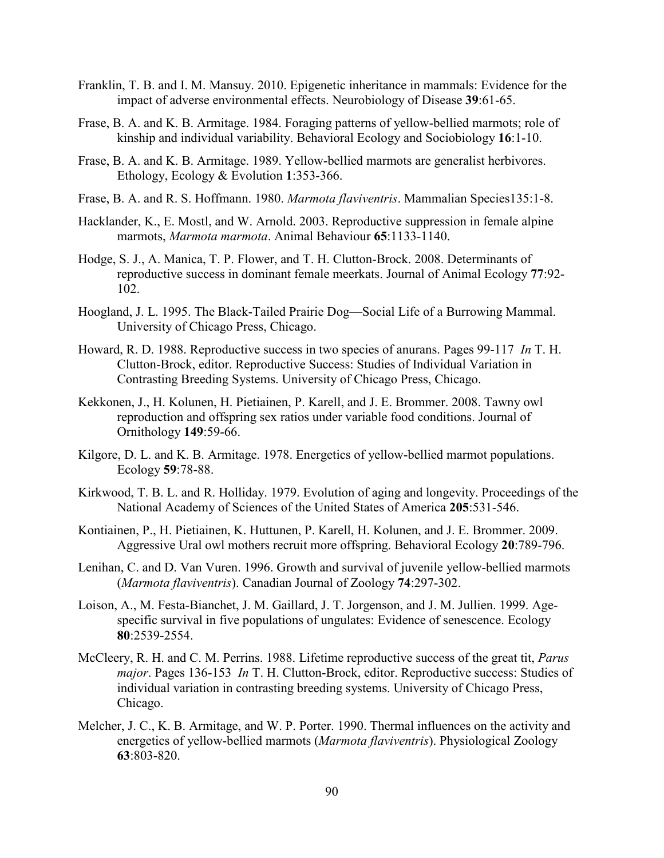- Franklin, T. B. and I. M. Mansuy. 2010. Epigenetic inheritance in mammals: Evidence for the impact of adverse environmental effects. Neurobiology of Disease **39**:61-65.
- Frase, B. A. and K. B. Armitage. 1984. Foraging patterns of yellow-bellied marmots; role of kinship and individual variability. Behavioral Ecology and Sociobiology **16**:1-10.
- Frase, B. A. and K. B. Armitage. 1989. Yellow-bellied marmots are generalist herbivores. Ethology, Ecology & Evolution **1**:353-366.
- Frase, B. A. and R. S. Hoffmann. 1980. *Marmota flaviventris*. Mammalian Species135:1-8.
- Hacklander, K., E. Mostl, and W. Arnold. 2003. Reproductive suppression in female alpine marmots, *Marmota marmota*. Animal Behaviour **65**:1133-1140.
- Hodge, S. J., A. Manica, T. P. Flower, and T. H. Clutton-Brock. 2008. Determinants of reproductive success in dominant female meerkats. Journal of Animal Ecology **77**:92- 102.
- Hoogland, J. L. 1995. The Black-Tailed Prairie Dog—Social Life of a Burrowing Mammal. University of Chicago Press, Chicago.
- Howard, R. D. 1988. Reproductive success in two species of anurans. Pages 99-117 *In* T. H. Clutton-Brock, editor. Reproductive Success: Studies of Individual Variation in Contrasting Breeding Systems. University of Chicago Press, Chicago.
- Kekkonen, J., H. Kolunen, H. Pietiainen, P. Karell, and J. E. Brommer. 2008. Tawny owl reproduction and offspring sex ratios under variable food conditions. Journal of Ornithology **149**:59-66.
- Kilgore, D. L. and K. B. Armitage. 1978. Energetics of yellow-bellied marmot populations. Ecology **59**:78-88.
- Kirkwood, T. B. L. and R. Holliday. 1979. Evolution of aging and longevity. Proceedings of the National Academy of Sciences of the United States of America **205**:531-546.
- Kontiainen, P., H. Pietiainen, K. Huttunen, P. Karell, H. Kolunen, and J. E. Brommer. 2009. Aggressive Ural owl mothers recruit more offspring. Behavioral Ecology **20**:789-796.
- Lenihan, C. and D. Van Vuren. 1996. Growth and survival of juvenile yellow-bellied marmots (*Marmota flaviventris*). Canadian Journal of Zoology **74**:297-302.
- Loison, A., M. Festa-Bianchet, J. M. Gaillard, J. T. Jorgenson, and J. M. Jullien. 1999. Agespecific survival in five populations of ungulates: Evidence of senescence. Ecology **80**:2539-2554.
- McCleery, R. H. and C. M. Perrins. 1988. Lifetime reproductive success of the great tit, *Parus major*. Pages 136-153 *In* T. H. Clutton-Brock, editor. Reproductive success: Studies of individual variation in contrasting breeding systems. University of Chicago Press, Chicago.
- Melcher, J. C., K. B. Armitage, and W. P. Porter. 1990. Thermal influences on the activity and energetics of yellow-bellied marmots (*Marmota flaviventris*). Physiological Zoology **63**:803-820.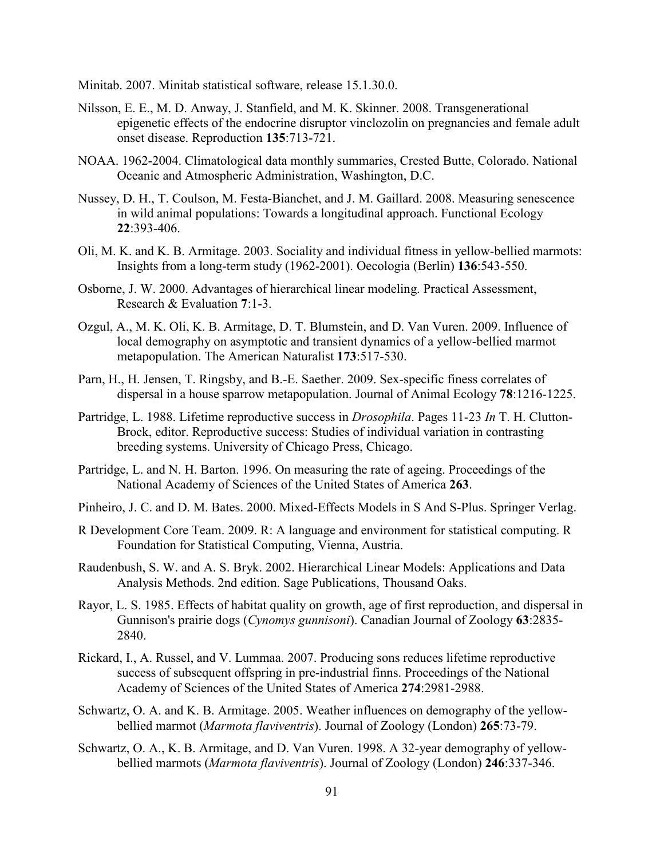Minitab. 2007. Minitab statistical software, release 15.1.30.0.

- Nilsson, E. E., M. D. Anway, J. Stanfield, and M. K. Skinner. 2008. Transgenerational epigenetic effects of the endocrine disruptor vinclozolin on pregnancies and female adult onset disease. Reproduction **135**:713-721.
- NOAA. 1962-2004. Climatological data monthly summaries, Crested Butte, Colorado. National Oceanic and Atmospheric Administration, Washington, D.C.
- Nussey, D. H., T. Coulson, M. Festa-Bianchet, and J. M. Gaillard. 2008. Measuring senescence in wild animal populations: Towards a longitudinal approach. Functional Ecology **22**:393-406.
- Oli, M. K. and K. B. Armitage. 2003. Sociality and individual fitness in yellow-bellied marmots: Insights from a long-term study (1962-2001). Oecologia (Berlin) **136**:543-550.
- Osborne, J. W. 2000. Advantages of hierarchical linear modeling. Practical Assessment, Research & Evaluation **7**:1-3.
- Ozgul, A., M. K. Oli, K. B. Armitage, D. T. Blumstein, and D. Van Vuren. 2009. Influence of local demography on asymptotic and transient dynamics of a yellow-bellied marmot metapopulation. The American Naturalist **173**:517-530.
- Parn, H., H. Jensen, T. Ringsby, and B.-E. Saether. 2009. Sex-specific finess correlates of dispersal in a house sparrow metapopulation. Journal of Animal Ecology **78**:1216-1225.
- Partridge, L. 1988. Lifetime reproductive success in *Drosophila*. Pages 11-23 *In* T. H. Clutton-Brock, editor. Reproductive success: Studies of individual variation in contrasting breeding systems. University of Chicago Press, Chicago.
- Partridge, L. and N. H. Barton. 1996. On measuring the rate of ageing. Proceedings of the National Academy of Sciences of the United States of America **263**.
- Pinheiro, J. C. and D. M. Bates. 2000. Mixed-Effects Models in S And S-Plus. Springer Verlag.
- R Development Core Team. 2009. R: A language and environment for statistical computing. R Foundation for Statistical Computing, Vienna, Austria.
- Raudenbush, S. W. and A. S. Bryk. 2002. Hierarchical Linear Models: Applications and Data Analysis Methods. 2nd edition. Sage Publications, Thousand Oaks.
- Rayor, L. S. 1985. Effects of habitat quality on growth, age of first reproduction, and dispersal in Gunnison's prairie dogs (*Cynomys gunnisoni*). Canadian Journal of Zoology **63**:2835- 2840.
- Rickard, I., A. Russel, and V. Lummaa. 2007. Producing sons reduces lifetime reproductive success of subsequent offspring in pre-industrial finns. Proceedings of the National Academy of Sciences of the United States of America **274**:2981-2988.
- Schwartz, O. A. and K. B. Armitage. 2005. Weather influences on demography of the yellowbellied marmot (*Marmota flaviventris*). Journal of Zoology (London) **265**:73-79.
- Schwartz, O. A., K. B. Armitage, and D. Van Vuren. 1998. A 32-year demography of yellowbellied marmots (*Marmota flaviventris*). Journal of Zoology (London) **246**:337-346.